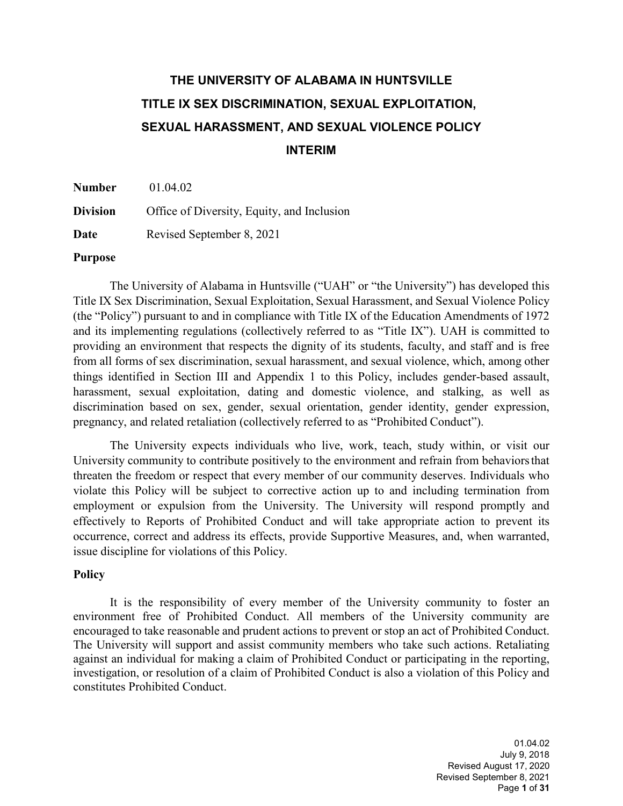# **THE UNIVERSITY OF ALABAMA IN HUNTSVILLE TITLE IX SEX DISCRIMINATION, SEXUAL EXPLOITATION, SEXUAL HARASSMENT, AND SEXUAL VIOLENCE POLICY INTERIM**

**Number** 01.04.02 **Division** Office of Diversity, Equity, and Inclusion **Date** Revised September 8, 2021

#### **Purpose**

The University of Alabama in Huntsville ("UAH" or "the University") has developed this Title IX Sex Discrimination, Sexual Exploitation, Sexual Harassment, and Sexual Violence Policy (the "Policy") pursuant to and in compliance with Title IX of the Education Amendments of 1972 and its implementing regulations (collectively referred to as "Title IX"). UAH is committed to providing an environment that respects the dignity of its students, faculty, and staff and is free from all forms of sex discrimination, sexual harassment, and sexual violence, which, among other things identified in Section III and Appendix 1 to this Policy, includes gender-based assault, harassment, sexual exploitation, dating and domestic violence, and stalking, as well as discrimination based on sex, gender, sexual orientation, gender identity, gender expression, pregnancy, and related retaliation (collectively referred to as "Prohibited Conduct").

The University expects individuals who live, work, teach, study within, or visit our University community to contribute positively to the environment and refrain from behaviorsthat threaten the freedom or respect that every member of our community deserves. Individuals who violate this Policy will be subject to corrective action up to and including termination from employment or expulsion from the University. The University will respond promptly and effectively to Reports of Prohibited Conduct and will take appropriate action to prevent its occurrence, correct and address its effects, provide Supportive Measures, and, when warranted, issue discipline for violations of this Policy.

#### **Policy**

It is the responsibility of every member of the University community to foster an environment free of Prohibited Conduct. All members of the University community are encouraged to take reasonable and prudent actions to prevent or stop an act of Prohibited Conduct. The University will support and assist community members who take such actions. Retaliating against an individual for making a claim of Prohibited Conduct or participating in the reporting, investigation, or resolution of a claim of Prohibited Conduct is also a violation of this Policy and constitutes Prohibited Conduct.

> 01.04.02 July 9, 2018 Revised August 17, 2020 Revised September 8, 2021 Page **1** of **31**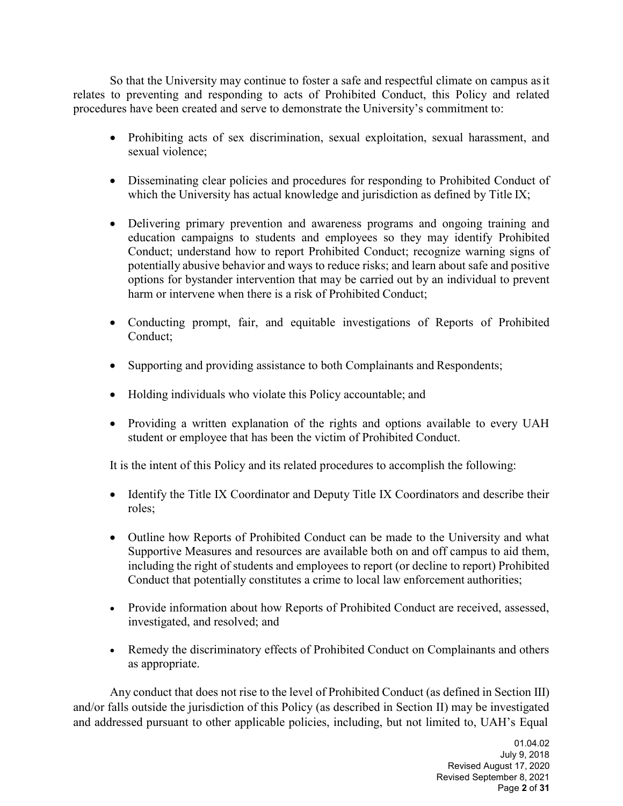So that the University may continue to foster a safe and respectful climate on campus asit relates to preventing and responding to acts of Prohibited Conduct, this Policy and related procedures have been created and serve to demonstrate the University's commitment to:

- Prohibiting acts of sex discrimination, sexual exploitation, sexual harassment, and sexual violence;
- Disseminating clear policies and procedures for responding to Prohibited Conduct of which the University has actual knowledge and jurisdiction as defined by Title IX;
- Delivering primary prevention and awareness programs and ongoing training and education campaigns to students and employees so they may identify Prohibited Conduct; understand how to report Prohibited Conduct; recognize warning signs of potentially abusive behavior and ways to reduce risks; and learn about safe and positive options for bystander intervention that may be carried out by an individual to prevent harm or intervene when there is a risk of Prohibited Conduct;
- Conducting prompt, fair, and equitable investigations of Reports of Prohibited Conduct;
- Supporting and providing assistance to both Complainants and Respondents;
- Holding individuals who violate this Policy accountable; and
- Providing a written explanation of the rights and options available to every UAH student or employee that has been the victim of Prohibited Conduct.

It is the intent of this Policy and its related procedures to accomplish the following:

- Identify the Title IX Coordinator and Deputy Title IX Coordinators and describe their roles;
- Outline how Reports of Prohibited Conduct can be made to the University and what Supportive Measures and resources are available both on and off campus to aid them, including the right of students and employees to report (or decline to report) Prohibited Conduct that potentially constitutes a crime to local law enforcement authorities;
- Provide information about how Reports of Prohibited Conduct are received, assessed, investigated, and resolved; and
- Remedy the discriminatory effects of Prohibited Conduct on Complainants and others as appropriate.

Any conduct that does not rise to the level of Prohibited Conduct (as defined in Section III) and/or falls outside the jurisdiction of this Policy (as described in Section II) may be investigated and addressed pursuant to other applicable policies, including, but not limited to, UAH's Equal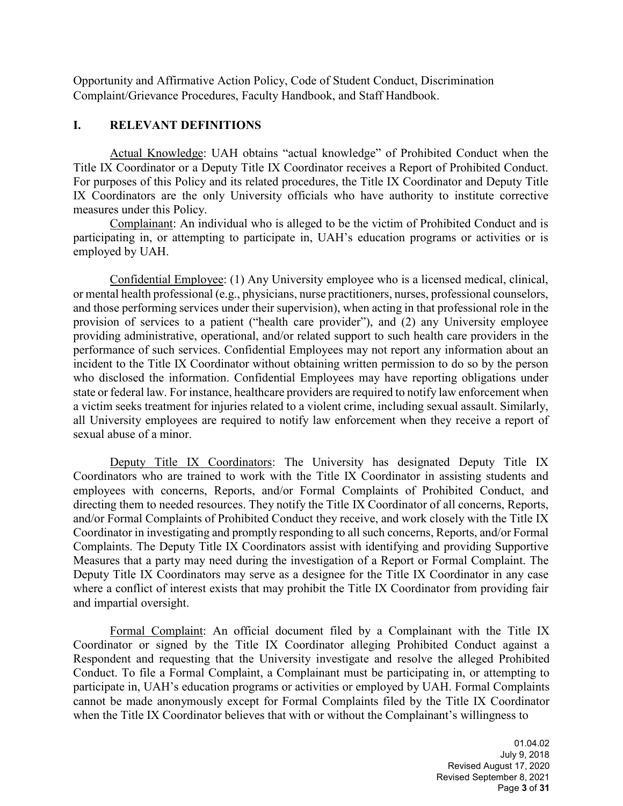Opportunity and Affirmative Action Policy, Code of Student Conduct, Discrimination Complaint/Grievance Procedures, Faculty Handbook, and Staff Handbook.

#### **I. RELEVANT DEFINITIONS**

Actual Knowledge: UAH obtains "actual knowledge" of Prohibited Conduct when the Title IX Coordinator or a Deputy Title IX Coordinator receives a Report of Prohibited Conduct. For purposes of this Policy and its related procedures, the Title IX Coordinator and Deputy Title IX Coordinators are the only University officials who have authority to institute corrective measures under this Policy.

Complainant: An individual who is alleged to be the victim of Prohibited Conduct and is participating in, or attempting to participate in, UAH's education programs or activities or is employed by UAH.

Confidential Employee: (1) Any University employee who is a licensed medical, clinical, or mental health professional (e.g., physicians, nurse practitioners, nurses, professional counselors, and those performing services under their supervision), when acting in that professional role in the provision of services to a patient ("health care provider"), and (2) any University employee providing administrative, operational, and/or related support to such health care providers in the performance of such services. Confidential Employees may not report any information about an incident to the Title IX Coordinator without obtaining written permission to do so by the person who disclosed the information. Confidential Employees may have reporting obligations under state or federal law. For instance, healthcare providers are required to notify law enforcement when a victim seeks treatment for injuries related to a violent crime, including sexual assault. Similarly, all University employees are required to notify law enforcement when they receive a report of sexual abuse of a minor.

Deputy Title IX Coordinators: The University has designated Deputy Title IX Coordinators who are trained to work with the Title IX Coordinator in assisting students and employees with concerns, Reports, and/or Formal Complaints of Prohibited Conduct, and directing them to needed resources. They notify the Title IX Coordinator of all concerns, Reports, and/or Formal Complaints of Prohibited Conduct they receive, and work closely with the Title IX Coordinator in investigating and promptly responding to all such concerns, Reports, and/or Formal Complaints. The Deputy Title IX Coordinators assist with identifying and providing Supportive Measures that a party may need during the investigation of a Report or Formal Complaint. The Deputy Title IX Coordinators may serve as a designee for the Title IX Coordinator in any case where a conflict of interest exists that may prohibit the Title IX Coordinator from providing fair and impartial oversight.

Formal Complaint: An official document filed by a Complainant with the Title IX Coordinator or signed by the Title IX Coordinator alleging Prohibited Conduct against a Respondent and requesting that the University investigate and resolve the alleged Prohibited Conduct. To file a Formal Complaint, a Complainant must be participating in, or attempting to participate in, UAH's education programs or activities or employed by UAH. Formal Complaints cannot be made anonymously except for Formal Complaints filed by the Title IX Coordinator when the Title IX Coordinator believes that with or without the Complainant's willingness to

> 01.04.02 July 9, 2018 Revised August 17, 2020 Revised September 8, 2021 Page **3** of **31**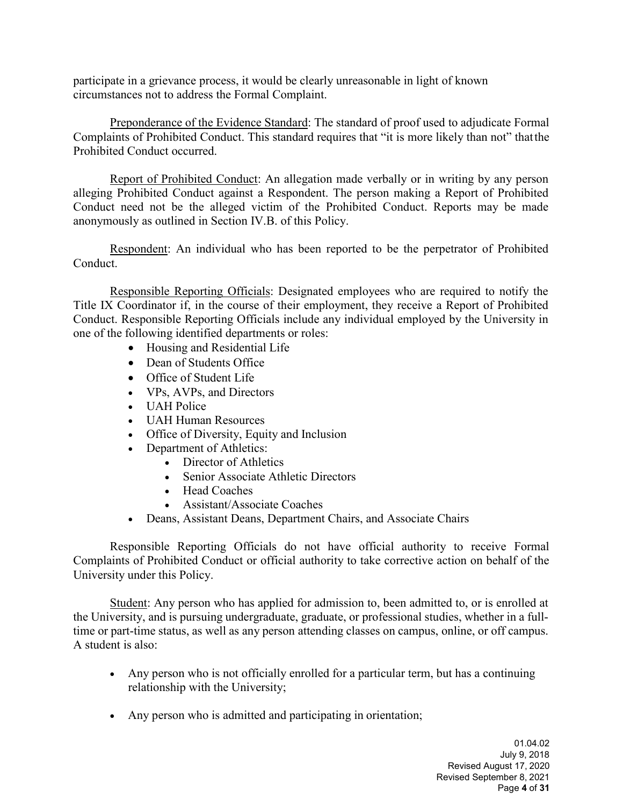participate in a grievance process, it would be clearly unreasonable in light of known circumstances not to address the Formal Complaint.

Preponderance of the Evidence Standard: The standard of proof used to adjudicate Formal Complaints of Prohibited Conduct. This standard requires that "it is more likely than not" thatthe Prohibited Conduct occurred.

Report of Prohibited Conduct: An allegation made verbally or in writing by any person alleging Prohibited Conduct against a Respondent. The person making a Report of Prohibited Conduct need not be the alleged victim of the Prohibited Conduct. Reports may be made anonymously as outlined in Section IV.B. of this Policy.

Respondent: An individual who has been reported to be the perpetrator of Prohibited Conduct.

Responsible Reporting Officials: Designated employees who are required to notify the Title IX Coordinator if, in the course of their employment, they receive a Report of Prohibited Conduct. Responsible Reporting Officials include any individual employed by the University in one of the following identified departments or roles:

- Housing and Residential Life
- Dean of Students Office
- Office of Student Life
- VPs, AVPs, and Directors
- UAH Police
- UAH Human Resources
- Office of Diversity, Equity and Inclusion
- Department of Athletics:
	- Director of Athletics
	- Senior Associate Athletic Directors
	- Head Coaches
	- Assistant/Associate Coaches
- Deans, Assistant Deans, Department Chairs, and Associate Chairs

Responsible Reporting Officials do not have official authority to receive Formal Complaints of Prohibited Conduct or official authority to take corrective action on behalf of the University under this Policy.

Student: Any person who has applied for admission to, been admitted to, or is enrolled at the University, and is pursuing undergraduate, graduate, or professional studies, whether in a fulltime or part-time status, as well as any person attending classes on campus, online, or off campus. A student is also:

- Any person who is not officially enrolled for a particular term, but has a continuing relationship with the University;
- Any person who is admitted and participating in orientation;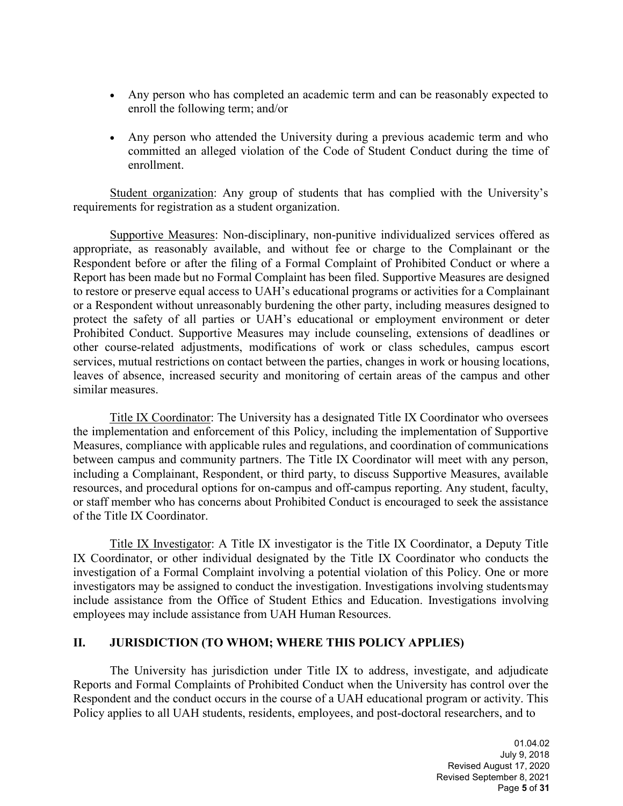- Any person who has completed an academic term and can be reasonably expected to enroll the following term; and/or
- Any person who attended the University during a previous academic term and who committed an alleged violation of the Code of Student Conduct during the time of enrollment.

Student organization: Any group of students that has complied with the University's requirements for registration as a student organization.

Supportive Measures: Non-disciplinary, non-punitive individualized services offered as appropriate, as reasonably available, and without fee or charge to the Complainant or the Respondent before or after the filing of a Formal Complaint of Prohibited Conduct or where a Report has been made but no Formal Complaint has been filed. Supportive Measures are designed to restore or preserve equal access to UAH's educational programs or activities for a Complainant or a Respondent without unreasonably burdening the other party, including measures designed to protect the safety of all parties or UAH's educational or employment environment or deter Prohibited Conduct. Supportive Measures may include counseling, extensions of deadlines or other course-related adjustments, modifications of work or class schedules, campus escort services, mutual restrictions on contact between the parties, changes in work or housing locations, leaves of absence, increased security and monitoring of certain areas of the campus and other similar measures.

Title IX Coordinator: The University has a designated Title IX Coordinator who oversees the implementation and enforcement of this Policy, including the implementation of Supportive Measures, compliance with applicable rules and regulations, and coordination of communications between campus and community partners. The Title IX Coordinator will meet with any person, including a Complainant, Respondent, or third party, to discuss Supportive Measures, available resources, and procedural options for on-campus and off-campus reporting. Any student, faculty, or staff member who has concerns about Prohibited Conduct is encouraged to seek the assistance of the Title IX Coordinator.

Title IX Investigator: A Title IX investigator is the Title IX Coordinator, a Deputy Title IX Coordinator, or other individual designated by the Title IX Coordinator who conducts the investigation of a Formal Complaint involving a potential violation of this Policy. One or more investigators may be assigned to conduct the investigation. Investigations involving studentsmay include assistance from the Office of Student Ethics and Education. Investigations involving employees may include assistance from UAH Human Resources.

#### **II. JURISDICTION (TO WHOM; WHERE THIS POLICY APPLIES)**

The University has jurisdiction under Title IX to address, investigate, and adjudicate Reports and Formal Complaints of Prohibited Conduct when the University has control over the Respondent and the conduct occurs in the course of a UAH educational program or activity. This Policy applies to all UAH students, residents, employees, and post-doctoral researchers, and to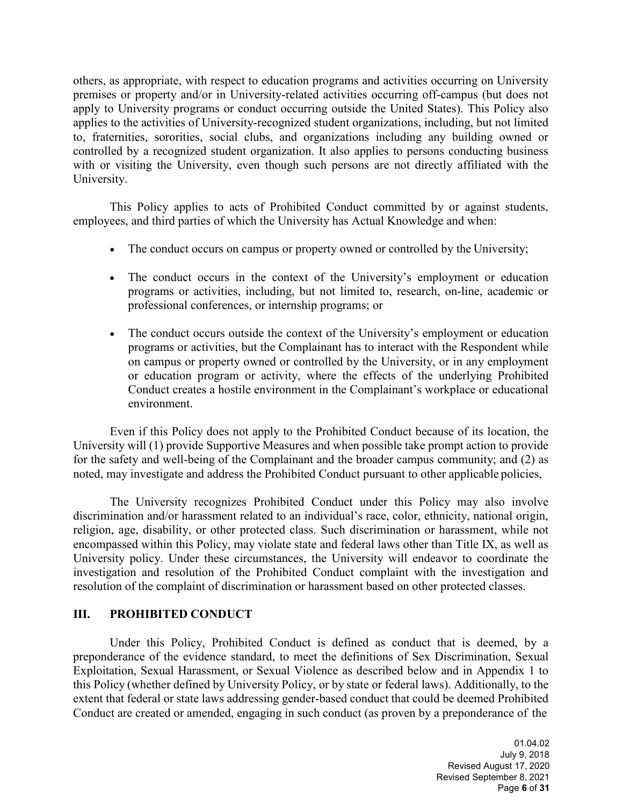others, as appropriate, with respect to education programs and activities occurring on University premises or property and/or in University-related activities occurring off-campus (but does not apply to University programs or conduct occurring outside the United States). This Policy also applies to the activities of University-recognized student organizations, including, but not limited to, fraternities, sororities, social clubs, and organizations including any building owned or controlled by a recognized student organization. It also applies to persons conducting business with or visiting the University, even though such persons are not directly affiliated with the University.

This Policy applies to acts of Prohibited Conduct committed by or against students, employees, and third parties of which the University has Actual Knowledge and when:

- The conduct occurs on campus or property owned or controlled by the University;
- The conduct occurs in the context of the University's employment or education programs or activities, including, but not limited to, research, on-line, academic or professional conferences, or internship programs; or
- The conduct occurs outside the context of the University's employment or education programs or activities, but the Complainant has to interact with the Respondent while on campus or property owned or controlled by the University, or in any employment or education program or activity, where the effects of the underlying Prohibited Conduct creates a hostile environment in the Complainant's workplace or educational environment.

Even if this Policy does not apply to the Prohibited Conduct because of its location, the University will (1) provide Supportive Measures and when possible take prompt action to provide for the safety and well-being of the Complainant and the broader campus community; and (2) as noted, may investigate and address the Prohibited Conduct pursuant to other applicable policies,

The University recognizes Prohibited Conduct under this Policy may also involve discrimination and/or harassment related to an individual's race, color, ethnicity, national origin, religion, age, disability, or other protected class. Such discrimination or harassment, while not encompassed within this Policy, may violate state and federal laws other than Title IX, as well as University policy. Under these circumstances, the University will endeavor to coordinate the investigation and resolution of the Prohibited Conduct complaint with the investigation and resolution of the complaint of discrimination or harassment based on other protected classes.

#### **III. PROHIBITED CONDUCT**

Under this Policy, Prohibited Conduct is defined as conduct that is deemed, by a preponderance of the evidence standard, to meet the definitions of Sex Discrimination, Sexual Exploitation, Sexual Harassment, or Sexual Violence as described below and in Appendix 1 to this Policy (whether defined by University Policy, or by state or federal laws). Additionally, to the extent that federal or state laws addressing gender-based conduct that could be deemed Prohibited Conduct are created or amended, engaging in such conduct (as proven by a preponderance of the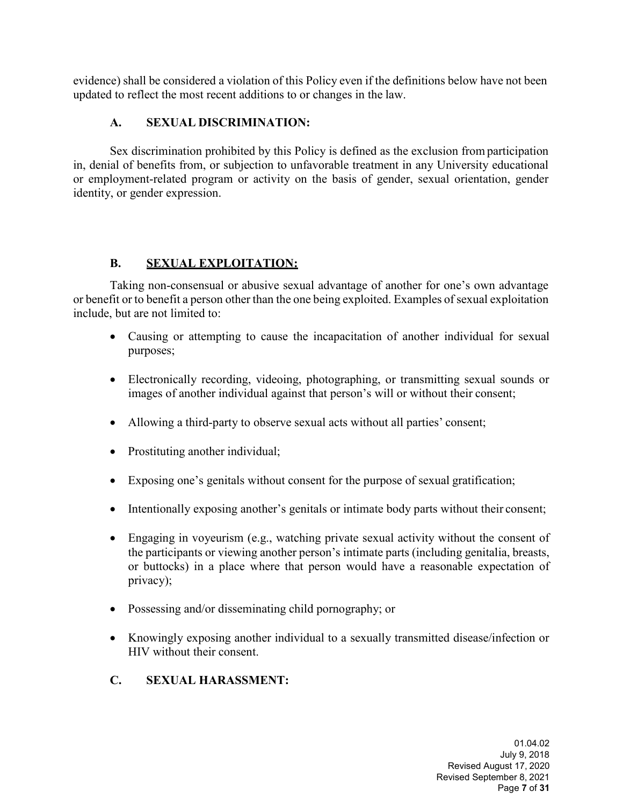evidence) shall be considered a violation of this Policy even if the definitions below have not been updated to reflect the most recent additions to or changes in the law.

## **A. SEXUAL DISCRIMINATION:**

Sex discrimination prohibited by this Policy is defined as the exclusion fromparticipation in, denial of benefits from, or subjection to unfavorable treatment in any University educational or employment-related program or activity on the basis of gender, sexual orientation, gender identity, or gender expression.

## **B. SEXUAL EXPLOITATION:**

Taking non-consensual or abusive sexual advantage of another for one's own advantage or benefit or to benefit a person other than the one being exploited. Examples of sexual exploitation include, but are not limited to:

- Causing or attempting to cause the incapacitation of another individual for sexual purposes;
- Electronically recording, videoing, photographing, or transmitting sexual sounds or images of another individual against that person's will or without their consent;
- Allowing a third-party to observe sexual acts without all parties' consent;
- Prostituting another individual;
- Exposing one's genitals without consent for the purpose of sexual gratification;
- Intentionally exposing another's genitals or intimate body parts without their consent;
- Engaging in voyeurism (e.g., watching private sexual activity without the consent of the participants or viewing another person's intimate parts (including genitalia, breasts, or buttocks) in a place where that person would have a reasonable expectation of privacy);
- Possessing and/or disseminating child pornography; or
- Knowingly exposing another individual to a sexually transmitted disease/infection or HIV without their consent.
- **C. SEXUAL HARASSMENT:**

01.04.02 July 9, 2018 Revised August 17, 2020 Revised September 8, 2021 Page **7** of **31**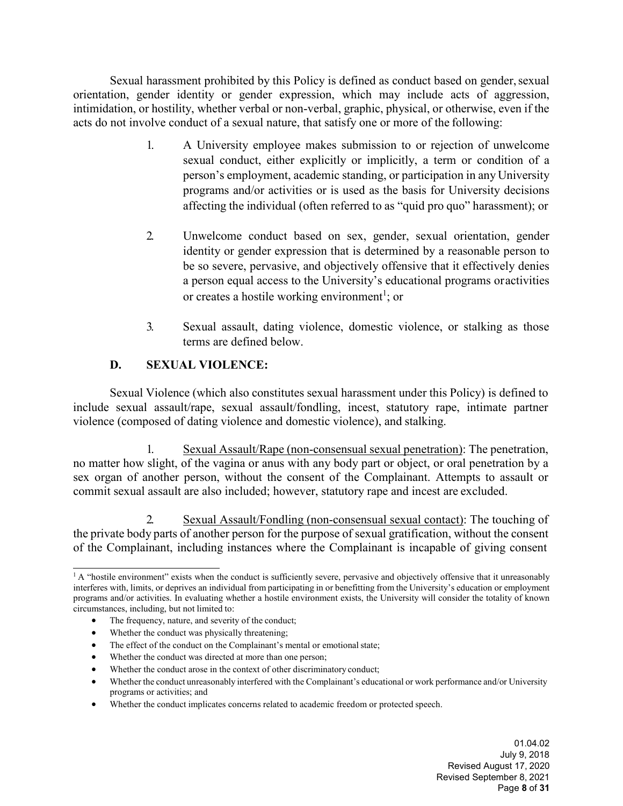Sexual harassment prohibited by this Policy is defined as conduct based on gender, sexual orientation, gender identity or gender expression, which may include acts of aggression, intimidation, or hostility, whether verbal or non-verbal, graphic, physical, or otherwise, even if the acts do not involve conduct of a sexual nature, that satisfy one or more of the following:

- 1. A University employee makes submission to or rejection of unwelcome sexual conduct, either explicitly or implicitly, a term or condition of a person's employment, academic standing, or participation in any University programs and/or activities or is used as the basis for University decisions affecting the individual (often referred to as "quid pro quo" harassment); or
- 2. Unwelcome conduct based on sex, gender, sexual orientation, gender identity or gender expression that is determined by a reasonable person to be so severe, pervasive, and objectively offensive that it effectively denies a person equal access to the University's educational programs oractivities or creates a hostile working environment<sup>1</sup>[;](#page-7-0) or
- 3. Sexual assault, dating violence, domestic violence, or stalking as those terms are defined below.

## **D. SEXUAL VIOLENCE:**

Sexual Violence (which also constitutes sexual harassment under this Policy) is defined to include sexual assault/rape, sexual assault/fondling, incest, statutory rape, intimate partner violence (composed of dating violence and domestic violence), and stalking.

1. Sexual Assault/Rape (non-consensual sexual penetration): The penetration, no matter how slight, of the vagina or anus with any body part or object, or oral penetration by a sex organ of another person, without the consent of the Complainant. Attempts to assault or commit sexual assault are also included; however, statutory rape and incest are excluded.

2. Sexual Assault/Fondling (non-consensual sexual contact): The touching of the private body parts of another person for the purpose of sexual gratification, without the consent of the Complainant, including instances where the Complainant is incapable of giving consent

- The effect of the conduct on the Complainant's mental or emotional state;
- Whether the conduct was directed at more than one person;
- Whether the conduct arose in the context of other discriminatory conduct;

• Whether the conduct implicates concerns related to academic freedom or protected speech.

01.04.02 July 9, 2018 Revised August 17, 2020 Revised September 8, 2021 Page **8** of **31**

<span id="page-7-0"></span> $1$  A "hostile environment" exists when the conduct is sufficiently severe, pervasive and objectively offensive that it unreasonably interferes with, limits, or deprives an individual from participating in or benefitting from the University's education or employment programs and/or activities. In evaluating whether a hostile environment exists, the University will consider the totality of known circumstances, including, but not limited to:

The frequency, nature, and severity of the conduct;

Whether the conduct was physically threatening;

<sup>•</sup> Whether the conduct unreasonably interfered with the Complainant's educational or work performance and/or University programs or activities; and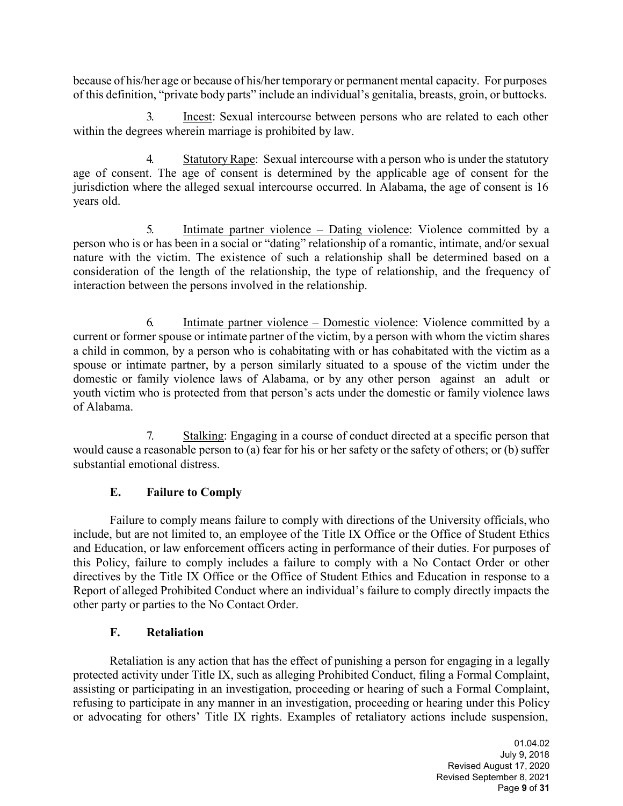because of his/her age or because of his/her temporary or permanent mental capacity. For purposes of this definition, "private body parts" include an individual's genitalia, breasts, groin, or buttocks.

3. Incest: Sexual intercourse between persons who are related to each other within the degrees wherein marriage is prohibited by law.

4. StatutoryRape: Sexual intercourse with a person who is under the statutory age of consent. The age of consent is determined by the applicable age of consent for the jurisdiction where the alleged sexual intercourse occurred. In Alabama, the age of consent is 16 years old.

5. Intimate partner violence – Dating violence: Violence committed by a person who is or has been in a social or "dating" relationship of a romantic, intimate, and/or sexual nature with the victim. The existence of such a relationship shall be determined based on a consideration of the length of the relationship, the type of relationship, and the frequency of interaction between the persons involved in the relationship.

6. Intimate partner violence – Domestic violence: Violence committed by a current or former spouse or intimate partner of the victim, by a person with whom the victim shares a child in common, by a person who is cohabitating with or has cohabitated with the victim as a spouse or intimate partner, by a person similarly situated to a spouse of the victim under the domestic or family violence laws of Alabama, or by any other person against an adult or [youth](https://www.law.cornell.edu/definitions/uscode.php?width=840&height=800&iframe=true&def_id=34-USC-115168979-1259336254&term_occur=999&term_src=title%3A34%3Asubtitle%3AI%3Achapter%3A121%3Asubchapter%3AIII%3Asection%3A12291) victim who is protected from that person's acts under the domestic or family violence laws of Alabama.

7. Stalking: Engaging in a course of conduct directed at a specific person that would cause a reasonable person to (a) fear for his or her safety or the safety of others; or (b) suffer substantial emotional distress.

## **E. Failure to Comply**

Failure to comply means failure to comply with directions of the University officials,who include, but are not limited to, an employee of the Title IX Office or the Office of Student Ethics and Education, or law enforcement officers acting in performance of their duties. For purposes of this Policy, failure to comply includes a failure to comply with a No Contact Order or other directives by the Title IX Office or the Office of Student Ethics and Education in response to a Report of alleged Prohibited Conduct where an individual's failure to comply directly impacts the other party or parties to the No Contact Order.

#### **F. Retaliation**

Retaliation is any action that has the effect of punishing a person for engaging in a legally protected activity under Title IX, such as alleging Prohibited Conduct, filing a Formal Complaint, assisting or participating in an investigation, proceeding or hearing of such a Formal Complaint, refusing to participate in any manner in an investigation, proceeding or hearing under this Policy or advocating for others' Title IX rights. Examples of retaliatory actions include suspension,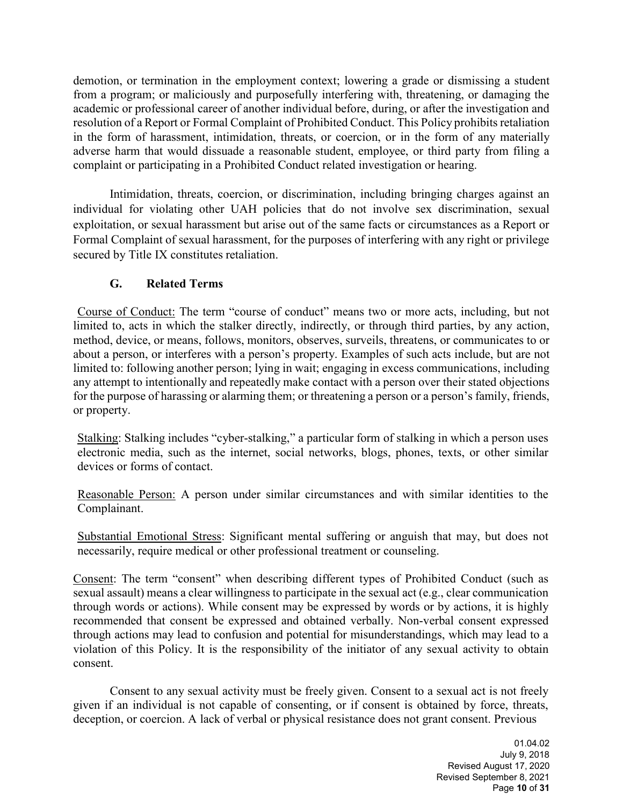demotion, or termination in the employment context; lowering a grade or dismissing a student from a program; or maliciously and purposefully interfering with, threatening, or damaging the academic or professional career of another individual before, during, or after the investigation and resolution of a Report or Formal Complaint of Prohibited Conduct. This Policy prohibits retaliation in the form of harassment, intimidation, threats, or coercion, or in the form of any materially adverse harm that would dissuade a reasonable student, employee, or third party from filing a complaint or participating in a Prohibited Conduct related investigation or hearing.

Intimidation, threats, coercion, or discrimination, including bringing charges against an individual for violating other UAH policies that do not involve sex discrimination, sexual exploitation, or sexual harassment but arise out of the same facts or circumstances as a Report or Formal Complaint of sexual harassment, for the purposes of interfering with any right or privilege secured by Title IX constitutes retaliation.

## **G. Related Terms**

Course of Conduct: The term "course of conduct" means two or more acts, including, but not limited to, acts in which the stalker directly, indirectly, or through third parties, by any action, method, device, or means, follows, monitors, observes, surveils, threatens, or communicates to or about a person, or interferes with a person's property. Examples of such acts include, but are not limited to: following another person; lying in wait; engaging in excess communications, including any attempt to intentionally and repeatedly make contact with a person over their stated objections for the purpose of harassing or alarming them; or threatening a person or a person's family, friends, or property.

Stalking: Stalking includes "cyber-stalking," a particular form of stalking in which a person uses electronic media, such as the internet, social networks, blogs, phones, texts, or other similar devices or forms of contact.

Reasonable Person: A person under similar circumstances and with similar identities to the Complainant.

Substantial Emotional Stress: Significant mental suffering or anguish that may, but does not necessarily, require medical or other professional treatment or counseling.

Consent: The term "consent" when describing different types of Prohibited Conduct (such as sexual assault) means a clear willingness to participate in the sexual act (e.g., clear communication through words or actions). While consent may be expressed by words or by actions, it is highly recommended that consent be expressed and obtained verbally. Non-verbal consent expressed through actions may lead to confusion and potential for misunderstandings, which may lead to a violation of this Policy. It is the responsibility of the initiator of any sexual activity to obtain consent.

Consent to any sexual activity must be freely given. Consent to a sexual act is not freely given if an individual is not capable of consenting, or if consent is obtained by force, threats, deception, or coercion. A lack of verbal or physical resistance does not grant consent. Previous

> 01.04.02 July 9, 2018 Revised August 17, 2020 Revised September 8, 2021 Page **10** of **31**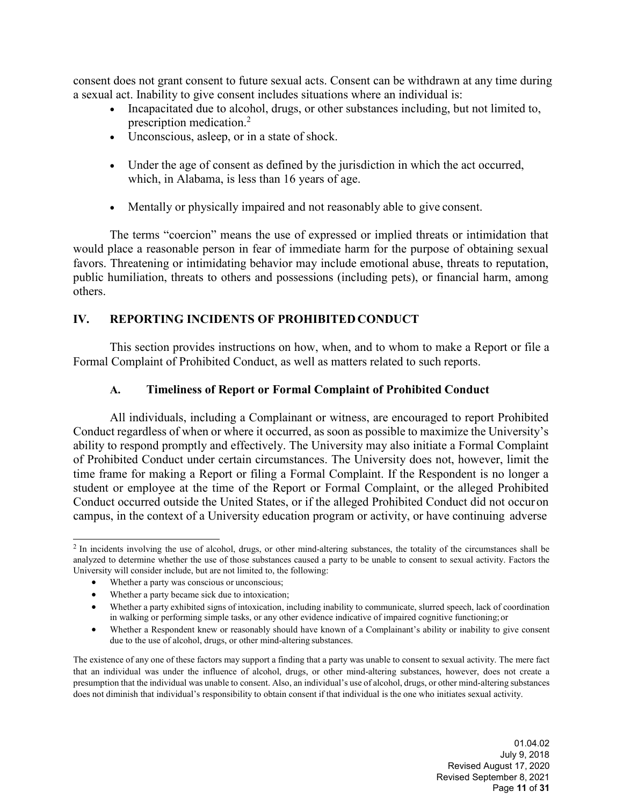consent does not grant consent to future sexual acts. Consent can be withdrawn at any time during a sexual act. Inability to give consent includes situations where an individual is:

- Incapacitated due to alcohol, drugs, or other substances including, but not limited to, prescription medication.[2](#page-10-0)
- Unconscious, asleep, or in a state of shock.
- Under the age of consent as defined by the jurisdiction in which the act occurred, which, in Alabama, is less than 16 years of age.
- Mentally or physically impaired and not reasonably able to give consent.

The terms "coercion" means the use of expressed or implied threats or intimidation that would place a reasonable person in fear of immediate harm for the purpose of obtaining sexual favors. Threatening or intimidating behavior may include emotional abuse, threats to reputation, public humiliation, threats to others and possessions (including pets), or financial harm, among others.

#### **IV. REPORTING INCIDENTS OF PROHIBITED CONDUCT**

This section provides instructions on how, when, and to whom to make a Report or file a Formal Complaint of Prohibited Conduct, as well as matters related to such reports.

#### **A. Timeliness of Report or Formal Complaint of Prohibited Conduct**

All individuals, including a Complainant or witness, are encouraged to report Prohibited Conduct regardless of when or where it occurred, as soon as possible to maximize the University's ability to respond promptly and effectively. The University may also initiate a Formal Complaint of Prohibited Conduct under certain circumstances. The University does not, however, limit the time frame for making a Report or filing a Formal Complaint. If the Respondent is no longer a student or employee at the time of the Report or Formal Complaint, or the alleged Prohibited Conduct occurred outside the United States, or if the alleged Prohibited Conduct did not occuron campus, in the context of a University education program or activity, or have continuing adverse

- Whether a party was conscious or unconscious;
- Whether a party became sick due to intoxication;

<span id="page-10-0"></span><sup>&</sup>lt;sup>2</sup> In incidents involving the use of alcohol, drugs, or other mind-altering substances, the totality of the circumstances shall be analyzed to determine whether the use of those substances caused a party to be unable to consent to sexual activity. Factors the University will consider include, but are not limited to, the following:

<sup>•</sup> Whether a party exhibited signs of intoxication, including inability to communicate, slurred speech, lack of coordination in walking or performing simple tasks, or any other evidence indicative of impaired cognitive functioning;or

<sup>•</sup> Whether a Respondent knew or reasonably should have known of a Complainant's ability or inability to give consent due to the use of alcohol, drugs, or other mind-altering substances.

The existence of any one of these factors may support a finding that a party was unable to consent to sexual activity. The mere fact that an individual was under the influence of alcohol, drugs, or other mind-altering substances, however, does not create a presumption that the individual was unable to consent. Also, an individual's use of alcohol, drugs, or other mind-altering substances does not diminish that individual's responsibility to obtain consent if that individual is the one who initiates sexual activity.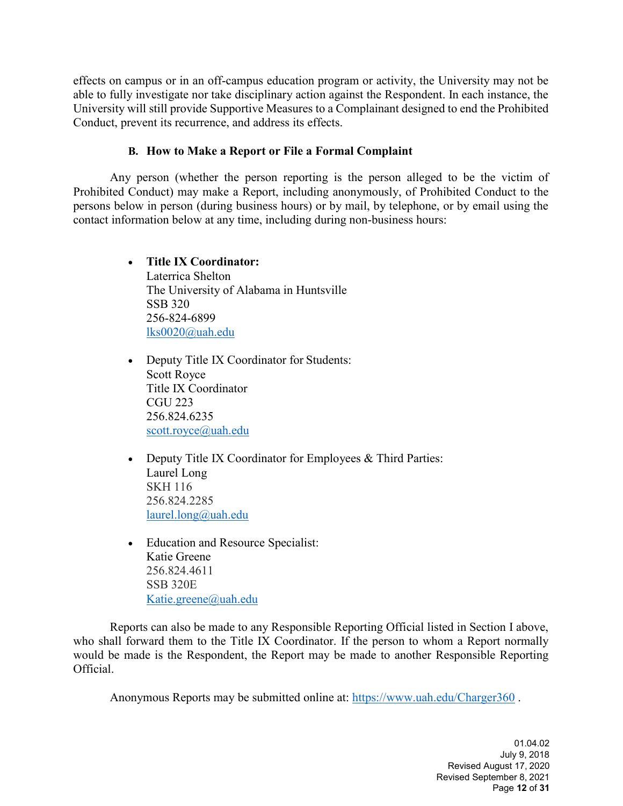effects on campus or in an off-campus education program or activity, the University may not be able to fully investigate nor take disciplinary action against the Respondent. In each instance, the University will still provide Supportive Measures to a Complainant designed to end the Prohibited Conduct, prevent its recurrence, and address its effects.

#### **B. How to Make a Report or File a Formal Complaint**

Any person (whether the person reporting is the person alleged to be the victim of Prohibited Conduct) may make a Report, including anonymously, of Prohibited Conduct to the persons below in person (during business hours) or by mail, by telephone, or by email using the contact information below at any time, including during non-business hours:

## • **Title IX Coordinator:**

Laterrica Shelton The University of Alabama in Huntsville SSB 320 256-824-6899 [lks0020@uah.edu](mailto:lks0020@uah.edu)

- Deputy Title IX Coordinator for Students: Scott Royce Title IX Coordinator CGU 223 256.824.6235 [scott.royce@uah.edu](mailto:scott.royce@uah.edu)
- Deputy Title IX Coordinator for Employees & Third Parties: Laurel Long SKH 116 256.824.2285 [laurel.long@uah.edu](mailto:laurel.long@uah.edu)
- Education and Resource Specialist: Katie Greene 256.824.4611 SSB 320E [Katie.greene@uah.edu](mailto:Katie.greene@uah.edu)

Reports can also be made to any Responsible Reporting Official listed in Section I above, who shall forward them to the Title IX Coordinator. If the person to whom a Report normally would be made is the Respondent, the Report may be made to another Responsible Reporting Official.

Anonymous Reports may be submitted online at:<https://www.uah.edu/Charger360> .

01.04.02 July 9, 2018 Revised August 17, 2020 Revised September 8, 2021 Page **12** of **31**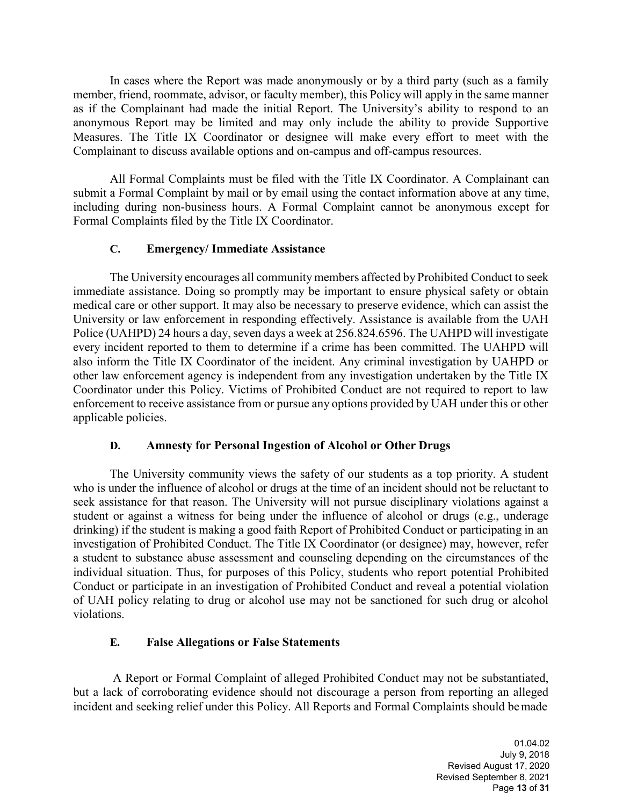In cases where the Report was made anonymously or by a third party (such as a family member, friend, roommate, advisor, or faculty member), this Policy will apply in the same manner as if the Complainant had made the initial Report. The University's ability to respond to an anonymous Report may be limited and may only include the ability to provide Supportive Measures. The Title IX Coordinator or designee will make every effort to meet with the Complainant to discuss available options and on-campus and off-campus resources.

All Formal Complaints must be filed with the Title IX Coordinator. A Complainant can submit a Formal Complaint by mail or by email using the contact information above at any time, including during non-business hours. A Formal Complaint cannot be anonymous except for Formal Complaints filed by the Title IX Coordinator.

#### **C. Emergency/ Immediate Assistance**

The University encourages all community members affected by Prohibited Conduct to seek immediate assistance. Doing so promptly may be important to ensure physical safety or obtain medical care or other support. It may also be necessary to preserve evidence, which can assist the University or law enforcement in responding effectively. Assistance is available from the UAH Police (UAHPD) 24 hours a day, seven days a week at 256.824.6596. The UAHPD will investigate every incident reported to them to determine if a crime has been committed. The UAHPD will also inform the Title IX Coordinator of the incident. Any criminal investigation by UAHPD or other law enforcement agency is independent from any investigation undertaken by the Title IX Coordinator under this Policy. Victims of Prohibited Conduct are not required to report to law enforcement to receive assistance from or pursue any options provided by UAH under this or other applicable policies.

#### **D. Amnesty for Personal Ingestion of Alcohol or Other Drugs**

The University community views the safety of our students as a top priority. A student who is under the influence of alcohol or drugs at the time of an incident should not be reluctant to seek assistance for that reason. The University will not pursue disciplinary violations against a student or against a witness for being under the influence of alcohol or drugs (e.g., underage drinking) if the student is making a good faith Report of Prohibited Conduct or participating in an investigation of Prohibited Conduct. The Title IX Coordinator (or designee) may, however, refer a student to substance abuse assessment and counseling depending on the circumstances of the individual situation. Thus, for purposes of this Policy, students who report potential Prohibited Conduct or participate in an investigation of Prohibited Conduct and reveal a potential violation of UAH policy relating to drug or alcohol use may not be sanctioned for such drug or alcohol violations.

#### **E. False Allegations or False Statements**

A Report or Formal Complaint of alleged Prohibited Conduct may not be substantiated, but a lack of corroborating evidence should not discourage a person from reporting an alleged incident and seeking relief under this Policy. All Reports and Formal Complaints should bemade

> 01.04.02 July 9, 2018 Revised August 17, 2020 Revised September 8, 2021 Page **13** of **31**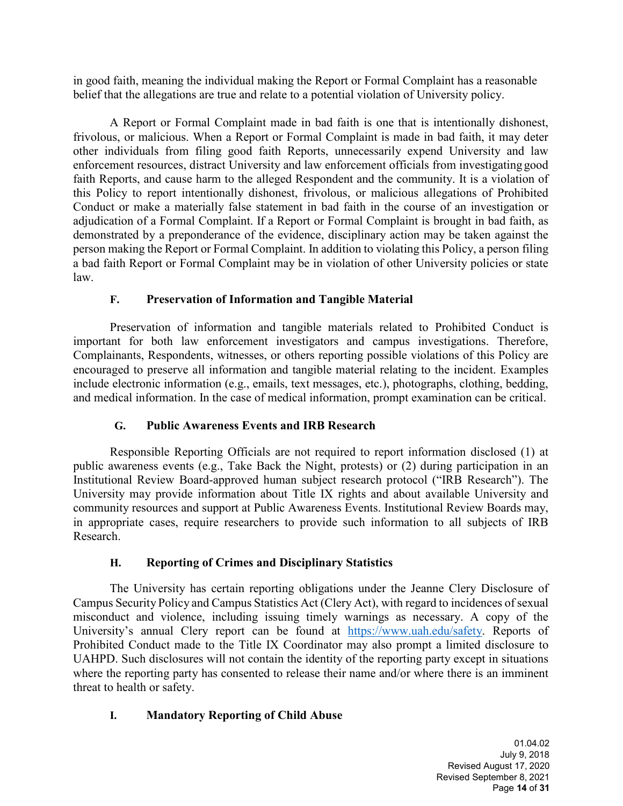in good faith, meaning the individual making the Report or Formal Complaint has a reasonable belief that the allegations are true and relate to a potential violation of University policy.

A Report or Formal Complaint made in bad faith is one that is intentionally dishonest, frivolous, or malicious. When a Report or Formal Complaint is made in bad faith, it may deter other individuals from filing good faith Reports, unnecessarily expend University and law enforcement resources, distract University and law enforcement officials from investigating good faith Reports, and cause harm to the alleged Respondent and the community. It is a violation of this Policy to report intentionally dishonest, frivolous, or malicious allegations of Prohibited Conduct or make a materially false statement in bad faith in the course of an investigation or adjudication of a Formal Complaint. If a Report or Formal Complaint is brought in bad faith, as demonstrated by a preponderance of the evidence, disciplinary action may be taken against the person making the Report or Formal Complaint. In addition to violating this Policy, a person filing a bad faith Report or Formal Complaint may be in violation of other University policies or state law.

## **F. Preservation of Information and Tangible Material**

Preservation of information and tangible materials related to Prohibited Conduct is important for both law enforcement investigators and campus investigations. Therefore, Complainants, Respondents, witnesses, or others reporting possible violations of this Policy are encouraged to preserve all information and tangible material relating to the incident. Examples include electronic information (e.g., emails, text messages, etc.), photographs, clothing, bedding, and medical information. In the case of medical information, prompt examination can be critical.

## **G. Public Awareness Events and IRB Research**

Responsible Reporting Officials are not required to report information disclosed (1) at public awareness events (e.g., Take Back the Night, protests) or (2) during participation in an Institutional Review Board-approved human subject research protocol ("IRB Research"). The University may provide information about Title IX rights and about available University and community resources and support at Public Awareness Events. Institutional Review Boards may, in appropriate cases, require researchers to provide such information to all subjects of IRB Research.

## **H. Reporting of Crimes and Disciplinary Statistics**

The University has certain reporting obligations under the Jeanne Clery Disclosure of Campus Security Policy and Campus Statistics Act (Clery Act), with regard to incidences of sexual misconduct and violence, including issuing timely warnings as necessary. A copy of the University's annual Clery report can be found at [https://www.uah.edu/safety.](https://www.uah.edu/safety) Reports of Prohibited Conduct made to the Title IX Coordinator may also prompt a limited disclosure to UAHPD. Such disclosures will not contain the identity of the reporting party except in situations where the reporting party has consented to release their name and/or where there is an imminent threat to health or safety.

#### **I. Mandatory Reporting of Child Abuse**

01.04.02 July 9, 2018 Revised August 17, 2020 Revised September 8, 2021 Page **14** of **31**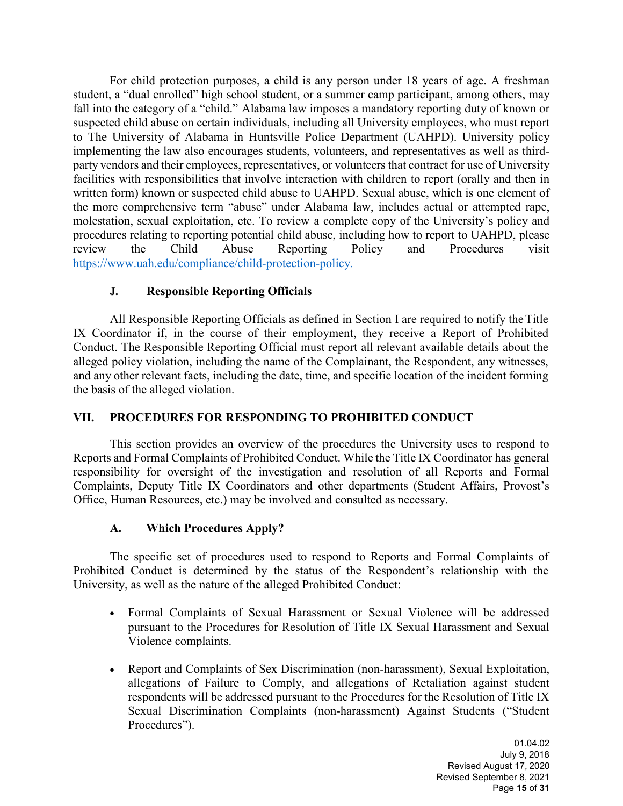For child protection purposes, a child is any person under 18 years of age. A freshman student, a "dual enrolled" high school student, or a summer camp participant, among others, may fall into the category of a "child." Alabama law imposes a mandatory reporting duty of known or suspected child abuse on certain individuals, including all University employees, who must report to The University of Alabama in Huntsville Police Department (UAHPD). University policy implementing the law also encourages students, volunteers, and representatives as well as thirdparty vendors and their employees, representatives, or volunteers that contract for use of University facilities with responsibilities that involve interaction with children to report (orally and then in written form) known or suspected child abuse to UAHPD. Sexual abuse, which is one element of the more comprehensive term "abuse" under Alabama law, includes actual or attempted rape, molestation, sexual exploitation, etc. To review a complete copy of the University's policy and procedures relating to reporting potential child abuse, including how to report to UAHPD, please review the Child Abuse Reporting Policy and Procedures visit [https://www.uah.edu/compliance/child-protection-policy.](https://www.uah.edu/compliance/child-protection-policy)

## **J. Responsible Reporting Officials**

All Responsible Reporting Officials as defined in Section I are required to notify theTitle IX Coordinator if, in the course of their employment, they receive a Report of Prohibited Conduct. The Responsible Reporting Official must report all relevant available details about the alleged policy violation, including the name of the Complainant, the Respondent, any witnesses, and any other relevant facts, including the date, time, and specific location of the incident forming the basis of the alleged violation.

## **VII. PROCEDURES FOR RESPONDING TO PROHIBITED CONDUCT**

This section provides an overview of the procedures the University uses to respond to Reports and Formal Complaints of Prohibited Conduct. While the Title IX Coordinator has general responsibility for oversight of the investigation and resolution of all Reports and Formal Complaints, Deputy Title IX Coordinators and other departments (Student Affairs, Provost's Office, Human Resources, etc.) may be involved and consulted as necessary.

#### **A. Which Procedures Apply?**

The specific set of procedures used to respond to Reports and Formal Complaints of Prohibited Conduct is determined by the status of the Respondent's relationship with the University, as well as the nature of the alleged Prohibited Conduct:

- Formal Complaints of Sexual Harassment or Sexual Violence will be addressed pursuant to the Procedures for Resolution of Title IX Sexual Harassment and Sexual Violence complaints.
- Report and Complaints of Sex Discrimination (non-harassment), Sexual Exploitation, allegations of Failure to Comply, and allegations of Retaliation against student respondents will be addressed pursuant to the Procedures for the Resolution of Title IX Sexual Discrimination Complaints (non-harassment) Against Students ("Student Procedures").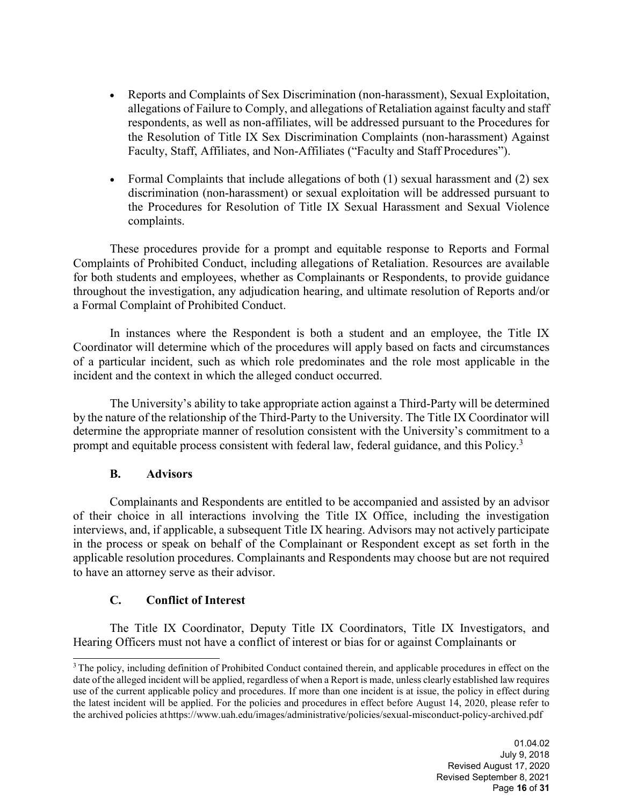- Reports and Complaints of Sex Discrimination (non-harassment), Sexual Exploitation, allegations of Failure to Comply, and allegations of Retaliation against faculty and staff respondents, as well as non-affiliates, will be addressed pursuant to the Procedures for the Resolution of Title IX Sex Discrimination Complaints (non-harassment) Against Faculty, Staff, Affiliates, and Non-Affiliates ("Faculty and Staff Procedures").
- Formal Complaints that include allegations of both (1) sexual harassment and (2) sex discrimination (non-harassment) or sexual exploitation will be addressed pursuant to the Procedures for Resolution of Title IX Sexual Harassment and Sexual Violence complaints.

These procedures provide for a prompt and equitable response to Reports and Formal Complaints of Prohibited Conduct, including allegations of Retaliation. Resources are available for both students and employees, whether as Complainants or Respondents, to provide guidance throughout the investigation, any adjudication hearing, and ultimate resolution of Reports and/or a Formal Complaint of Prohibited Conduct.

In instances where the Respondent is both a student and an employee, the Title IX Coordinator will determine which of the procedures will apply based on facts and circumstances of a particular incident, such as which role predominates and the role most applicable in the incident and the context in which the alleged conduct occurred.

The University's ability to take appropriate action against a Third-Party will be determined by the nature of the relationship of the Third-Party to the University. The Title IX Coordinator will determine the appropriate manner of resolution consistent with the University's commitment to a prompt and equitable process consistent with federal law, federal guidance, and this Policy.<sup>[3](#page-15-0)</sup>

#### **B. Advisors**

Complainants and Respondents are entitled to be accompanied and assisted by an advisor of their choice in all interactions involving the Title IX Office, including the investigation interviews, and, if applicable, a subsequent Title IX hearing. Advisors may not actively participate in the process or speak on behalf of the Complainant or Respondent except as set forth in the applicable resolution procedures. Complainants and Respondents may choose but are not required to have an attorney serve as their advisor.

#### **C. Conflict of Interest**

The Title IX Coordinator, Deputy Title IX Coordinators, Title IX Investigators, and Hearing Officers must not have a conflict of interest or bias for or against Complainants or

<span id="page-15-0"></span><sup>&</sup>lt;sup>3</sup> The policy, including definition of Prohibited Conduct contained therein, and applicable procedures in effect on the date of the alleged incident will be applied, regardless of when a Report is made, unless clearly established law requires use of the current applicable policy and procedures. If more than one incident is at issue, the policy in effect during the latest incident will be applied. For the policies and procedures in effect before August 14, 2020, please refer to the archived policies athttps:/[/www.uah.edu/images/administrative/policies/sexual-misconduct-policy-archived.pdf](http://www.uah.edu/images/administrative/policies/sexual-misconduct-policy-archived.pdf)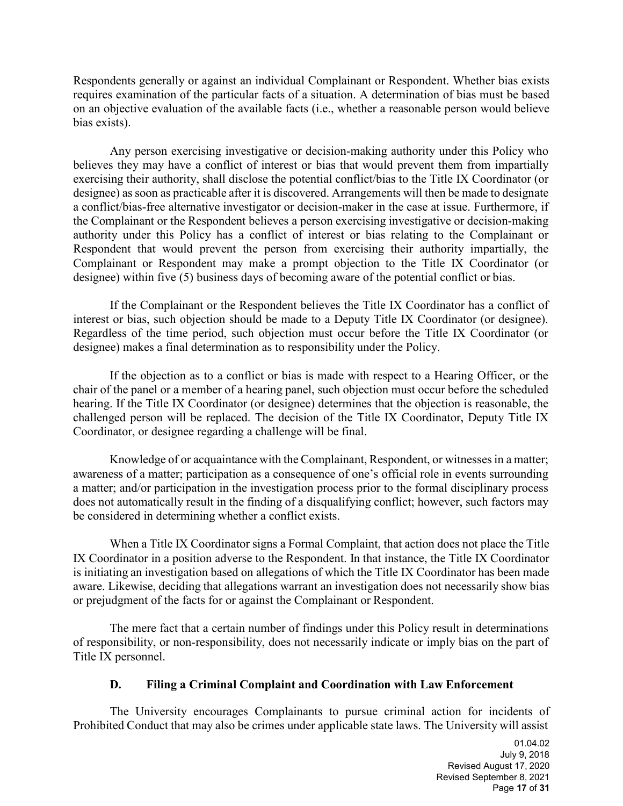Respondents generally or against an individual Complainant or Respondent. Whether bias exists requires examination of the particular facts of a situation. A determination of bias must be based on an objective evaluation of the available facts (i.e., whether a reasonable person would believe bias exists).

Any person exercising investigative or decision-making authority under this Policy who believes they may have a conflict of interest or bias that would prevent them from impartially exercising their authority, shall disclose the potential conflict/bias to the Title IX Coordinator (or designee) as soon as practicable after it is discovered. Arrangements will then be made to designate a conflict/bias-free alternative investigator or decision-maker in the case at issue. Furthermore, if the Complainant or the Respondent believes a person exercising investigative or decision-making authority under this Policy has a conflict of interest or bias relating to the Complainant or Respondent that would prevent the person from exercising their authority impartially, the Complainant or Respondent may make a prompt objection to the Title IX Coordinator (or designee) within five (5) business days of becoming aware of the potential conflict or bias.

If the Complainant or the Respondent believes the Title IX Coordinator has a conflict of interest or bias, such objection should be made to a Deputy Title IX Coordinator (or designee). Regardless of the time period, such objection must occur before the Title IX Coordinator (or designee) makes a final determination as to responsibility under the Policy.

If the objection as to a conflict or bias is made with respect to a Hearing Officer, or the chair of the panel or a member of a hearing panel, such objection must occur before the scheduled hearing. If the Title IX Coordinator (or designee) determines that the objection is reasonable, the challenged person will be replaced. The decision of the Title IX Coordinator, Deputy Title IX Coordinator, or designee regarding a challenge will be final.

Knowledge of or acquaintance with the Complainant, Respondent, or witnessesin a matter; awareness of a matter; participation as a consequence of one's official role in events surrounding a matter; and/or participation in the investigation process prior to the formal disciplinary process does not automatically result in the finding of a disqualifying conflict; however, such factors may be considered in determining whether a conflict exists.

When a Title IX Coordinator signs a Formal Complaint, that action does not place the Title IX Coordinator in a position adverse to the Respondent. In that instance, the Title IX Coordinator is initiating an investigation based on allegations of which the Title IX Coordinator has been made aware. Likewise, deciding that allegations warrant an investigation does not necessarily show bias or prejudgment of the facts for or against the Complainant or Respondent.

The mere fact that a certain number of findings under this Policy result in determinations of responsibility, or non-responsibility, does not necessarily indicate or imply bias on the part of Title IX personnel.

#### **D. Filing a Criminal Complaint and Coordination with Law Enforcement**

The University encourages Complainants to pursue criminal action for incidents of Prohibited Conduct that may also be crimes under applicable state laws. The University will assist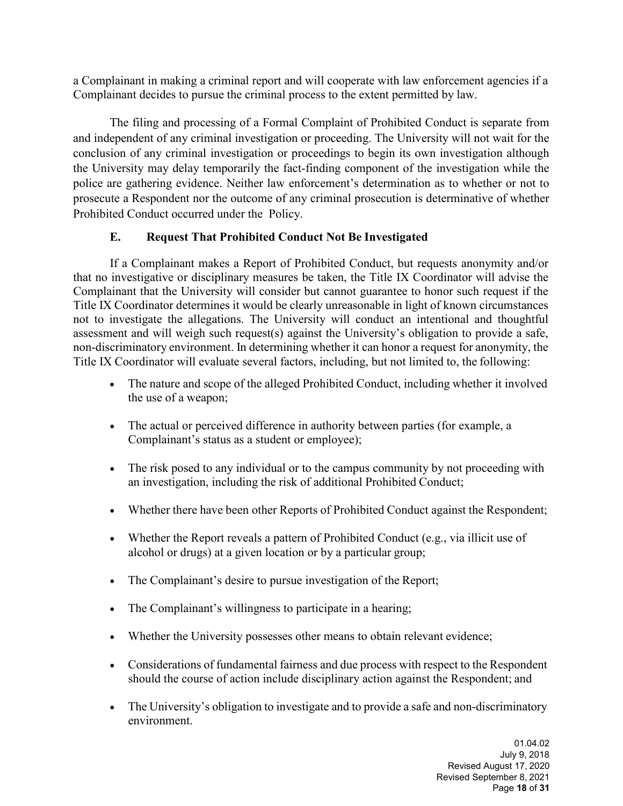a Complainant in making a criminal report and will cooperate with law enforcement agencies if a Complainant decides to pursue the criminal process to the extent permitted by law.

The filing and processing of a Formal Complaint of Prohibited Conduct is separate from and independent of any criminal investigation or proceeding. The University will not wait for the conclusion of any criminal investigation or proceedings to begin its own investigation although the University may delay temporarily the fact-finding component of the investigation while the police are gathering evidence. Neither law enforcement's determination as to whether or not to prosecute a Respondent nor the outcome of any criminal prosecution is determinative of whether Prohibited Conduct occurred under the Policy.

## **E. Request That Prohibited Conduct Not Be Investigated**

If a Complainant makes a Report of Prohibited Conduct, but requests anonymity and/or that no investigative or disciplinary measures be taken, the Title IX Coordinator will advise the Complainant that the University will consider but cannot guarantee to honor such request if the Title IX Coordinator determines it would be clearly unreasonable in light of known circumstances not to investigate the allegations. The University will conduct an intentional and thoughtful assessment and will weigh such request(s) against the University's obligation to provide a safe, non-discriminatory environment. In determining whether it can honor a request for anonymity, the Title IX Coordinator will evaluate several factors, including, but not limited to, the following:

- The nature and scope of the alleged Prohibited Conduct, including whether it involved the use of a weapon;
- The actual or perceived difference in authority between parties (for example, a Complainant's status as a student or employee);
- The risk posed to any individual or to the campus community by not proceeding with an investigation, including the risk of additional Prohibited Conduct;
- Whether there have been other Reports of Prohibited Conduct against the Respondent;
- Whether the Report reveals a pattern of Prohibited Conduct (e.g., via illicit use of alcohol or drugs) at a given location or by a particular group;
- The Complainant's desire to pursue investigation of the Report;
- The Complainant's willingness to participate in a hearing;
- Whether the University possesses other means to obtain relevant evidence;
- Considerations of fundamental fairness and due process with respect to the Respondent should the course of action include disciplinary action against the Respondent; and
- The University's obligation to investigate and to provide a safe and non-discriminatory environment.

01.04.02 July 9, 2018 Revised August 17, 2020 Revised September 8, 2021 Page **18** of **31**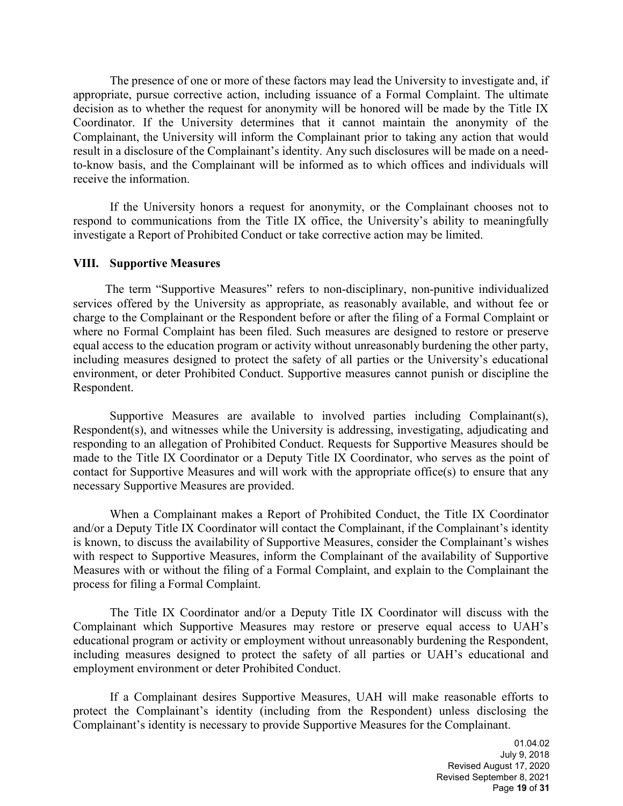The presence of one or more of these factors may lead the University to investigate and, if appropriate, pursue corrective action, including issuance of a Formal Complaint. The ultimate decision as to whether the request for anonymity will be honored will be made by the Title IX Coordinator. If the University determines that it cannot maintain the anonymity of the Complainant, the University will inform the Complainant prior to taking any action that would result in a disclosure of the Complainant's identity. Any such disclosures will be made on a needto-know basis, and the Complainant will be informed as to which offices and individuals will receive the information.

If the University honors a request for anonymity, or the Complainant chooses not to respond to communications from the Title IX office, the University's ability to meaningfully investigate a Report of Prohibited Conduct or take corrective action may be limited.

#### **VIII. Supportive Measures**

The term "Supportive Measures" refers to non-disciplinary, non-punitive individualized services offered by the University as appropriate, as reasonably available, and without fee or charge to the Complainant or the Respondent before or after the filing of a Formal Complaint or where no Formal Complaint has been filed. Such measures are designed to restore or preserve equal access to the education program or activity without unreasonably burdening the other party, including measures designed to protect the safety of all parties or the University's educational environment, or deter Prohibited Conduct. Supportive measures cannot punish or discipline the Respondent.

Supportive Measures are available to involved parties including Complainant(s), Respondent(s), and witnesses while the University is addressing, investigating, adjudicating and responding to an allegation of Prohibited Conduct. Requests for Supportive Measures should be made to the Title IX Coordinator or a Deputy Title IX Coordinator, who serves as the point of contact for Supportive Measures and will work with the appropriate office(s) to ensure that any necessary Supportive Measures are provided.

When a Complainant makes a Report of Prohibited Conduct, the Title IX Coordinator and/or a Deputy Title IX Coordinator will contact the Complainant, if the Complainant's identity is known, to discuss the availability of Supportive Measures, consider the Complainant's wishes with respect to Supportive Measures, inform the Complainant of the availability of Supportive Measures with or without the filing of a Formal Complaint, and explain to the Complainant the process for filing a Formal Complaint.

The Title IX Coordinator and/or a Deputy Title IX Coordinator will discuss with the Complainant which Supportive Measures may restore or preserve equal access to UAH's educational program or activity or employment without unreasonably burdening the Respondent, including measures designed to protect the safety of all parties or UAH's educational and employment environment or deter Prohibited Conduct.

If a Complainant desires Supportive Measures, UAH will make reasonable efforts to protect the Complainant's identity (including from the Respondent) unless disclosing the Complainant's identity is necessary to provide Supportive Measures for the Complainant.

> 01.04.02 July 9, 2018 Revised August 17, 2020 Revised September 8, 2021 Page **19** of **31**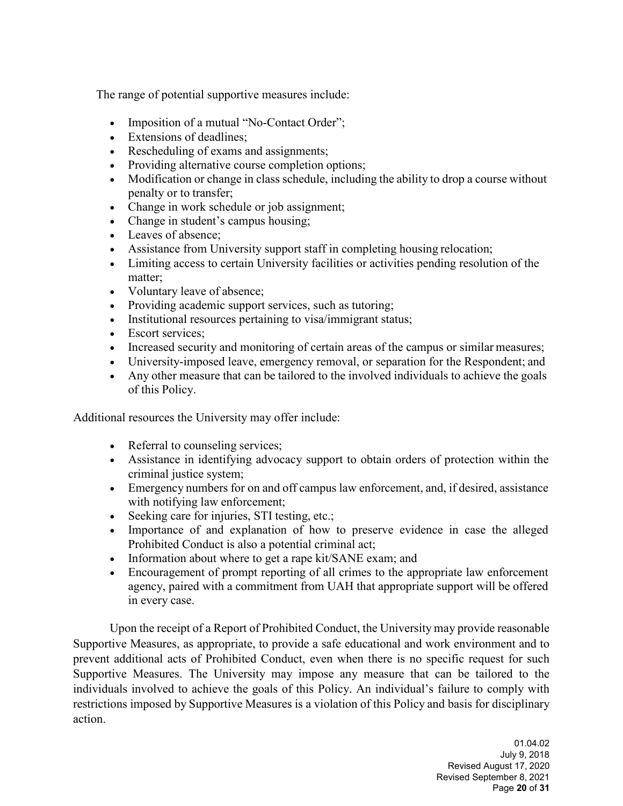The range of potential supportive measures include:

- Imposition of a mutual "No-Contact Order";
- Extensions of deadlines:
- Rescheduling of exams and assignments;
- Providing alternative course completion options;
- Modification or change in class schedule, including the ability to drop a course without penalty or to transfer;
- Change in work schedule or job assignment;
- Change in student's campus housing;
- Leaves of absence;
- Assistance from University support staff in completing housing relocation;
- Limiting access to certain University facilities or activities pending resolution of the matter;
- Voluntary leave of absence;
- Providing academic support services, such as tutoring;
- Institutional resources pertaining to visa/immigrant status;
- Escort services:
- Increased security and monitoring of certain areas of the campus or similar measures;
- University-imposed leave, emergency removal, or separation for the Respondent; and
- Any other measure that can be tailored to the involved individuals to achieve the goals of this Policy.

Additional resources the University may offer include:

- Referral to counseling services;
- Assistance in identifying advocacy support to obtain orders of protection within the criminal justice system;
- Emergency numbers for on and off campus law enforcement, and, if desired, assistance with notifying law enforcement;
- Seeking care for injuries, STI testing, etc.;
- Importance of and explanation of how to preserve evidence in case the alleged Prohibited Conduct is also a potential criminal act;
- Information about where to get a rape kit/SANE exam; and
- Encouragement of prompt reporting of all crimes to the appropriate law enforcement agency, paired with a commitment from UAH that appropriate support will be offered in every case.

Upon the receipt of a Report of Prohibited Conduct, the University may provide reasonable Supportive Measures, as appropriate, to provide a safe educational and work environment and to prevent additional acts of Prohibited Conduct, even when there is no specific request for such Supportive Measures. The University may impose any measure that can be tailored to the individuals involved to achieve the goals of this Policy. An individual's failure to comply with restrictions imposed by Supportive Measures is a violation of this Policy and basis for disciplinary action.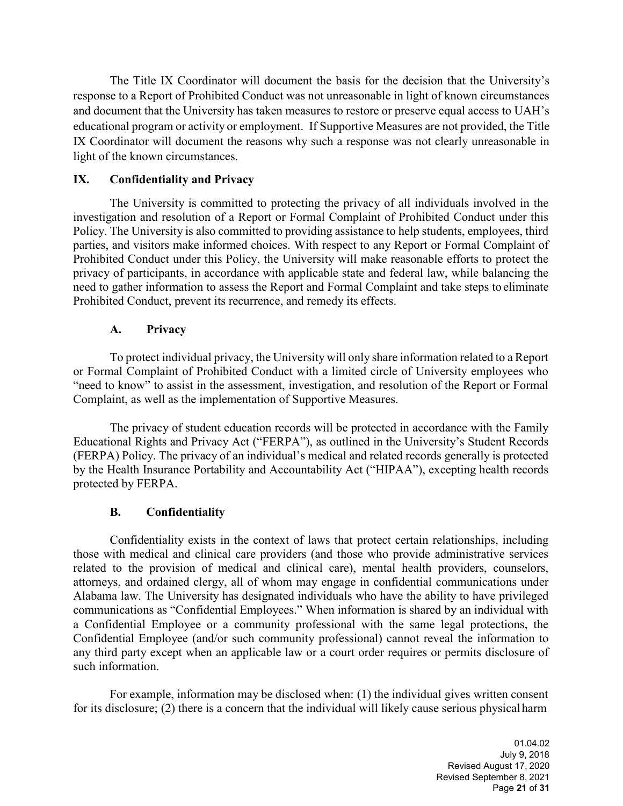The Title IX Coordinator will document the basis for the decision that the University's response to a Report of Prohibited Conduct was not unreasonable in light of known circumstances and document that the University has taken measures to restore or preserve equal access to UAH's educational program or activity or employment. If Supportive Measures are not provided, the Title IX Coordinator will document the reasons why such a response was not clearly unreasonable in light of the known circumstances.

## **IX. Confidentiality and Privacy**

The University is committed to protecting the privacy of all individuals involved in the investigation and resolution of a Report or Formal Complaint of Prohibited Conduct under this Policy. The University is also committed to providing assistance to help students, employees, third parties, and visitors make informed choices. With respect to any Report or Formal Complaint of Prohibited Conduct under this Policy, the University will make reasonable efforts to protect the privacy of participants, in accordance with applicable state and federal law, while balancing the need to gather information to assess the Report and Formal Complaint and take steps to eliminate Prohibited Conduct, prevent its recurrence, and remedy its effects.

#### **A. Privacy**

To protect individual privacy, the University will only share information related to a Report or Formal Complaint of Prohibited Conduct with a limited circle of University employees who "need to know" to assist in the assessment, investigation, and resolution of the Report or Formal Complaint, as well as the implementation of Supportive Measures.

The privacy of student education records will be protected in accordance with the Family Educational Rights and Privacy Act ("FERPA"), as outlined in the University's Student Records (FERPA) Policy. The privacy of an individual's medical and related records generally is protected by the Health Insurance Portability and Accountability Act ("HIPAA"), excepting health records protected by FERPA.

#### **B. Confidentiality**

Confidentiality exists in the context of laws that protect certain relationships, including those with medical and clinical care providers (and those who provide administrative services related to the provision of medical and clinical care), mental health providers, counselors, attorneys, and ordained clergy, all of whom may engage in confidential communications under Alabama law. The University has designated individuals who have the ability to have privileged communications as "Confidential Employees." When information is shared by an individual with a Confidential Employee or a community professional with the same legal protections, the Confidential Employee (and/or such community professional) cannot reveal the information to any third party except when an applicable law or a court order requires or permits disclosure of such information.

For example, information may be disclosed when: (1) the individual gives written consent for its disclosure; (2) there is a concern that the individual will likely cause serious physical harm

> 01.04.02 July 9, 2018 Revised August 17, 2020 Revised September 8, 2021 Page **21** of **31**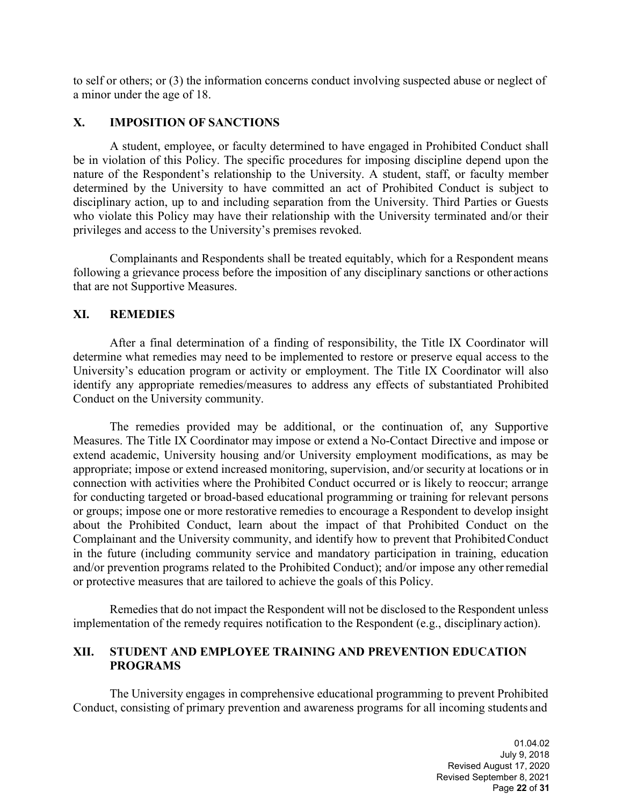to self or others; or (3) the information concerns conduct involving suspected abuse or neglect of a minor under the age of 18.

#### **X. IMPOSITION OF SANCTIONS**

A student, employee, or faculty determined to have engaged in Prohibited Conduct shall be in violation of this Policy. The specific procedures for imposing discipline depend upon the nature of the Respondent's relationship to the University. A student, staff, or faculty member determined by the University to have committed an act of Prohibited Conduct is subject to disciplinary action, up to and including separation from the University. Third Parties or Guests who violate this Policy may have their relationship with the University terminated and/or their privileges and access to the University's premises revoked.

Complainants and Respondents shall be treated equitably, which for a Respondent means following a grievance process before the imposition of any disciplinary sanctions or other actions that are not Supportive Measures.

#### **XI. REMEDIES**

After a final determination of a finding of responsibility, the Title IX Coordinator will determine what remedies may need to be implemented to restore or preserve equal access to the University's education program or activity or employment. The Title IX Coordinator will also identify any appropriate remedies/measures to address any effects of substantiated Prohibited Conduct on the University community.

The remedies provided may be additional, or the continuation of, any Supportive Measures. The Title IX Coordinator may impose or extend a No-Contact Directive and impose or extend academic, University housing and/or University employment modifications, as may be appropriate; impose or extend increased monitoring, supervision, and/or security at locations or in connection with activities where the Prohibited Conduct occurred or is likely to reoccur; arrange for conducting targeted or broad-based educational programming or training for relevant persons or groups; impose one or more restorative remedies to encourage a Respondent to develop insight about the Prohibited Conduct, learn about the impact of that Prohibited Conduct on the Complainant and the University community, and identify how to prevent that ProhibitedConduct in the future (including community service and mandatory participation in training, education and/or prevention programs related to the Prohibited Conduct); and/or impose any otherremedial or protective measures that are tailored to achieve the goals of this Policy.

Remedies that do not impact the Respondent will not be disclosed to the Respondent unless implementation of the remedy requires notification to the Respondent (e.g., disciplinary action).

#### **XII. STUDENT AND EMPLOYEE TRAINING AND PREVENTION EDUCATION PROGRAMS**

The University engages in comprehensive educational programming to prevent Prohibited Conduct, consisting of primary prevention and awareness programs for all incoming students and

> 01.04.02 July 9, 2018 Revised August 17, 2020 Revised September 8, 2021 Page **22** of **31**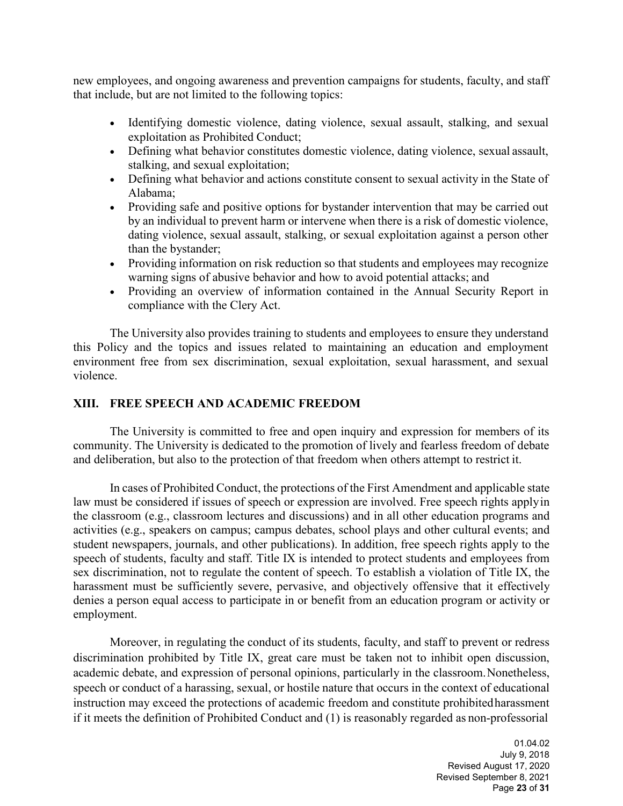new employees, and ongoing awareness and prevention campaigns for students, faculty, and staff that include, but are not limited to the following topics:

- Identifying domestic violence, dating violence, sexual assault, stalking, and sexual exploitation as Prohibited Conduct;
- Defining what behavior constitutes domestic violence, dating violence, sexual assault, stalking, and sexual exploitation;
- Defining what behavior and actions constitute consent to sexual activity in the State of Alabama;
- Providing safe and positive options for bystander intervention that may be carried out by an individual to prevent harm or intervene when there is a risk of domestic violence, dating violence, sexual assault, stalking, or sexual exploitation against a person other than the bystander;
- Providing information on risk reduction so that students and employees may recognize warning signs of abusive behavior and how to avoid potential attacks; and
- Providing an overview of information contained in the Annual Security Report in compliance with the Clery Act.

The University also provides training to students and employees to ensure they understand this Policy and the topics and issues related to maintaining an education and employment environment free from sex discrimination, sexual exploitation, sexual harassment, and sexual violence.

#### **XIII. FREE SPEECH AND ACADEMIC FREEDOM**

The University is committed to free and open inquiry and expression for members of its community. The University is dedicated to the promotion of lively and fearless freedom of debate and deliberation, but also to the protection of that freedom when others attempt to restrict it.

In cases of Prohibited Conduct, the protections of the First Amendment and applicable state law must be considered if issues of speech or expression are involved. Free speech rights applyin the classroom (e.g., classroom lectures and discussions) and in all other education programs and activities (e.g., speakers on campus; campus debates, school plays and other cultural events; and student newspapers, journals, and other publications). In addition, free speech rights apply to the speech of students, faculty and staff. Title IX is intended to protect students and employees from sex discrimination, not to regulate the content of speech. To establish a violation of Title IX, the harassment must be sufficiently severe, pervasive, and objectively offensive that it effectively denies a person equal access to participate in or benefit from an education program or activity or employment.

Moreover, in regulating the conduct of its students, faculty, and staff to prevent or redress discrimination prohibited by Title IX, great care must be taken not to inhibit open discussion, academic debate, and expression of personal opinions, particularly in the classroom.Nonetheless, speech or conduct of a harassing, sexual, or hostile nature that occurs in the context of educational instruction may exceed the protections of academic freedom and constitute prohibitedharassment if it meets the definition of Prohibited Conduct and (1) is reasonably regarded as non-professorial

> 01.04.02 July 9, 2018 Revised August 17, 2020 Revised September 8, 2021 Page **23** of **31**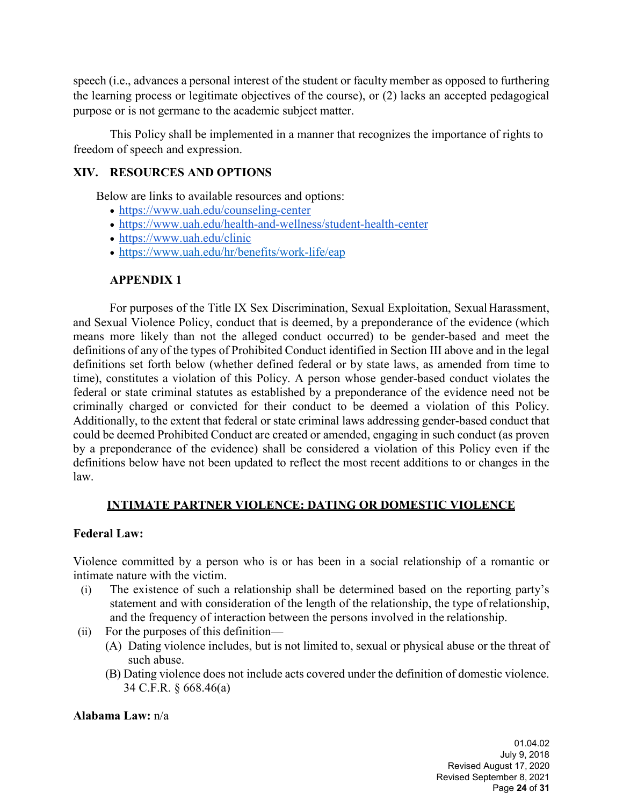speech (i.e., advances a personal interest of the student or faculty member as opposed to furthering the learning process or legitimate objectives of the course), or (2) lacks an accepted pedagogical purpose or is not germane to the academic subject matter.

This Policy shall be implemented in a manner that recognizes the importance of rights to freedom of speech and expression.

#### **XIV. RESOURCES AND OPTIONS**

Below are links to available resources and options:

- <https://www.uah.edu/counseling-center>
- <https://www.uah.edu/health-and-wellness/student-health-center>
- <https://www.uah.edu/clinic>
- <https://www.uah.edu/hr/benefits/work-life/eap>

## **APPENDIX 1**

For purposes of the Title IX Sex Discrimination, Sexual Exploitation, SexualHarassment, and Sexual Violence Policy, conduct that is deemed, by a preponderance of the evidence (which means more likely than not the alleged conduct occurred) to be gender-based and meet the definitions of any of the types of Prohibited Conduct identified in Section III above and in the legal definitions set forth below (whether defined federal or by state laws, as amended from time to time), constitutes a violation of this Policy. A person whose gender-based conduct violates the federal or state criminal statutes as established by a preponderance of the evidence need not be criminally charged or convicted for their conduct to be deemed a violation of this Policy. Additionally, to the extent that federal or state criminal laws addressing gender-based conduct that could be deemed Prohibited Conduct are created or amended, engaging in such conduct (as proven by a preponderance of the evidence) shall be considered a violation of this Policy even if the definitions below have not been updated to reflect the most recent additions to or changes in the law.

#### **INTIMATE PARTNER VIOLENCE: DATING OR DOMESTIC VIOLENCE**

#### **Federal Law:**

Violence committed by a person who is or has been in a social relationship of a romantic or intimate nature with the victim.

- (i) The existence of such a relationship shall be determined based on the reporting party's statement and with consideration of the length of the relationship, the type ofrelationship, and the frequency of interaction between the persons involved in the relationship.
- (ii) For the purposes of this definition—
	- (A) Dating violence includes, but is not limited to, sexual or physical abuse or the threat of such abuse.
	- (B) Dating violence does not include acts covered under the definition of domestic violence. 34 C.F.R. § 668.46(a)

#### **Alabama Law:** n/a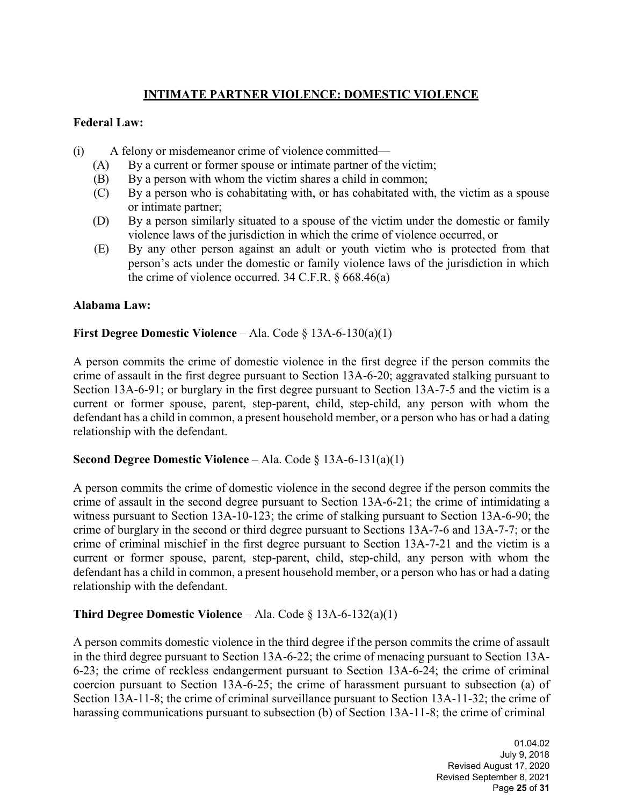## **INTIMATE PARTNER VIOLENCE: DOMESTIC VIOLENCE**

#### **Federal Law:**

- (i) A felony or misdemeanor crime of violence committed—
	- (A) By a current or former spouse or intimate partner of the victim;
	- (B) By a person with whom the victim shares a child in common;
	- (C) By a person who is cohabitating with, or has cohabitated with, the victim as a spouse or intimate partner;
	- (D) By a person similarly situated to a spouse of the victim under the domestic or family violence laws of the jurisdiction in which the crime of violence occurred, or
	- (E) By any other person against an adult or youth victim who is protected from that person's acts under the domestic or family violence laws of the jurisdiction in which the crime of violence occurred.  $34$  C.F.R.  $\frac{668.46(a)}{240}$

#### **Alabama Law:**

#### **First Degree Domestic Violence** – Ala. Code § 13A-6-130(a)(1)

A person commits the crime of domestic violence in the first degree if the person commits the crime of assault in the first degree pursuant to Section 13A-6-20; aggravated stalking pursuant to Section 13A-6-91; or burglary in the first degree pursuant to Section 13A-7-5 and the victim is a current or former spouse, parent, step-parent, child, step-child, any person with whom the defendant has a child in common, a present household member, or a person who has or had a dating relationship with the defendant.

#### **Second Degree Domestic Violence** – Ala. Code § 13A-6-131(a)(1)

A person commits the crime of domestic violence in the second degree if the person commits the crime of assault in the second degree pursuant to Section 13A-6-21; the crime of intimidating a witness pursuant to Section 13A-10-123; the crime of stalking pursuant to Section 13A-6-90; the crime of burglary in the second or third degree pursuant to Sections 13A-7-6 and 13A-7-7; or the crime of criminal mischief in the first degree pursuant to Section 13A-7-21 and the victim is a current or former spouse, parent, step-parent, child, step-child, any person with whom the defendant has a child in common, a present household member, or a person who has or had a dating relationship with the defendant.

#### **Third Degree Domestic Violence** – Ala. Code § 13A-6-132(a)(1)

A person commits domestic violence in the third degree if the person commits the crime of assault in the third degree pursuant to Section 13A-6-22; the crime of menacing pursuant to Section 13A-6-23; the crime of reckless endangerment pursuant to Section 13A-6-24; the crime of criminal coercion pursuant to Section 13A-6-25; the crime of harassment pursuant to subsection (a) of Section 13A-11-8; the crime of criminal surveillance pursuant to Section 13A-11-32; the crime of harassing communications pursuant to subsection (b) of Section 13A-11-8; the crime of criminal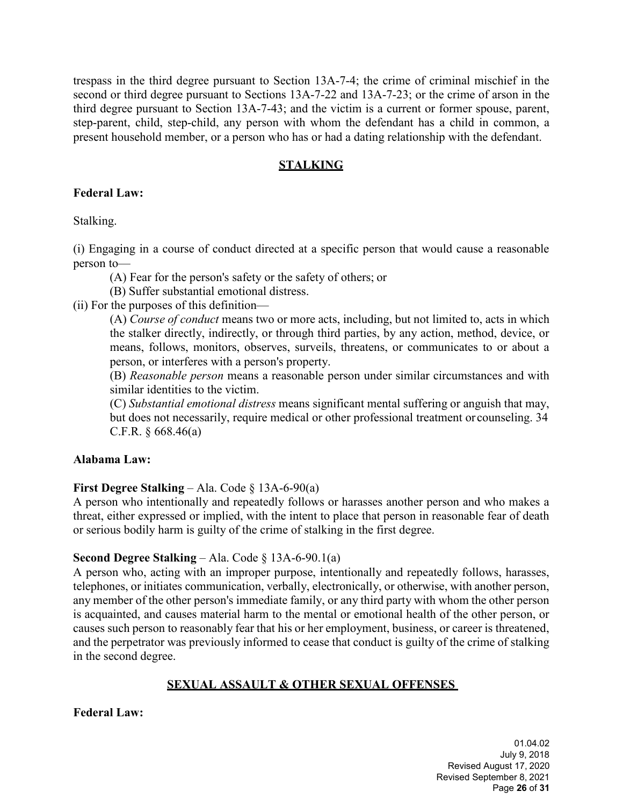trespass in the third degree pursuant to Section 13A-7-4; the crime of criminal mischief in the second or third degree pursuant to Sections 13A-7-22 and 13A-7-23; or the crime of arson in the third degree pursuant to Section 13A-7-43; and the victim is a current or former spouse, parent, step-parent, child, step-child, any person with whom the defendant has a child in common, a present household member, or a person who has or had a dating relationship with the defendant.

## **STALKING**

#### **Federal Law:**

Stalking.

(i) Engaging in a course of conduct directed at a specific person that would cause a reasonable person to—

(A) Fear for the person's safety or the safety of others; or

(B) Suffer substantial emotional distress.

(ii) For the purposes of this definition—

(A) *Course of conduct* means two or more acts, including, but not limited to, acts in which the stalker directly, indirectly, or through third parties, by any action, method, device, or means, follows, monitors, observes, surveils, threatens, or communicates to or about a person, or interferes with a person's property.

(B) *Reasonable person* means a reasonable person under similar circumstances and with similar identities to the victim.

(C) *Substantial emotional distress* means significant mental suffering or anguish that may, but does not necessarily, require medical or other professional treatment or counseling. 34 C.F.R.  $§$  668.46(a)

#### **Alabama Law:**

#### **First Degree Stalking** – Ala. Code § 13A-6-90(a)

A person who intentionally and repeatedly follows or harasses another person and who makes a threat, either expressed or implied, with the intent to place that person in reasonable fear of death or serious bodily harm is guilty of the crime of stalking in the first degree.

#### **Second Degree Stalking** – Ala. Code § 13A-6-90.1(a)

A person who, acting with an improper purpose, intentionally and repeatedly follows, harasses, telephones, or initiates communication, verbally, electronically, or otherwise, with another person, any member of the other person's immediate family, or any third party with whom the other person is acquainted, and causes material harm to the mental or emotional health of the other person, or causes such person to reasonably fear that his or her employment, business, or career is threatened, and the perpetrator was previously informed to cease that conduct is guilty of the crime of stalking in the second degree.

#### **SEXUAL ASSAULT & OTHER SEXUAL OFFENSES**

**Federal Law:**

01.04.02 July 9, 2018 Revised August 17, 2020 Revised September 8, 2021 Page **26** of **31**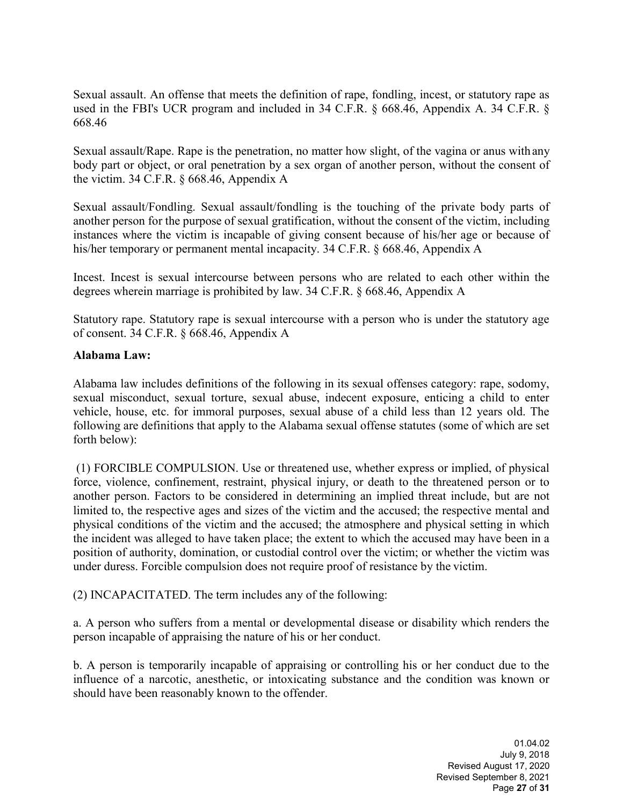Sexual assault. An offense that meets the definition of rape, fondling, incest, or statutory rape as used in the FBI's UCR program and included in 34 C.F.R. § 668.46, Appendix A. 34 C.F.R. § 668.46

Sexual assault/Rape. Rape is the penetration, no matter how slight, of the vagina or anus with any body part or object, or oral penetration by a sex organ of another person, without the consent of the victim. 34 C.F.R. § 668.46, Appendix A

Sexual assault/Fondling. Sexual assault/fondling is the touching of the private body parts of another person for the purpose of sexual gratification, without the consent of the victim, including instances where the victim is incapable of giving consent because of his/her age or because of his/her temporary or permanent mental incapacity. 34 C.F.R. § 668.46, Appendix A

Incest. Incest is sexual intercourse between persons who are related to each other within the degrees wherein marriage is prohibited by law. 34 C.F.R. § 668.46, Appendix A

Statutory rape. Statutory rape is sexual intercourse with a person who is under the statutory age of consent. 34 C.F.R. § 668.46, Appendix A

#### **Alabama Law:**

Alabama law includes definitions of the following in its sexual offenses category: rape, sodomy, sexual misconduct, sexual torture, sexual abuse, indecent exposure, enticing a child to enter vehicle, house, etc. for immoral purposes, sexual abuse of a child less than 12 years old. The following are definitions that apply to the Alabama sexual offense statutes (some of which are set forth below):

(1) FORCIBLE COMPULSION. Use or threatened use, whether express or implied, of physical force, violence, confinement, restraint, physical injury, or death to the threatened person or to another person. Factors to be considered in determining an implied threat include, but are not limited to, the respective ages and sizes of the victim and the accused; the respective mental and physical conditions of the victim and the accused; the atmosphere and physical setting in which the incident was alleged to have taken place; the extent to which the accused may have been in a position of authority, domination, or custodial control over the victim; or whether the victim was under duress. Forcible compulsion does not require proof of resistance by the victim.

(2) INCAPACITATED. The term includes any of the following:

a. A person who suffers from a mental or developmental disease or disability which renders the person incapable of appraising the nature of his or her conduct.

b. A person is temporarily incapable of appraising or controlling his or her conduct due to the influence of a narcotic, anesthetic, or intoxicating substance and the condition was known or should have been reasonably known to the offender.

> 01.04.02 July 9, 2018 Revised August 17, 2020 Revised September 8, 2021 Page **27** of **31**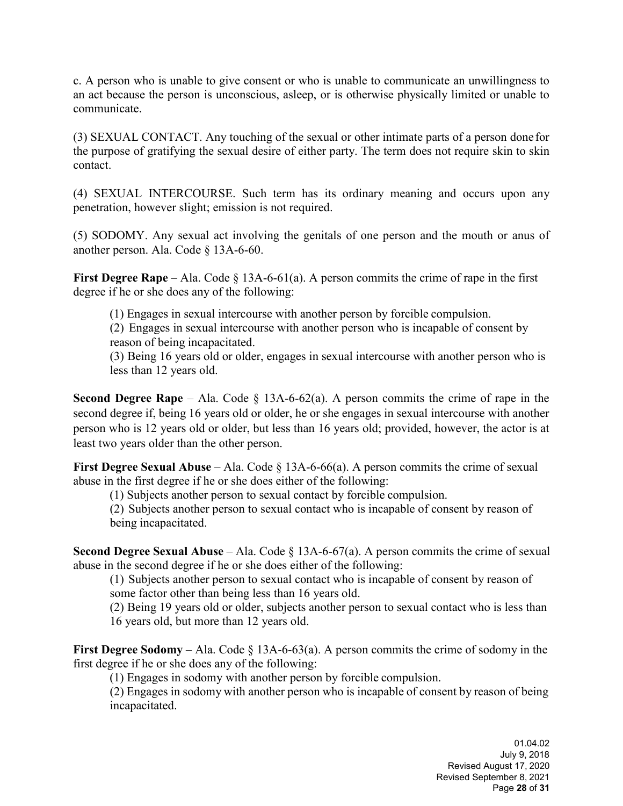c. A person who is unable to give consent or who is unable to communicate an unwillingness to an act because the person is unconscious, asleep, or is otherwise physically limited or unable to communicate.

(3) SEXUAL CONTACT. Any touching of the sexual or other intimate parts of a person done for the purpose of gratifying the sexual desire of either party. The term does not require skin to skin contact.

(4) SEXUAL INTERCOURSE. Such term has its ordinary meaning and occurs upon any penetration, however slight; emission is not required.

(5) SODOMY. Any sexual act involving the genitals of one person and the mouth or anus of another person. Ala. Code § 13A-6-60.

**First Degree Rape** – Ala. Code § 13A-6-61(a). A person commits the crime of rape in the first degree if he or she does any of the following:

(1) Engages in sexual intercourse with another person by forcible compulsion.

(2) Engages in sexual intercourse with another person who is incapable of consent by reason of being incapacitated.

(3) Being 16 years old or older, engages in sexual intercourse with another person who is less than 12 years old.

**Second Degree Rape** – Ala. Code  $\S$  13A-6-62(a). A person commits the crime of rape in the second degree if, being 16 years old or older, he or she engages in sexual intercourse with another person who is 12 years old or older, but less than 16 years old; provided, however, the actor is at least two years older than the other person.

**First Degree Sexual Abuse** – Ala. Code § 13A-6-66(a). A person commits the crime of sexual abuse in the first degree if he or she does either of the following:

(1) Subjects another person to sexual contact by forcible compulsion.

(2) Subjects another person to sexual contact who is incapable of consent by reason of being incapacitated.

**Second Degree Sexual Abuse** – Ala. Code § 13A-6-67(a). A person commits the crime of sexual abuse in the second degree if he or she does either of the following:

(1) Subjects another person to sexual contact who is incapable of consent by reason of some factor other than being less than 16 years old.

(2) Being 19 years old or older, subjects another person to sexual contact who is less than 16 years old, but more than 12 years old.

**First Degree Sodomy** – Ala. Code § 13A-6-63(a). A person commits the crime of sodomy in the first degree if he or she does any of the following:

(1) Engages in sodomy with another person by forcible compulsion.

(2) Engages in sodomy with another person who is incapable of consent by reason of being incapacitated.

> 01.04.02 July 9, 2018 Revised August 17, 2020 Revised September 8, 2021 Page **28** of **31**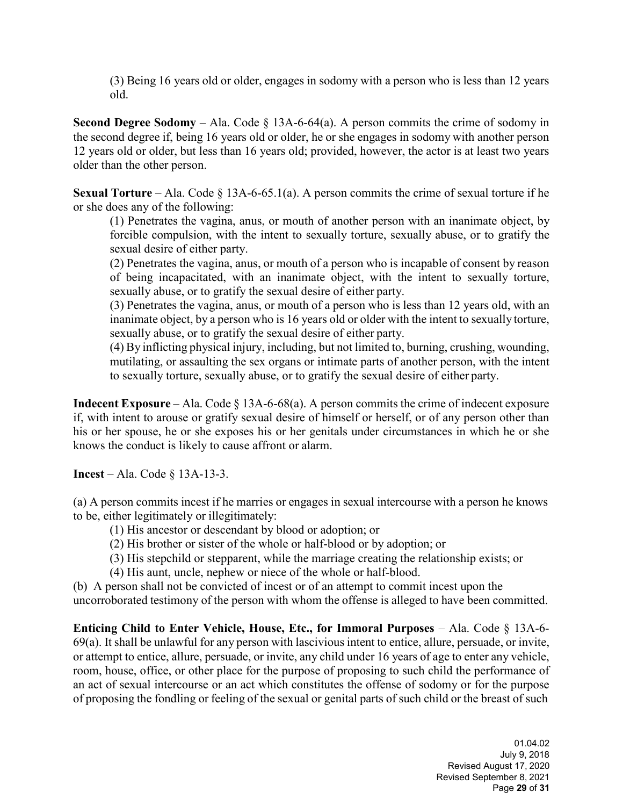(3) Being 16 years old or older, engages in sodomy with a person who is less than 12 years old.

**Second Degree Sodomy** – Ala. Code  $\S$  13A-6-64(a). A person commits the crime of sodomy in the second degree if, being 16 years old or older, he or she engages in sodomy with another person 12 years old or older, but less than 16 years old; provided, however, the actor is at least two years older than the other person.

**Sexual Torture** – Ala. Code § 13A-6-65.1(a). A person commits the crime of sexual torture if he or she does any of the following:

(1) Penetrates the vagina, anus, or mouth of another person with an inanimate object, by forcible compulsion, with the intent to sexually torture, sexually abuse, or to gratify the sexual desire of either party.

(2) Penetrates the vagina, anus, or mouth of a person who is incapable of consent by reason of being incapacitated, with an inanimate object, with the intent to sexually torture, sexually abuse, or to gratify the sexual desire of either party.

(3) Penetrates the vagina, anus, or mouth of a person who is less than 12 years old, with an inanimate object, by a person who is 16 years old or older with the intent to sexually torture, sexually abuse, or to gratify the sexual desire of either party.

(4) By inflicting physical injury, including, but not limited to, burning, crushing, wounding, mutilating, or assaulting the sex organs or intimate parts of another person, with the intent to sexually torture, sexually abuse, or to gratify the sexual desire of either party.

**Indecent Exposure** – Ala. Code § 13A-6-68(a). A person commits the crime of indecent exposure if, with intent to arouse or gratify sexual desire of himself or herself, or of any person other than his or her spouse, he or she exposes his or her genitals under circumstances in which he or she knows the conduct is likely to cause affront or alarm.

**Incest** – Ala. Code § 13A-13-3.

(a) A person commits incest if he marries or engages in sexual intercourse with a person he knows to be, either legitimately or illegitimately:

- (1) His ancestor or descendant by blood or adoption; or
- (2) His brother or sister of the whole or half-blood or by adoption; or
- (3) His stepchild or stepparent, while the marriage creating the relationship exists; or
- (4) His aunt, uncle, nephew or niece of the whole or half-blood.

(b) A person shall not be convicted of incest or of an attempt to commit incest upon the uncorroborated testimony of the person with whom the offense is alleged to have been committed.

**Enticing Child to Enter Vehicle, House, Etc., for Immoral Purposes – Ala. Code § 13A-6-**69(a). It shall be unlawful for any person with lascivious intent to entice, allure, persuade, or invite, or attempt to entice, allure, persuade, or invite, any child under 16 years of age to enter any vehicle, room, house, office, or other place for the purpose of proposing to such child the performance of an act of sexual intercourse or an act which constitutes the offense of sodomy or for the purpose of proposing the fondling or feeling of the sexual or genital parts of such child or the breast of such

> 01.04.02 July 9, 2018 Revised August 17, 2020 Revised September 8, 2021 Page **29** of **31**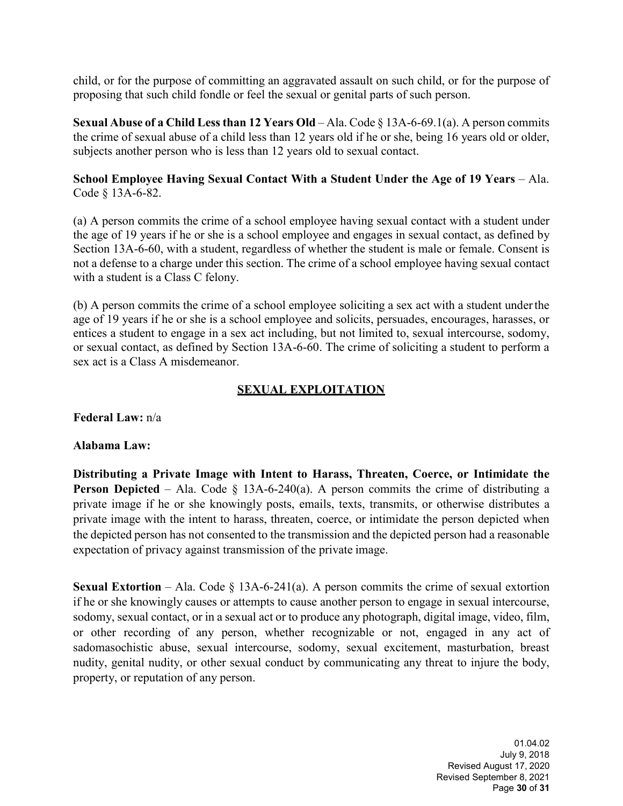child, or for the purpose of committing an aggravated assault on such child, or for the purpose of proposing that such child fondle or feel the sexual or genital parts of such person.

**Sexual Abuse of a Child Lessthan 12 Years Old** – Ala. Code § 13A-6-69.1(a). A person commits the crime of sexual abuse of a child less than 12 years old if he or she, being 16 years old or older, subjects another person who is less than 12 years old to sexual contact.

#### **School Employee Having Sexual Contact With a Student Under the Age of 19 Years** – Ala. Code § 13A-6-82.

(a) A person commits the crime of a school employee having sexual contact with a student under the age of 19 years if he or she is a school employee and engages in sexual contact, as defined by Section 13A-6-60, with a student, regardless of whether the student is male or female. Consent is not a defense to a charge under this section. The crime of a school employee having sexual contact with a student is a Class C felony.

(b) A person commits the crime of a school employee soliciting a sex act with a student underthe age of 19 years if he or she is a school employee and solicits, persuades, encourages, harasses, or entices a student to engage in a sex act including, but not limited to, sexual intercourse, sodomy, or sexual contact, as defined by Section 13A-6-60. The crime of soliciting a student to perform a sex act is a Class A misdemeanor.

## **SEXUAL EXPLOITATION**

**Federal Law:** n/a

#### **Alabama Law:**

**Distributing a Private Image with Intent to Harass, Threaten, Coerce, or Intimidate the Person Depicted** – Ala. Code § 13A-6-240(a). A person commits the crime of distributing a private image if he or she knowingly posts, emails, texts, transmits, or otherwise distributes a private image with the intent to harass, threaten, coerce, or intimidate the person depicted when the depicted person has not consented to the transmission and the depicted person had a reasonable expectation of privacy against transmission of the private image.

**Sexual Extortion** – Ala. Code  $\S$  13A-6-241(a). A person commits the crime of sexual extortion if he or she knowingly causes or attempts to cause another person to engage in sexual intercourse, sodomy, sexual contact, or in a sexual act or to produce any photograph, digital image, video, film, or other recording of any person, whether recognizable or not, engaged in any act of sadomasochistic abuse, sexual intercourse, sodomy, sexual excitement, masturbation, breast nudity, genital nudity, or other sexual conduct by communicating any threat to injure the body, property, or reputation of any person.

> 01.04.02 July 9, 2018 Revised August 17, 2020 Revised September 8, 2021 Page **30** of **31**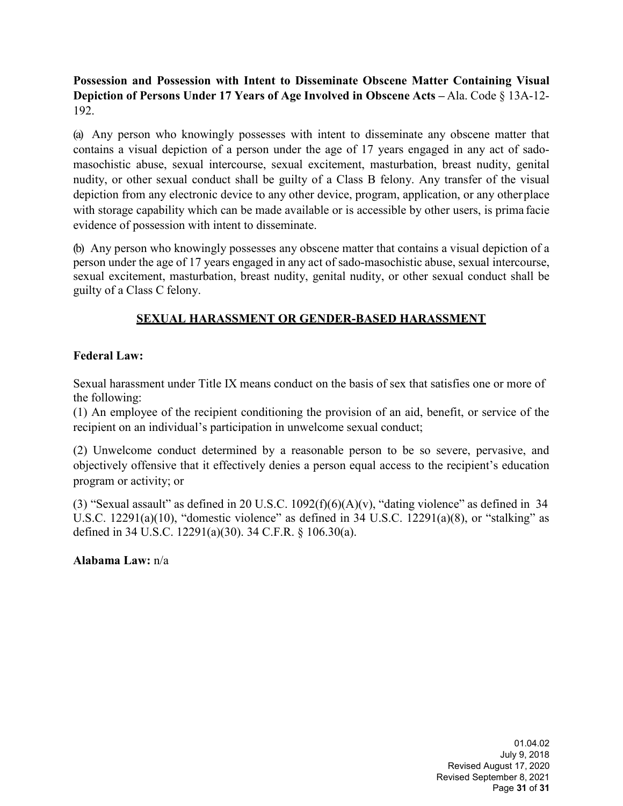**Possession and Possession with Intent to Disseminate Obscene Matter Containing Visual Depiction of Persons Under 17 Years of Age Involved in Obscene Acts –** Ala. Code § 13A-12- 192.

(a) Any person who knowingly possesses with intent to disseminate any obscene matter that contains a visual depiction of a person under the age of 17 years engaged in any act of sadomasochistic abuse, sexual intercourse, sexual excitement, masturbation, breast nudity, genital nudity, or other sexual conduct shall be guilty of a Class B felony. Any transfer of the visual depiction from any electronic device to any other device, program, application, or any otherplace with storage capability which can be made available or is accessible by other users, is prima facie evidence of possession with intent to disseminate.

(b) Any person who knowingly possesses any obscene matter that contains a visual depiction of a person under the age of 17 years engaged in any act of sado-masochistic abuse, sexual intercourse, sexual excitement, masturbation, breast nudity, genital nudity, or other sexual conduct shall be guilty of a Class C felony.

## **SEXUAL HARASSMENT OR GENDER-BASED HARASSMENT**

#### **Federal Law:**

Sexual harassment under Title IX means conduct on the basis of sex that satisfies one or more of the following:

(1) An employee of the recipient conditioning the provision of an aid, benefit, or service of the recipient on an individual's participation in unwelcome sexual conduct;

(2) Unwelcome conduct determined by a reasonable person to be so severe, pervasive, and objectively offensive that it effectively denies a person equal access to the recipient's education program or activity; or

(3) "Sexual assault" as defined in 20 U.S.C.  $1092(f)(6)(A)(v)$ , "dating violence" as defined in 34 U.S.C. 12291(a)(10), "domestic violence" as defined in 34 U.S.C. 12291(a)(8), or "stalking" as defined in 34 U.S.C. 12291(a)(30). 34 C.F.R. § 106.30(a).

**Alabama Law:** n/a

01.04.02 July 9, 2018 Revised August 17, 2020 Revised September 8, 2021 Page **31** of **31**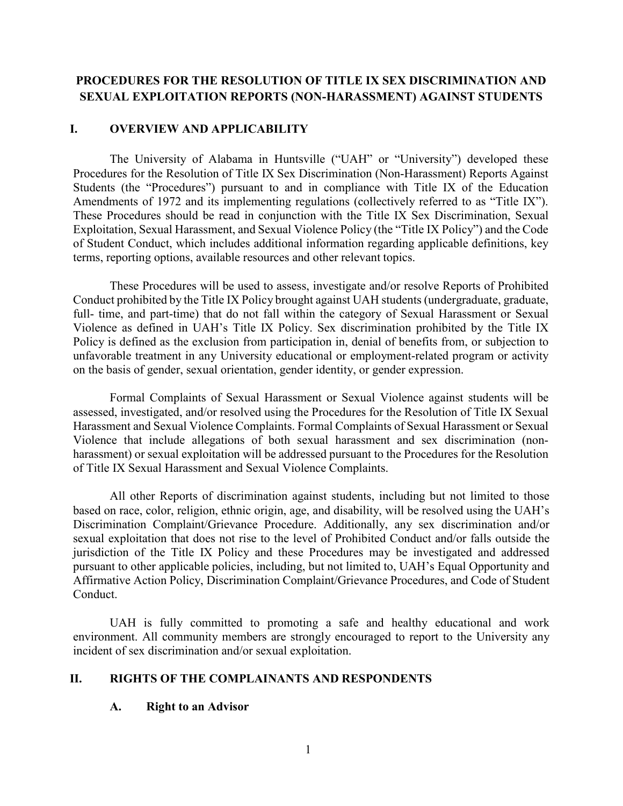## **PROCEDURES FOR THE RESOLUTION OF TITLE IX SEX DISCRIMINATION AND SEXUAL EXPLOITATION REPORTS (NON-HARASSMENT) AGAINST STUDENTS**

#### **I. OVERVIEW AND APPLICABILITY**

The University of Alabama in Huntsville ("UAH" or "University") developed these Procedures for the Resolution of Title IX Sex Discrimination (Non-Harassment) Reports Against Students (the "Procedures") pursuant to and in compliance with Title IX of the Education Amendments of 1972 and its implementing regulations (collectively referred to as "Title IX"). These Procedures should be read in conjunction with the Title IX Sex Discrimination, Sexual Exploitation, Sexual Harassment, and Sexual Violence Policy (the "Title IX Policy") and the Code of Student Conduct, which includes additional information regarding applicable definitions, key terms, reporting options, available resources and other relevant topics.

These Procedures will be used to assess, investigate and/or resolve Reports of Prohibited Conduct prohibited by the Title IX Policy brought against UAH students (undergraduate, graduate, full- time, and part-time) that do not fall within the category of Sexual Harassment or Sexual Violence as defined in UAH's Title IX Policy. Sex discrimination prohibited by the Title IX Policy is defined as the exclusion from participation in, denial of benefits from, or subjection to unfavorable treatment in any University educational or employment-related program or activity on the basis of gender, sexual orientation, gender identity, or gender expression.

Formal Complaints of Sexual Harassment or Sexual Violence against students will be assessed, investigated, and/or resolved using the Procedures for the Resolution of Title IX Sexual Harassment and Sexual Violence Complaints. Formal Complaints of Sexual Harassment or Sexual Violence that include allegations of both sexual harassment and sex discrimination (nonharassment) or sexual exploitation will be addressed pursuant to the Procedures for the Resolution of Title IX Sexual Harassment and Sexual Violence Complaints.

All other Reports of discrimination against students, including but not limited to those based on race, color, religion, ethnic origin, age, and disability, will be resolved using the UAH's Discrimination Complaint/Grievance Procedure. Additionally, any sex discrimination and/or sexual exploitation that does not rise to the level of Prohibited Conduct and/or falls outside the jurisdiction of the Title IX Policy and these Procedures may be investigated and addressed pursuant to other applicable policies, including, but not limited to, UAH's Equal Opportunity and Affirmative Action Policy, Discrimination Complaint/Grievance Procedures, and Code of Student Conduct.

UAH is fully committed to promoting a safe and healthy educational and work environment. All community members are strongly encouraged to report to the University any incident of sex discrimination and/or sexual exploitation.

#### **II. RIGHTS OF THE COMPLAINANTS AND RESPONDENTS**

#### **A. Right to an Advisor**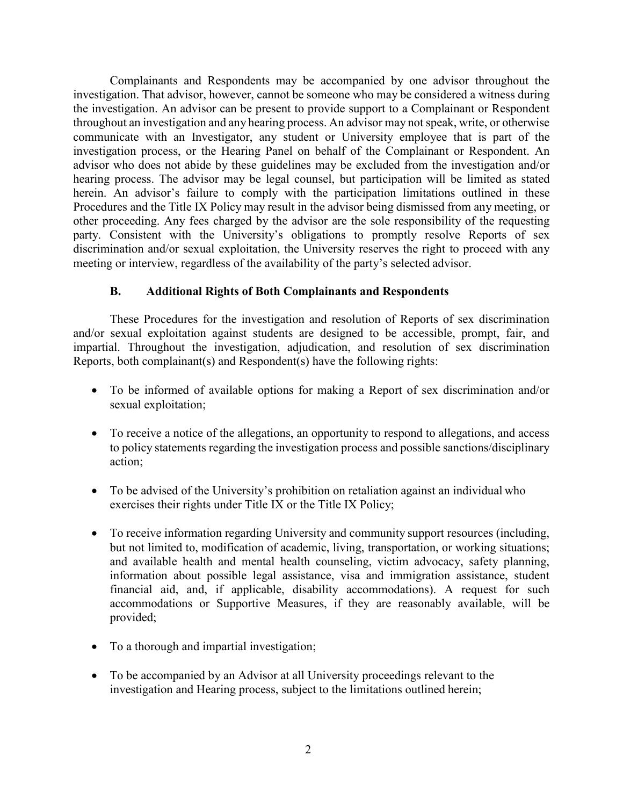Complainants and Respondents may be accompanied by one advisor throughout the investigation. That advisor, however, cannot be someone who may be considered a witness during the investigation. An advisor can be present to provide support to a Complainant or Respondent throughout an investigation and any hearing process. An advisor may not speak, write, or otherwise communicate with an Investigator, any student or University employee that is part of the investigation process, or the Hearing Panel on behalf of the Complainant or Respondent. An advisor who does not abide by these guidelines may be excluded from the investigation and/or hearing process. The advisor may be legal counsel, but participation will be limited as stated herein. An advisor's failure to comply with the participation limitations outlined in these Procedures and the Title IX Policy may result in the advisor being dismissed from any meeting, or other proceeding. Any fees charged by the advisor are the sole responsibility of the requesting party. Consistent with the University's obligations to promptly resolve Reports of sex discrimination and/or sexual exploitation, the University reserves the right to proceed with any meeting or interview, regardless of the availability of the party's selected advisor.

#### **B. Additional Rights of Both Complainants and Respondents**

These Procedures for the investigation and resolution of Reports of sex discrimination and/or sexual exploitation against students are designed to be accessible, prompt, fair, and impartial. Throughout the investigation, adjudication, and resolution of sex discrimination Reports, both complainant(s) and Respondent(s) have the following rights:

- To be informed of available options for making a Report of sex discrimination and/or sexual exploitation;
- To receive a notice of the allegations, an opportunity to respond to allegations, and access to policy statements regarding the investigation process and possible sanctions/disciplinary action;
- To be advised of the University's prohibition on retaliation against an individual who exercises their rights under Title IX or the Title IX Policy;
- To receive information regarding University and community support resources (including, but not limited to, modification of academic, living, transportation, or working situations; and available health and mental health counseling, victim advocacy, safety planning, information about possible legal assistance, visa and immigration assistance, student financial aid, and, if applicable, disability accommodations). A request for such accommodations or Supportive Measures, if they are reasonably available, will be provided;
- To a thorough and impartial investigation;
- To be accompanied by an Advisor at all University proceedings relevant to the investigation and Hearing process, subject to the limitations outlined herein;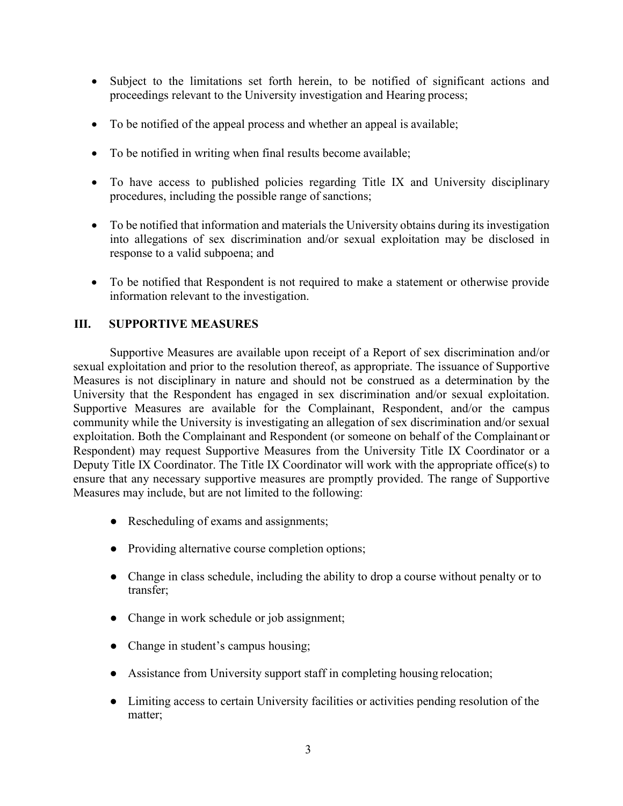- Subject to the limitations set forth herein, to be notified of significant actions and proceedings relevant to the University investigation and Hearing process;
- To be notified of the appeal process and whether an appeal is available;
- To be notified in writing when final results become available;
- To have access to published policies regarding Title IX and University disciplinary procedures, including the possible range of sanctions;
- To be notified that information and materials the University obtains during its investigation into allegations of sex discrimination and/or sexual exploitation may be disclosed in response to a valid subpoena; and
- To be notified that Respondent is not required to make a statement or otherwise provide information relevant to the investigation.

#### **III. SUPPORTIVE MEASURES**

Supportive Measures are available upon receipt of a Report of sex discrimination and/or sexual exploitation and prior to the resolution thereof, as appropriate. The issuance of Supportive Measures is not disciplinary in nature and should not be construed as a determination by the University that the Respondent has engaged in sex discrimination and/or sexual exploitation. Supportive Measures are available for the Complainant, Respondent, and/or the campus community while the University is investigating an allegation of sex discrimination and/or sexual exploitation. Both the Complainant and Respondent (or someone on behalf of the Complainant or Respondent) may request Supportive Measures from the University Title IX Coordinator or a Deputy Title IX Coordinator. The Title IX Coordinator will work with the appropriate office(s) to ensure that any necessary supportive measures are promptly provided. The range of Supportive Measures may include, but are not limited to the following:

- Rescheduling of exams and assignments;
- Providing alternative course completion options;
- Change in class schedule, including the ability to drop a course without penalty or to transfer;
- Change in work schedule or job assignment;
- Change in student's campus housing;
- Assistance from University support staff in completing housing relocation;
- Limiting access to certain University facilities or activities pending resolution of the matter;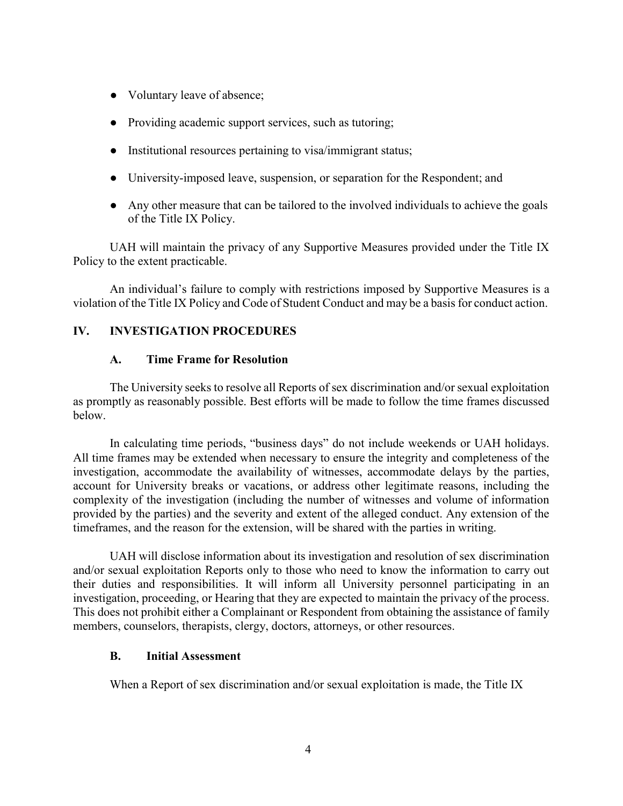- Voluntary leave of absence;
- Providing academic support services, such as tutoring;
- Institutional resources pertaining to visa/immigrant status;
- University-imposed leave, suspension, or separation for the Respondent; and
- Any other measure that can be tailored to the involved individuals to achieve the goals of the Title IX Policy.

UAH will maintain the privacy of any Supportive Measures provided under the Title IX Policy to the extent practicable.

An individual's failure to comply with restrictions imposed by Supportive Measures is a violation of the Title IX Policy and Code of Student Conduct and may be a basis for conduct action.

#### **IV. INVESTIGATION PROCEDURES**

#### **A. Time Frame for Resolution**

The University seeks to resolve all Reports of sex discrimination and/or sexual exploitation as promptly as reasonably possible. Best efforts will be made to follow the time frames discussed below.

In calculating time periods, "business days" do not include weekends or UAH holidays. All time frames may be extended when necessary to ensure the integrity and completeness of the investigation, accommodate the availability of witnesses, accommodate delays by the parties, account for University breaks or vacations, or address other legitimate reasons, including the complexity of the investigation (including the number of witnesses and volume of information provided by the parties) and the severity and extent of the alleged conduct. Any extension of the timeframes, and the reason for the extension, will be shared with the parties in writing.

UAH will disclose information about its investigation and resolution of sex discrimination and/or sexual exploitation Reports only to those who need to know the information to carry out their duties and responsibilities. It will inform all University personnel participating in an investigation, proceeding, or Hearing that they are expected to maintain the privacy of the process. This does not prohibit either a Complainant or Respondent from obtaining the assistance of family members, counselors, therapists, clergy, doctors, attorneys, or other resources.

#### **B. Initial Assessment**

When a Report of sex discrimination and/or sexual exploitation is made, the Title IX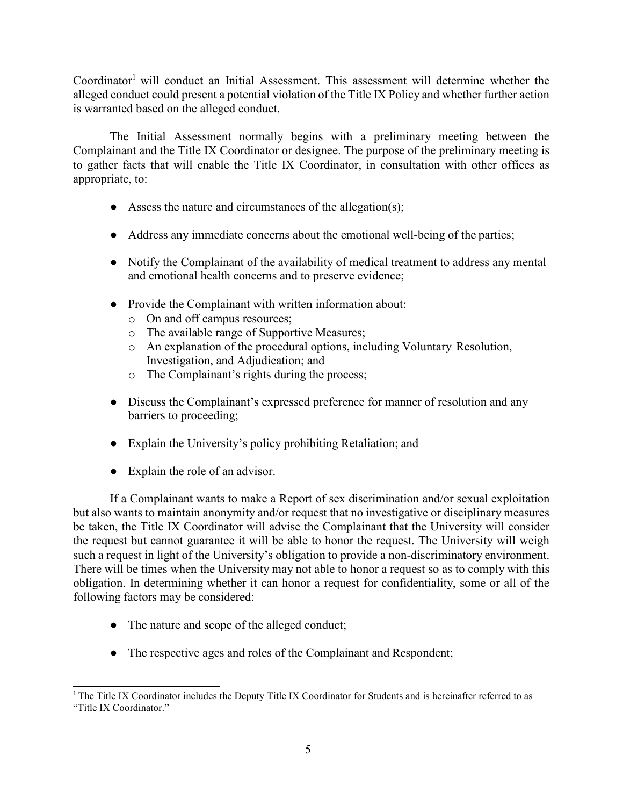Coordinator<sup>1</sup> will conduct an Initial Assessment. This assessment will determine whether the alleged conduct could present a potential violation of the Title IX Policy and whether further action is warranted based on the alleged conduct.

The Initial Assessment normally begins with a preliminary meeting between the Complainant and the Title IX Coordinator or designee. The purpose of the preliminary meeting is to gather facts that will enable the Title IX Coordinator, in consultation with other offices as appropriate, to:

- $\bullet$  Assess the nature and circumstances of the allegation(s);
- Address any immediate concerns about the emotional well-being of the parties;
- Notify the Complainant of the availability of medical treatment to address any mental and emotional health concerns and to preserve evidence;
- Provide the Complainant with written information about:
	- o On and off campus resources;
	- o The available range of Supportive Measures;
	- o An explanation of the procedural options, including Voluntary Resolution, Investigation, and Adjudication; and
	- o The Complainant's rights during the process;
- Discuss the Complainant's expressed preference for manner of resolution and any barriers to proceeding;
- Explain the University's policy prohibiting Retaliation; and
- Explain the role of an advisor.

If a Complainant wants to make a Report of sex discrimination and/or sexual exploitation but also wants to maintain anonymity and/or request that no investigative or disciplinary measures be taken, the Title IX Coordinator will advise the Complainant that the University will consider the request but cannot guarantee it will be able to honor the request. The University will weigh such a request in light of the University's obligation to provide a non-discriminatory environment. There will be times when the University may not able to honor a request so as to comply with this obligation. In determining whether it can honor a request for confidentiality, some or all of the following factors may be considered:

- The nature and scope of the alleged conduct;
- The respective ages and roles of the Complainant and Respondent;

<span id="page-35-0"></span> $1$ <sup>T</sup>he Title IX Coordinator includes the Deputy Title IX Coordinator for Students and is hereinafter referred to as "Title IX Coordinator."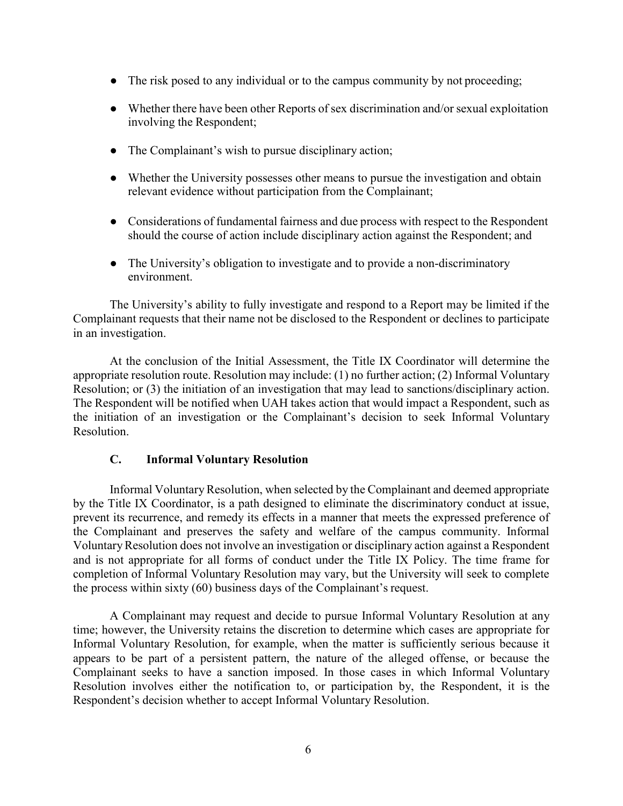- The risk posed to any individual or to the campus community by not proceeding;
- Whether there have been other Reports of sex discrimination and/or sexual exploitation involving the Respondent;
- The Complainant's wish to pursue disciplinary action;
- Whether the University possesses other means to pursue the investigation and obtain relevant evidence without participation from the Complainant;
- Considerations of fundamental fairness and due process with respect to the Respondent should the course of action include disciplinary action against the Respondent; and
- The University's obligation to investigate and to provide a non-discriminatory environment.

The University's ability to fully investigate and respond to a Report may be limited if the Complainant requests that their name not be disclosed to the Respondent or declines to participate in an investigation.

At the conclusion of the Initial Assessment, the Title IX Coordinator will determine the appropriate resolution route. Resolution may include: (1) no further action; (2) Informal Voluntary Resolution; or (3) the initiation of an investigation that may lead to sanctions/disciplinary action. The Respondent will be notified when UAH takes action that would impact a Respondent, such as the initiation of an investigation or the Complainant's decision to seek Informal Voluntary Resolution.

### **C. Informal Voluntary Resolution**

Informal VoluntaryResolution, when selected by the Complainant and deemed appropriate by the Title IX Coordinator, is a path designed to eliminate the discriminatory conduct at issue, prevent its recurrence, and remedy its effects in a manner that meets the expressed preference of the Complainant and preserves the safety and welfare of the campus community. Informal VoluntaryResolution does not involve an investigation or disciplinary action against a Respondent and is not appropriate for all forms of conduct under the Title IX Policy. The time frame for completion of Informal Voluntary Resolution may vary, but the University will seek to complete the process within sixty (60) business days of the Complainant's request.

A Complainant may request and decide to pursue Informal Voluntary Resolution at any time; however, the University retains the discretion to determine which cases are appropriate for Informal Voluntary Resolution, for example, when the matter is sufficiently serious because it appears to be part of a persistent pattern, the nature of the alleged offense, or because the Complainant seeks to have a sanction imposed. In those cases in which Informal Voluntary Resolution involves either the notification to, or participation by, the Respondent, it is the Respondent's decision whether to accept Informal Voluntary Resolution.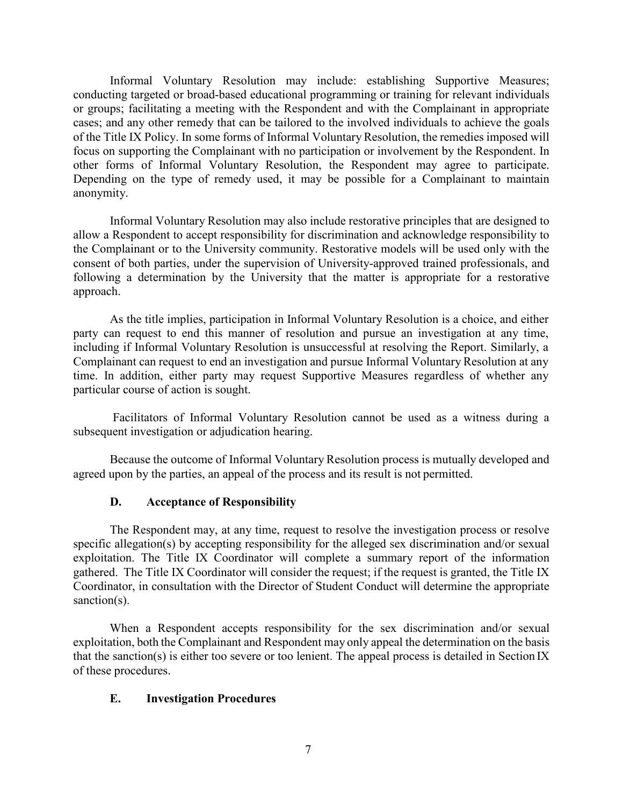Informal Voluntary Resolution may include: establishing Supportive Measures; conducting targeted or broad-based educational programming or training for relevant individuals or groups; facilitating a meeting with the Respondent and with the Complainant in appropriate cases; and any other remedy that can be tailored to the involved individuals to achieve the goals of the Title IX Policy. In some forms of Informal Voluntary Resolution, the remedies imposed will focus on supporting the Complainant with no participation or involvement by the Respondent. In other forms of Informal Voluntary Resolution, the Respondent may agree to participate. Depending on the type of remedy used, it may be possible for a Complainant to maintain anonymity.

Informal Voluntary Resolution may also include restorative principles that are designed to allow a Respondent to accept responsibility for discrimination and acknowledge responsibility to the Complainant or to the University community. Restorative models will be used only with the consent of both parties, under the supervision of University-approved trained professionals, and following a determination by the University that the matter is appropriate for a restorative approach.

As the title implies, participation in Informal Voluntary Resolution is a choice, and either party can request to end this manner of resolution and pursue an investigation at any time, including if Informal Voluntary Resolution is unsuccessful at resolving the Report. Similarly, a Complainant can request to end an investigation and pursue Informal Voluntary Resolution at any time. In addition, either party may request Supportive Measures regardless of whether any particular course of action is sought.

Facilitators of Informal Voluntary Resolution cannot be used as a witness during a subsequent investigation or adjudication hearing.

Because the outcome of Informal Voluntary Resolution process is mutually developed and agreed upon by the parties, an appeal of the process and its result is not permitted.

### **D. Acceptance of Responsibility**

The Respondent may, at any time, request to resolve the investigation process or resolve specific allegation(s) by accepting responsibility for the alleged sex discrimination and/or sexual exploitation. The Title IX Coordinator will complete a summary report of the information gathered. The Title IX Coordinator will consider the request; if the request is granted, the Title IX Coordinator, in consultation with the Director of Student Conduct will determine the appropriate sanction(s).

When a Respondent accepts responsibility for the sex discrimination and/or sexual exploitation, both the Complainant and Respondent may only appeal the determination on the basis that the sanction(s) is either too severe or too lenient. The appeal process is detailed in Section IX of these procedures.

### **E. Investigation Procedures**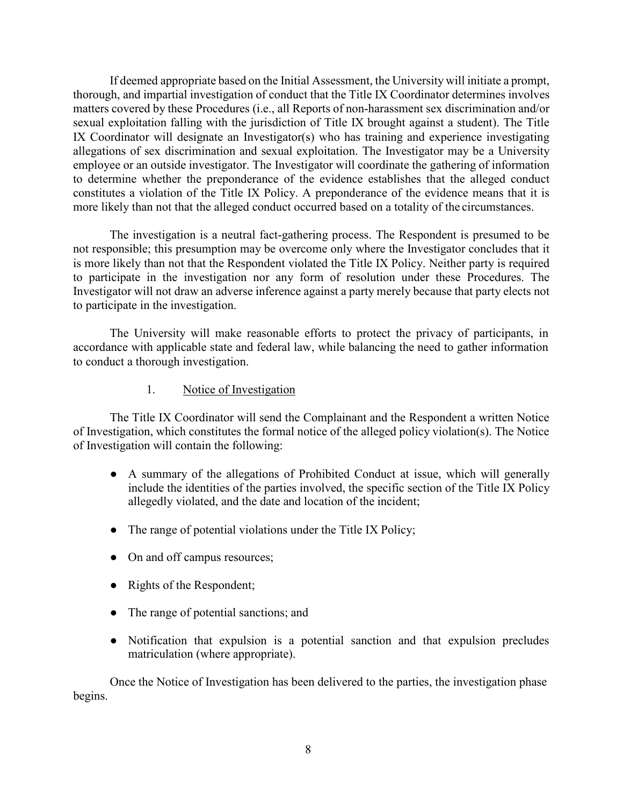If deemed appropriate based on the Initial Assessment, the University will initiate a prompt, thorough, and impartial investigation of conduct that the Title IX Coordinator determines involves matters covered by these Procedures (i.e., all Reports of non-harassment sex discrimination and/or sexual exploitation falling with the jurisdiction of Title IX brought against a student). The Title IX Coordinator will designate an Investigator(s) who has training and experience investigating allegations of sex discrimination and sexual exploitation. The Investigator may be a University employee or an outside investigator. The Investigator will coordinate the gathering of information to determine whether the preponderance of the evidence establishes that the alleged conduct constitutes a violation of the Title IX Policy. A preponderance of the evidence means that it is more likely than not that the alleged conduct occurred based on a totality of the circumstances.

The investigation is a neutral fact-gathering process. The Respondent is presumed to be not responsible; this presumption may be overcome only where the Investigator concludes that it is more likely than not that the Respondent violated the Title IX Policy. Neither party is required to participate in the investigation nor any form of resolution under these Procedures. The Investigator will not draw an adverse inference against a party merely because that party elects not to participate in the investigation.

The University will make reasonable efforts to protect the privacy of participants, in accordance with applicable state and federal law, while balancing the need to gather information to conduct a thorough investigation.

#### 1. Notice of Investigation

The Title IX Coordinator will send the Complainant and the Respondent a written Notice of Investigation, which constitutes the formal notice of the alleged policy violation(s). The Notice of Investigation will contain the following:

- A summary of the allegations of Prohibited Conduct at issue, which will generally include the identities of the parties involved, the specific section of the Title IX Policy allegedly violated, and the date and location of the incident;
- The range of potential violations under the Title IX Policy;
- On and off campus resources;
- Rights of the Respondent;
- The range of potential sanctions; and
- Notification that expulsion is a potential sanction and that expulsion precludes matriculation (where appropriate).

Once the Notice of Investigation has been delivered to the parties, the investigation phase begins.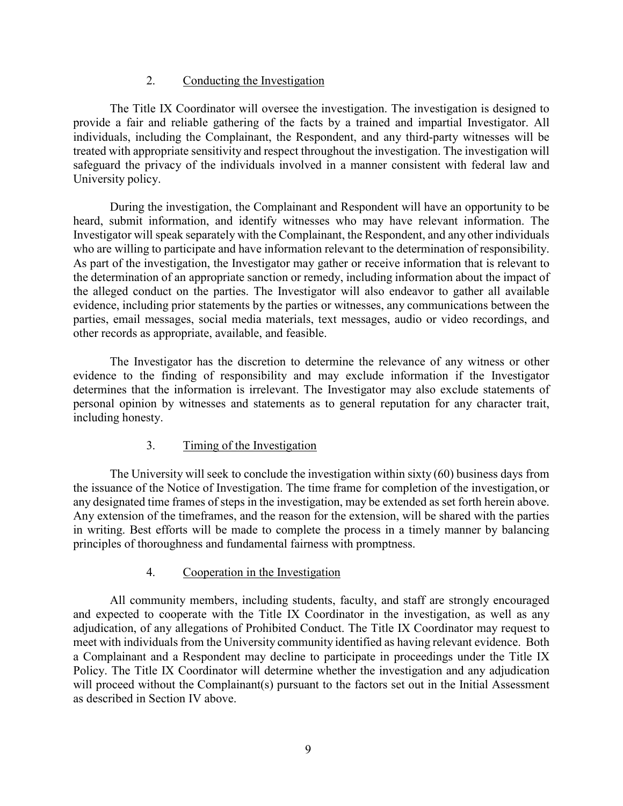### 2. Conducting the Investigation

The Title IX Coordinator will oversee the investigation. The investigation is designed to provide a fair and reliable gathering of the facts by a trained and impartial Investigator. All individuals, including the Complainant, the Respondent, and any third-party witnesses will be treated with appropriate sensitivity and respect throughout the investigation. The investigation will safeguard the privacy of the individuals involved in a manner consistent with federal law and University policy.

During the investigation, the Complainant and Respondent will have an opportunity to be heard, submit information, and identify witnesses who may have relevant information. The Investigator will speak separately with the Complainant, the Respondent, and any other individuals who are willing to participate and have information relevant to the determination of responsibility. As part of the investigation, the Investigator may gather or receive information that is relevant to the determination of an appropriate sanction or remedy, including information about the impact of the alleged conduct on the parties. The Investigator will also endeavor to gather all available evidence, including prior statements by the parties or witnesses, any communications between the parties, email messages, social media materials, text messages, audio or video recordings, and other records as appropriate, available, and feasible.

The Investigator has the discretion to determine the relevance of any witness or other evidence to the finding of responsibility and may exclude information if the Investigator determines that the information is irrelevant. The Investigator may also exclude statements of personal opinion by witnesses and statements as to general reputation for any character trait, including honesty.

### 3. Timing of the Investigation

The University will seek to conclude the investigation within sixty (60) business days from the issuance of the Notice of Investigation. The time frame for completion of the investigation, or any designated time frames of steps in the investigation, may be extended as set forth herein above. Any extension of the timeframes, and the reason for the extension, will be shared with the parties in writing. Best efforts will be made to complete the process in a timely manner by balancing principles of thoroughness and fundamental fairness with promptness.

### 4. Cooperation in the Investigation

All community members, including students, faculty, and staff are strongly encouraged and expected to cooperate with the Title IX Coordinator in the investigation, as well as any adjudication, of any allegations of Prohibited Conduct. The Title IX Coordinator may request to meet with individuals from the University community identified as having relevant evidence. Both a Complainant and a Respondent may decline to participate in proceedings under the Title IX Policy. The Title IX Coordinator will determine whether the investigation and any adjudication will proceed without the Complainant(s) pursuant to the factors set out in the Initial Assessment as described in Section IV above.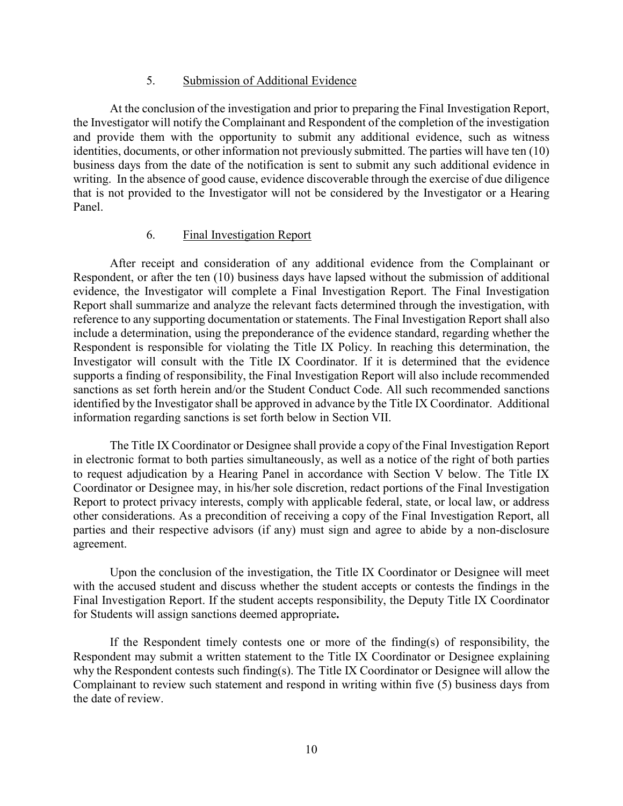#### 5. Submission of Additional Evidence

At the conclusion of the investigation and prior to preparing the Final Investigation Report, the Investigator will notify the Complainant and Respondent of the completion of the investigation and provide them with the opportunity to submit any additional evidence, such as witness identities, documents, or other information not previously submitted. The parties will have ten (10) business days from the date of the notification is sent to submit any such additional evidence in writing. In the absence of good cause, evidence discoverable through the exercise of due diligence that is not provided to the Investigator will not be considered by the Investigator or a Hearing Panel.

### 6. Final Investigation Report

After receipt and consideration of any additional evidence from the Complainant or Respondent, or after the ten (10) business days have lapsed without the submission of additional evidence, the Investigator will complete a Final Investigation Report. The Final Investigation Report shall summarize and analyze the relevant facts determined through the investigation, with reference to any supporting documentation or statements. The Final Investigation Report shall also include a determination, using the preponderance of the evidence standard, regarding whether the Respondent is responsible for violating the Title IX Policy. In reaching this determination, the Investigator will consult with the Title IX Coordinator. If it is determined that the evidence supports a finding of responsibility, the Final Investigation Report will also include recommended sanctions as set forth herein and/or the Student Conduct Code. All such recommended sanctions identified by the Investigator shall be approved in advance by the Title IX Coordinator. Additional information regarding sanctions is set forth below in Section VII.

The Title IX Coordinator or Designee shall provide a copy of the Final Investigation Report in electronic format to both parties simultaneously, as well as a notice of the right of both parties to request adjudication by a Hearing Panel in accordance with Section V below. The Title IX Coordinator or Designee may, in his/her sole discretion, redact portions of the Final Investigation Report to protect privacy interests, comply with applicable federal, state, or local law, or address other considerations. As a precondition of receiving a copy of the Final Investigation Report, all parties and their respective advisors (if any) must sign and agree to abide by a non-disclosure agreement.

Upon the conclusion of the investigation, the Title IX Coordinator or Designee will meet with the accused student and discuss whether the student accepts or contests the findings in the Final Investigation Report. If the student accepts responsibility, the Deputy Title IX Coordinator for Students will assign sanctions deemed appropriate**.**

If the Respondent timely contests one or more of the finding(s) of responsibility, the Respondent may submit a written statement to the Title IX Coordinator or Designee explaining why the Respondent contests such finding(s). The Title IX Coordinator or Designee will allow the Complainant to review such statement and respond in writing within five (5) business days from the date of review.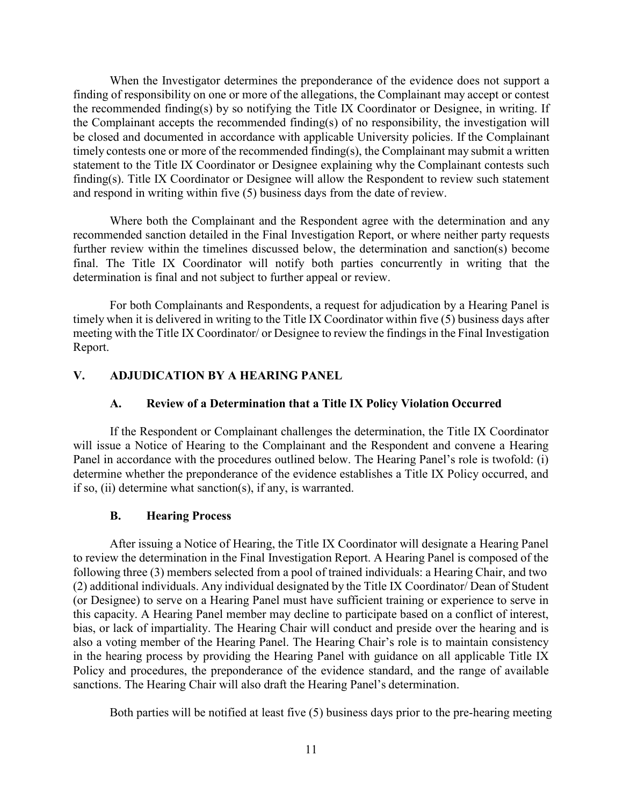When the Investigator determines the preponderance of the evidence does not support a finding of responsibility on one or more of the allegations, the Complainant may accept or contest the recommended finding(s) by so notifying the Title IX Coordinator or Designee, in writing. If the Complainant accepts the recommended finding(s) of no responsibility, the investigation will be closed and documented in accordance with applicable University policies. If the Complainant timely contests one or more of the recommended finding(s), the Complainant may submit a written statement to the Title IX Coordinator or Designee explaining why the Complainant contests such finding(s). Title IX Coordinator or Designee will allow the Respondent to review such statement and respond in writing within five (5) business days from the date of review.

Where both the Complainant and the Respondent agree with the determination and any recommended sanction detailed in the Final Investigation Report, or where neither party requests further review within the timelines discussed below, the determination and sanction(s) become final. The Title IX Coordinator will notify both parties concurrently in writing that the determination is final and not subject to further appeal or review.

For both Complainants and Respondents, a request for adjudication by a Hearing Panel is timely when it is delivered in writing to the Title IX Coordinator within five (5) business days after meeting with the Title IX Coordinator/ or Designee to review the findings in the Final Investigation Report.

### **V. ADJUDICATION BY A HEARING PANEL**

### **A. Review of a Determination that a Title IX Policy Violation Occurred**

If the Respondent or Complainant challenges the determination, the Title IX Coordinator will issue a Notice of Hearing to the Complainant and the Respondent and convene a Hearing Panel in accordance with the procedures outlined below. The Hearing Panel's role is twofold: (i) determine whether the preponderance of the evidence establishes a Title IX Policy occurred, and if so, (ii) determine what sanction(s), if any, is warranted.

### **B. Hearing Process**

After issuing a Notice of Hearing, the Title IX Coordinator will designate a Hearing Panel to review the determination in the Final Investigation Report. A Hearing Panel is composed of the following three (3) members selected from a pool of trained individuals: a Hearing Chair, and two (2) additional individuals. Any individual designated by the Title IX Coordinator/ Dean of Student (or Designee) to serve on a Hearing Panel must have sufficient training or experience to serve in this capacity. A Hearing Panel member may decline to participate based on a conflict of interest, bias, or lack of impartiality. The Hearing Chair will conduct and preside over the hearing and is also a voting member of the Hearing Panel. The Hearing Chair's role is to maintain consistency in the hearing process by providing the Hearing Panel with guidance on all applicable Title IX Policy and procedures, the preponderance of the evidence standard, and the range of available sanctions. The Hearing Chair will also draft the Hearing Panel's determination.

Both parties will be notified at least five (5) business days prior to the pre-hearing meeting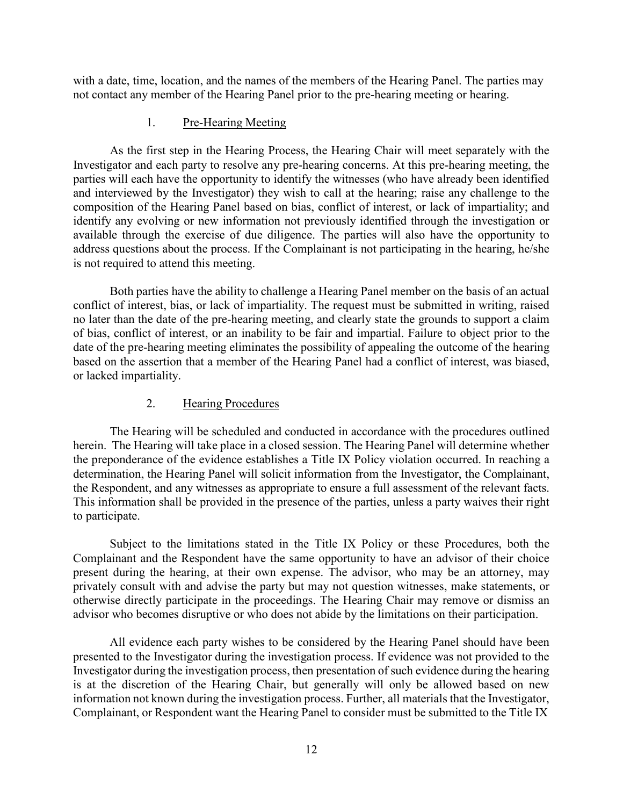with a date, time, location, and the names of the members of the Hearing Panel. The parties may not contact any member of the Hearing Panel prior to the pre-hearing meeting or hearing.

### 1. Pre-Hearing Meeting

As the first step in the Hearing Process, the Hearing Chair will meet separately with the Investigator and each party to resolve any pre-hearing concerns. At this pre-hearing meeting, the parties will each have the opportunity to identify the witnesses (who have already been identified and interviewed by the Investigator) they wish to call at the hearing; raise any challenge to the composition of the Hearing Panel based on bias, conflict of interest, or lack of impartiality; and identify any evolving or new information not previously identified through the investigation or available through the exercise of due diligence. The parties will also have the opportunity to address questions about the process. If the Complainant is not participating in the hearing, he/she is not required to attend this meeting.

Both parties have the ability to challenge a Hearing Panel member on the basis of an actual conflict of interest, bias, or lack of impartiality. The request must be submitted in writing, raised no later than the date of the pre-hearing meeting, and clearly state the grounds to support a claim of bias, conflict of interest, or an inability to be fair and impartial. Failure to object prior to the date of the pre-hearing meeting eliminates the possibility of appealing the outcome of the hearing based on the assertion that a member of the Hearing Panel had a conflict of interest, was biased, or lacked impartiality.

# 2. Hearing Procedures

The Hearing will be scheduled and conducted in accordance with the procedures outlined herein. The Hearing will take place in a closed session. The Hearing Panel will determine whether the preponderance of the evidence establishes a Title IX Policy violation occurred. In reaching a determination, the Hearing Panel will solicit information from the Investigator, the Complainant, the Respondent, and any witnesses as appropriate to ensure a full assessment of the relevant facts. This information shall be provided in the presence of the parties, unless a party waives their right to participate.

Subject to the limitations stated in the Title IX Policy or these Procedures, both the Complainant and the Respondent have the same opportunity to have an advisor of their choice present during the hearing, at their own expense. The advisor, who may be an attorney, may privately consult with and advise the party but may not question witnesses, make statements, or otherwise directly participate in the proceedings. The Hearing Chair may remove or dismiss an advisor who becomes disruptive or who does not abide by the limitations on their participation.

All evidence each party wishes to be considered by the Hearing Panel should have been presented to the Investigator during the investigation process. If evidence was not provided to the Investigator during the investigation process, then presentation of such evidence during the hearing is at the discretion of the Hearing Chair, but generally will only be allowed based on new information not known during the investigation process. Further, all materials that the Investigator, Complainant, or Respondent want the Hearing Panel to consider must be submitted to the Title IX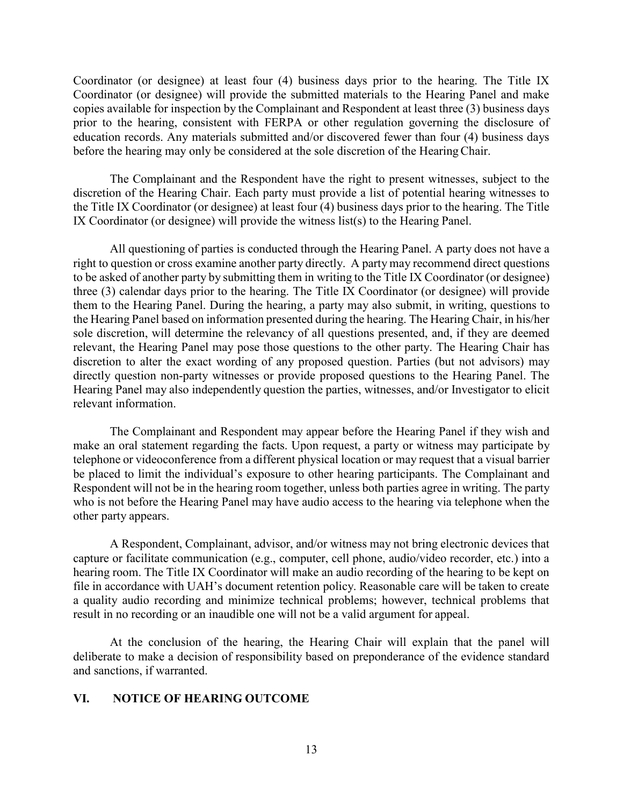Coordinator (or designee) at least four (4) business days prior to the hearing. The Title IX Coordinator (or designee) will provide the submitted materials to the Hearing Panel and make copies available for inspection by the Complainant and Respondent at least three (3) business days prior to the hearing, consistent with FERPA or other regulation governing the disclosure of education records. Any materials submitted and/or discovered fewer than four (4) business days before the hearing may only be considered at the sole discretion of the HearingChair.

The Complainant and the Respondent have the right to present witnesses, subject to the discretion of the Hearing Chair. Each party must provide a list of potential hearing witnesses to the Title IX Coordinator (or designee) at least four (4) business days prior to the hearing. The Title IX Coordinator (or designee) will provide the witness list(s) to the Hearing Panel.

All questioning of parties is conducted through the Hearing Panel. A party does not have a right to question or cross examine another party directly. A party may recommend direct questions to be asked of another party by submitting them in writing to the Title IX Coordinator (or designee) three (3) calendar days prior to the hearing. The Title IX Coordinator (or designee) will provide them to the Hearing Panel. During the hearing, a party may also submit, in writing, questions to the Hearing Panel based on information presented during the hearing. The Hearing Chair, in his/her sole discretion, will determine the relevancy of all questions presented, and, if they are deemed relevant, the Hearing Panel may pose those questions to the other party. The Hearing Chair has discretion to alter the exact wording of any proposed question. Parties (but not advisors) may directly question non-party witnesses or provide proposed questions to the Hearing Panel. The Hearing Panel may also independently question the parties, witnesses, and/or Investigator to elicit relevant information.

The Complainant and Respondent may appear before the Hearing Panel if they wish and make an oral statement regarding the facts. Upon request, a party or witness may participate by telephone or videoconference from a different physical location or may request that a visual barrier be placed to limit the individual's exposure to other hearing participants. The Complainant and Respondent will not be in the hearing room together, unless both parties agree in writing. The party who is not before the Hearing Panel may have audio access to the hearing via telephone when the other party appears.

A Respondent, Complainant, advisor, and/or witness may not bring electronic devices that capture or facilitate communication (e.g., computer, cell phone, audio/video recorder, etc.) into a hearing room. The Title IX Coordinator will make an audio recording of the hearing to be kept on file in accordance with UAH's document retention policy. Reasonable care will be taken to create a quality audio recording and minimize technical problems; however, technical problems that result in no recording or an inaudible one will not be a valid argument for appeal.

At the conclusion of the hearing, the Hearing Chair will explain that the panel will deliberate to make a decision of responsibility based on preponderance of the evidence standard and sanctions, if warranted.

#### **VI. NOTICE OF HEARING OUTCOME**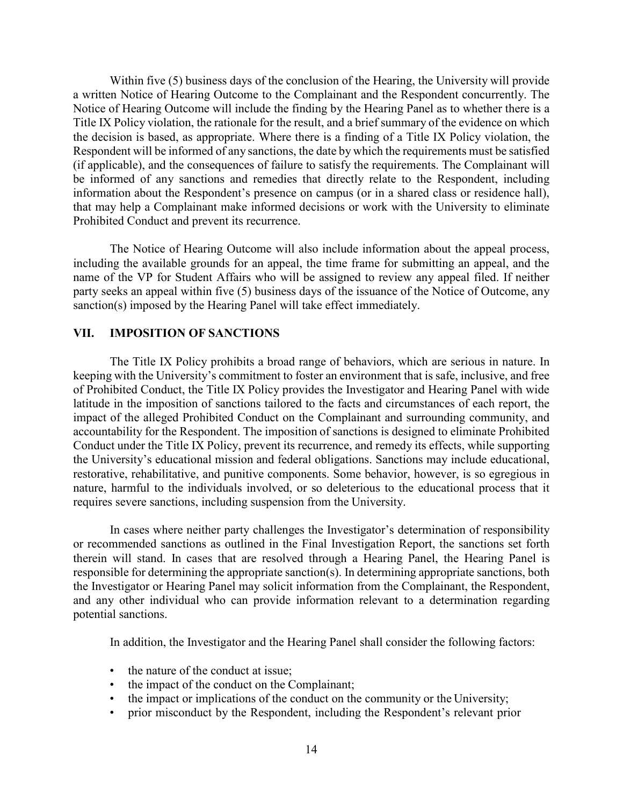Within five (5) business days of the conclusion of the Hearing, the University will provide a written Notice of Hearing Outcome to the Complainant and the Respondent concurrently. The Notice of Hearing Outcome will include the finding by the Hearing Panel as to whether there is a Title IX Policy violation, the rationale for the result, and a brief summary of the evidence on which the decision is based, as appropriate. Where there is a finding of a Title IX Policy violation, the Respondent will be informed of any sanctions, the date by which the requirements must be satisfied (if applicable), and the consequences of failure to satisfy the requirements. The Complainant will be informed of any sanctions and remedies that directly relate to the Respondent, including information about the Respondent's presence on campus (or in a shared class or residence hall), that may help a Complainant make informed decisions or work with the University to eliminate Prohibited Conduct and prevent its recurrence.

The Notice of Hearing Outcome will also include information about the appeal process, including the available grounds for an appeal, the time frame for submitting an appeal, and the name of the VP for Student Affairs who will be assigned to review any appeal filed. If neither party seeks an appeal within five (5) business days of the issuance of the Notice of Outcome, any sanction(s) imposed by the Hearing Panel will take effect immediately.

#### **VII. IMPOSITION OF SANCTIONS**

The Title IX Policy prohibits a broad range of behaviors, which are serious in nature. In keeping with the University's commitment to foster an environment that is safe, inclusive, and free of Prohibited Conduct, the Title IX Policy provides the Investigator and Hearing Panel with wide latitude in the imposition of sanctions tailored to the facts and circumstances of each report, the impact of the alleged Prohibited Conduct on the Complainant and surrounding community, and accountability for the Respondent. The imposition of sanctions is designed to eliminate Prohibited Conduct under the Title IX Policy, prevent its recurrence, and remedy its effects, while supporting the University's educational mission and federal obligations. Sanctions may include educational, restorative, rehabilitative, and punitive components. Some behavior, however, is so egregious in nature, harmful to the individuals involved, or so deleterious to the educational process that it requires severe sanctions, including suspension from the University.

In cases where neither party challenges the Investigator's determination of responsibility or recommended sanctions as outlined in the Final Investigation Report, the sanctions set forth therein will stand. In cases that are resolved through a Hearing Panel, the Hearing Panel is responsible for determining the appropriate sanction(s). In determining appropriate sanctions, both the Investigator or Hearing Panel may solicit information from the Complainant, the Respondent, and any other individual who can provide information relevant to a determination regarding potential sanctions.

In addition, the Investigator and the Hearing Panel shall consider the following factors:

- the nature of the conduct at issue;
- the impact of the conduct on the Complainant;
- the impact or implications of the conduct on the community or the University;
- prior misconduct by the Respondent, including the Respondent's relevant prior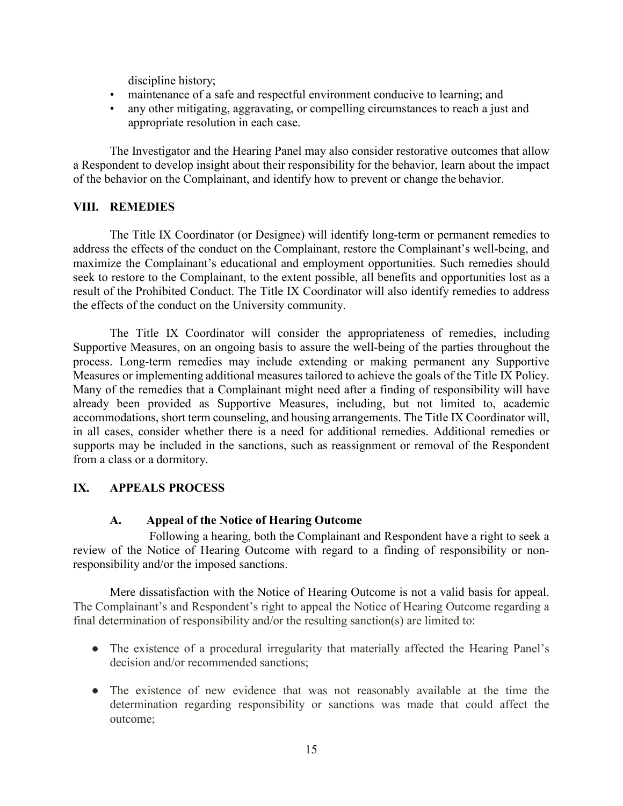discipline history;

- maintenance of a safe and respectful environment conducive to learning; and
- any other mitigating, aggravating, or compelling circumstances to reach a just and appropriate resolution in each case.

The Investigator and the Hearing Panel may also consider restorative outcomes that allow a Respondent to develop insight about their responsibility for the behavior, learn about the impact of the behavior on the Complainant, and identify how to prevent or change the behavior.

### **VIII. REMEDIES**

The Title IX Coordinator (or Designee) will identify long-term or permanent remedies to address the effects of the conduct on the Complainant, restore the Complainant's well-being, and maximize the Complainant's educational and employment opportunities. Such remedies should seek to restore to the Complainant, to the extent possible, all benefits and opportunities lost as a result of the Prohibited Conduct. The Title IX Coordinator will also identify remedies to address the effects of the conduct on the University community.

The Title IX Coordinator will consider the appropriateness of remedies, including Supportive Measures, on an ongoing basis to assure the well-being of the parties throughout the process. Long-term remedies may include extending or making permanent any Supportive Measures or implementing additional measures tailored to achieve the goals of the Title IX Policy. Many of the remedies that a Complainant might need after a finding of responsibility will have already been provided as Supportive Measures, including, but not limited to, academic accommodations, short term counseling, and housing arrangements. The Title IX Coordinator will, in all cases, consider whether there is a need for additional remedies. Additional remedies or supports may be included in the sanctions, such as reassignment or removal of the Respondent from a class or a dormitory.

# **IX. APPEALS PROCESS**

### **A. Appeal of the Notice of Hearing Outcome**

Following a hearing, both the Complainant and Respondent have a right to seek a review of the Notice of Hearing Outcome with regard to a finding of responsibility or nonresponsibility and/or the imposed sanctions.

Mere dissatisfaction with the Notice of Hearing Outcome is not a valid basis for appeal. The Complainant's and Respondent's right to appeal the Notice of Hearing Outcome regarding a final determination of responsibility and/or the resulting sanction(s) are limited to:

- The existence of a procedural irregularity that materially affected the Hearing Panel's decision and/or recommended sanctions;
- The existence of new evidence that was not reasonably available at the time the determination regarding responsibility or sanctions was made that could affect the outcome;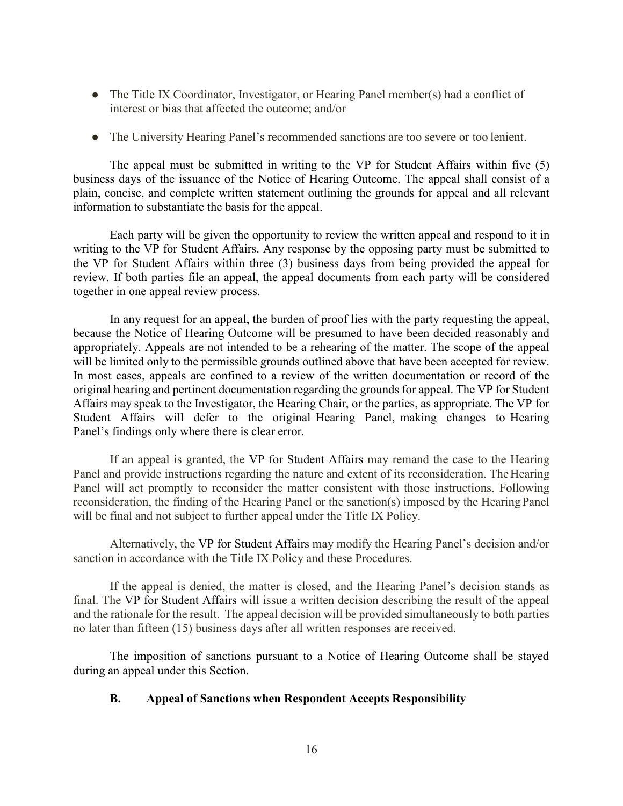- The Title IX Coordinator, Investigator, or Hearing Panel member(s) had a conflict of interest or bias that affected the outcome; and/or
- The University Hearing Panel's recommended sanctions are too severe or too lenient.

The appeal must be submitted in writing to the VP for Student Affairs within five (5) business days of the issuance of the Notice of Hearing Outcome. The appeal shall consist of a plain, concise, and complete written statement outlining the grounds for appeal and all relevant information to substantiate the basis for the appeal.

Each party will be given the opportunity to review the written appeal and respond to it in writing to the VP for Student Affairs. Any response by the opposing party must be submitted to the VP for Student Affairs within three (3) business days from being provided the appeal for review. If both parties file an appeal, the appeal documents from each party will be considered together in one appeal review process.

In any request for an appeal, the burden of proof lies with the party requesting the appeal, because the Notice of Hearing Outcome will be presumed to have been decided reasonably and appropriately. Appeals are not intended to be a rehearing of the matter. The scope of the appeal will be limited only to the permissible grounds outlined above that have been accepted for review. In most cases, appeals are confined to a review of the written documentation or record of the original hearing and pertinent documentation regarding the grounds for appeal. The VP for Student Affairs may speak to the Investigator, the Hearing Chair, or the parties, as appropriate. The VP for Student Affairs will defer to the original Hearing Panel, making changes to Hearing Panel's findings only where there is clear error.

If an appeal is granted, the VP for Student Affairs may remand the case to the Hearing Panel and provide instructions regarding the nature and extent of its reconsideration. The Hearing Panel will act promptly to reconsider the matter consistent with those instructions. Following reconsideration, the finding of the Hearing Panel or the sanction(s) imposed by the HearingPanel will be final and not subject to further appeal under the Title IX Policy.

Alternatively, the VP for Student Affairs may modify the Hearing Panel's decision and/or sanction in accordance with the Title IX Policy and these Procedures.

If the appeal is denied, the matter is closed, and the Hearing Panel's decision stands as final. The VP for Student Affairs will issue a written decision describing the result of the appeal and the rationale for the result. The appeal decision will be provided simultaneously to both parties no later than fifteen (15) business days after all written responses are received.

The imposition of sanctions pursuant to a Notice of Hearing Outcome shall be stayed during an appeal under this Section.

### **B. Appeal of Sanctions when Respondent Accepts Responsibility**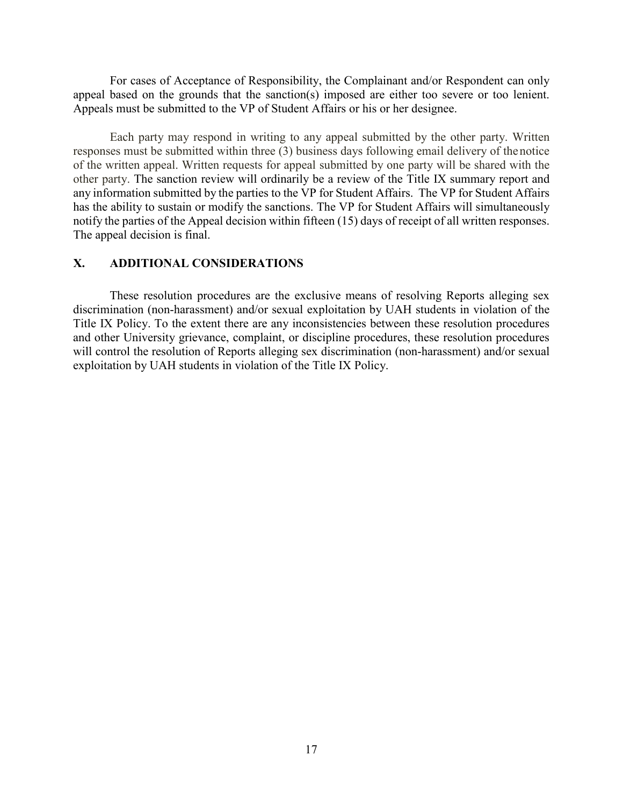For cases of Acceptance of Responsibility, the Complainant and/or Respondent can only appeal based on the grounds that the sanction(s) imposed are either too severe or too lenient. Appeals must be submitted to the VP of Student Affairs or his or her designee.

Each party may respond in writing to any appeal submitted by the other party. Written responses must be submitted within three (3) business days following email delivery of the notice of the written appeal. Written requests for appeal submitted by one party will be shared with the other party. The sanction review will ordinarily be a review of the Title IX summary report and any information submitted by the parties to the VP for Student Affairs. The VP for Student Affairs has the ability to sustain or modify the sanctions. The VP for Student Affairs will simultaneously notify the parties of the Appeal decision within fifteen (15) days of receipt of all written responses. The appeal decision is final.

### **X. ADDITIONAL CONSIDERATIONS**

These resolution procedures are the exclusive means of resolving Reports alleging sex discrimination (non-harassment) and/or sexual exploitation by UAH students in violation of the Title IX Policy. To the extent there are any inconsistencies between these resolution procedures and other University grievance, complaint, or discipline procedures, these resolution procedures will control the resolution of Reports alleging sex discrimination (non-harassment) and/or sexual exploitation by UAH students in violation of the Title IX Policy.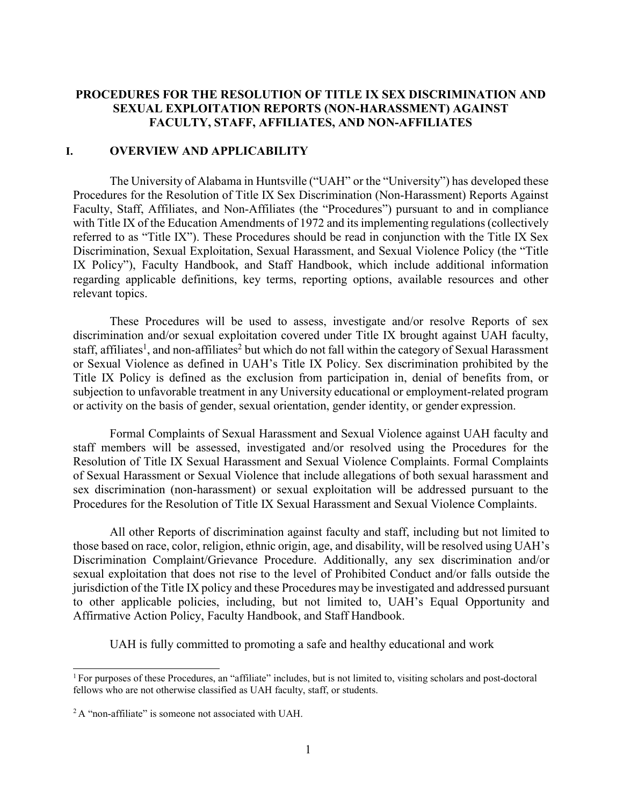## **PROCEDURES FOR THE RESOLUTION OF TITLE IX SEX DISCRIMINATION AND SEXUAL EXPLOITATION REPORTS (NON-HARASSMENT) AGAINST FACULTY, STAFF, AFFILIATES, AND NON-AFFILIATES**

#### **I. OVERVIEW AND APPLICABILITY**

The University of Alabama in Huntsville ("UAH" or the "University") has developed these Procedures for the Resolution of Title IX Sex Discrimination (Non-Harassment) Reports Against Faculty, Staff, Affiliates, and Non-Affiliates (the "Procedures") pursuant to and in compliance with Title IX of the Education Amendments of 1972 and its implementing regulations (collectively referred to as "Title IX"). These Procedures should be read in conjunction with the Title IX Sex Discrimination, Sexual Exploitation, Sexual Harassment, and Sexual Violence Policy (the "Title IX Policy"), Faculty Handbook, and Staff Handbook, which include additional information regarding applicable definitions, key terms, reporting options, available resources and other relevant topics.

These Procedures will be used to assess, investigate and/or resolve Reports of sex discrimination and/or sexual exploitation covered under Title IX brought against UAH faculty, staff, affiliates<sup>[1](#page-48-0)</sup>, and non-affiliates<sup>[2](#page-48-1)</sup> but which do not fall within the category of Sexual Harassment or Sexual Violence as defined in UAH's Title IX Policy. Sex discrimination prohibited by the Title IX Policy is defined as the exclusion from participation in, denial of benefits from, or subjection to unfavorable treatment in any University educational or employment-related program or activity on the basis of gender, sexual orientation, gender identity, or gender expression.

Formal Complaints of Sexual Harassment and Sexual Violence against UAH faculty and staff members will be assessed, investigated and/or resolved using the Procedures for the Resolution of Title IX Sexual Harassment and Sexual Violence Complaints. Formal Complaints of Sexual Harassment or Sexual Violence that include allegations of both sexual harassment and sex discrimination (non-harassment) or sexual exploitation will be addressed pursuant to the Procedures for the Resolution of Title IX Sexual Harassment and Sexual Violence Complaints.

All other Reports of discrimination against faculty and staff, including but not limited to those based on race, color, religion, ethnic origin, age, and disability, will be resolved using UAH's Discrimination Complaint/Grievance Procedure. Additionally, any sex discrimination and/or sexual exploitation that does not rise to the level of Prohibited Conduct and/or falls outside the jurisdiction of the Title IX policy and these Procedures may be investigated and addressed pursuant to other applicable policies, including, but not limited to, UAH's Equal Opportunity and Affirmative Action Policy, Faculty Handbook, and Staff Handbook.

UAH is fully committed to promoting a safe and healthy educational and work

<span id="page-48-0"></span><sup>&</sup>lt;sup>1</sup> For purposes of these Procedures, an "affiliate" includes, but is not limited to, visiting scholars and post-doctoral fellows who are not otherwise classified as UAH faculty, staff, or students.

<span id="page-48-1"></span><sup>&</sup>lt;sup>2</sup> A "non-affiliate" is someone not associated with UAH.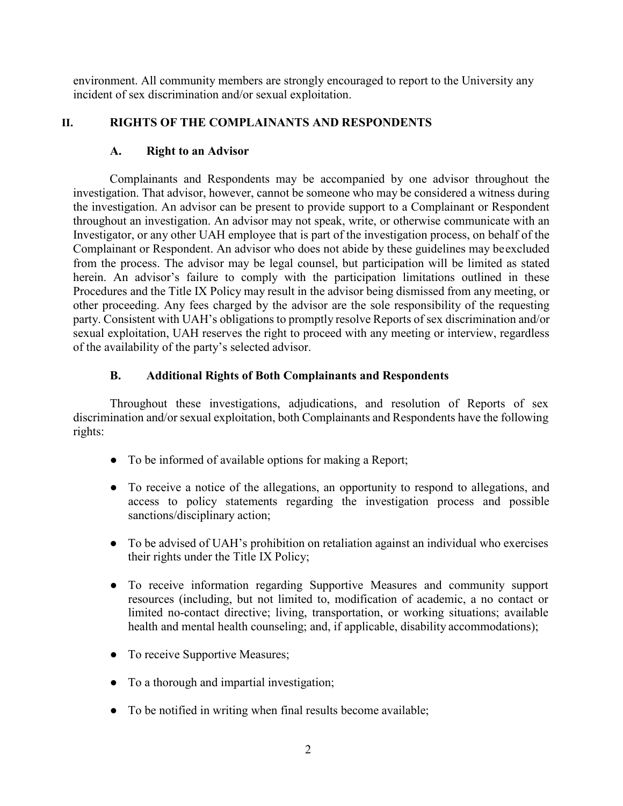environment. All community members are strongly encouraged to report to the University any incident of sex discrimination and/or sexual exploitation.

# **II. RIGHTS OF THE COMPLAINANTS AND RESPONDENTS**

# **A. Right to an Advisor**

Complainants and Respondents may be accompanied by one advisor throughout the investigation. That advisor, however, cannot be someone who may be considered a witness during the investigation. An advisor can be present to provide support to a Complainant or Respondent throughout an investigation. An advisor may not speak, write, or otherwise communicate with an Investigator, or any other UAH employee that is part of the investigation process, on behalf of the Complainant or Respondent. An advisor who does not abide by these guidelines may beexcluded from the process. The advisor may be legal counsel, but participation will be limited as stated herein. An advisor's failure to comply with the participation limitations outlined in these Procedures and the Title IX Policy may result in the advisor being dismissed from any meeting, or other proceeding. Any fees charged by the advisor are the sole responsibility of the requesting party. Consistent with UAH's obligations to promptly resolve Reports of sex discrimination and/or sexual exploitation, UAH reserves the right to proceed with any meeting or interview, regardless of the availability of the party's selected advisor.

# **B. Additional Rights of Both Complainants and Respondents**

Throughout these investigations, adjudications, and resolution of Reports of sex discrimination and/or sexual exploitation, both Complainants and Respondents have the following rights:

- To be informed of available options for making a Report;
- To receive a notice of the allegations, an opportunity to respond to allegations, and access to policy statements regarding the investigation process and possible sanctions/disciplinary action;
- To be advised of UAH's prohibition on retaliation against an individual who exercises their rights under the Title IX Policy;
- To receive information regarding Supportive Measures and community support resources (including, but not limited to, modification of academic, a no contact or limited no-contact directive; living, transportation, or working situations; available health and mental health counseling; and, if applicable, disability accommodations);
- To receive Supportive Measures;
- To a thorough and impartial investigation;
- To be notified in writing when final results become available;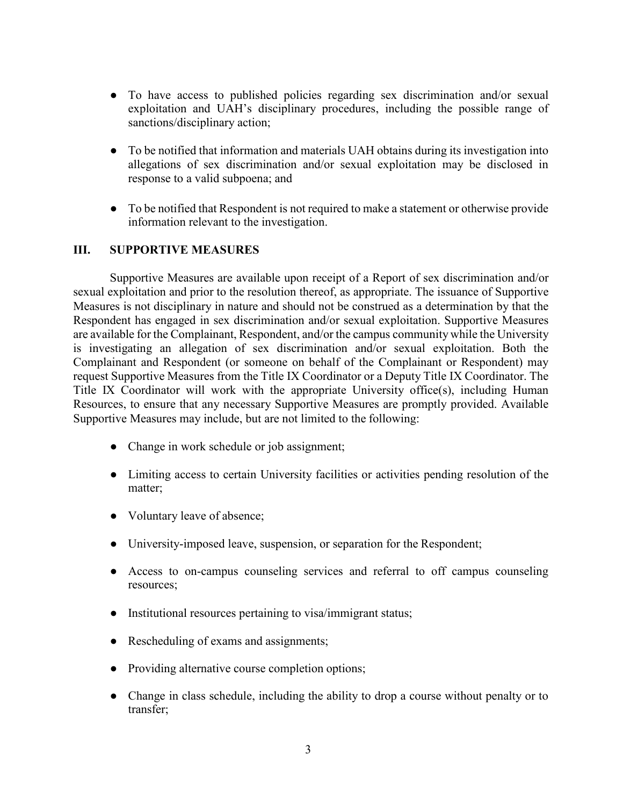- To have access to published policies regarding sex discrimination and/or sexual exploitation and UAH's disciplinary procedures, including the possible range of sanctions/disciplinary action;
- To be notified that information and materials UAH obtains during its investigation into allegations of sex discrimination and/or sexual exploitation may be disclosed in response to a valid subpoena; and
- To be notified that Respondent is not required to make a statement or otherwise provide information relevant to the investigation.

## **III. SUPPORTIVE MEASURES**

Supportive Measures are available upon receipt of a Report of sex discrimination and/or sexual exploitation and prior to the resolution thereof, as appropriate. The issuance of Supportive Measures is not disciplinary in nature and should not be construed as a determination by that the Respondent has engaged in sex discrimination and/or sexual exploitation. Supportive Measures are available for the Complainant, Respondent, and/or the campus community while the University is investigating an allegation of sex discrimination and/or sexual exploitation. Both the Complainant and Respondent (or someone on behalf of the Complainant or Respondent) may request Supportive Measures from the Title IX Coordinator or a Deputy Title IX Coordinator. The Title IX Coordinator will work with the appropriate University office(s), including Human Resources, to ensure that any necessary Supportive Measures are promptly provided. Available Supportive Measures may include, but are not limited to the following:

- Change in work schedule or job assignment;
- Limiting access to certain University facilities or activities pending resolution of the matter;
- Voluntary leave of absence;
- University-imposed leave, suspension, or separation for the Respondent;
- Access to on-campus counseling services and referral to off campus counseling resources;
- Institutional resources pertaining to visa/immigrant status;
- Rescheduling of exams and assignments;
- Providing alternative course completion options;
- Change in class schedule, including the ability to drop a course without penalty or to transfer;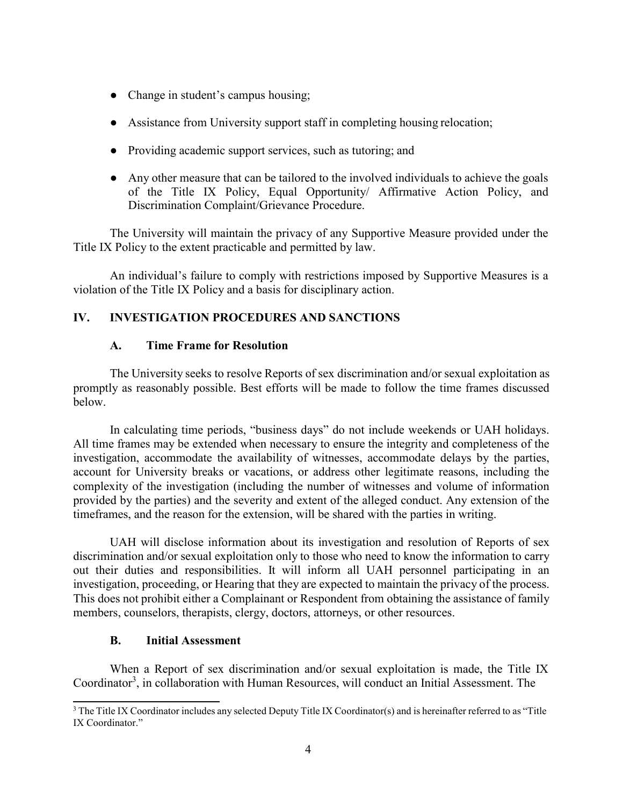- Change in student's campus housing;
- Assistance from University support staff in completing housing relocation;
- Providing academic support services, such as tutoring; and
- Any other measure that can be tailored to the involved individuals to achieve the goals of the Title IX Policy, Equal Opportunity/ Affirmative Action Policy, and Discrimination Complaint/Grievance Procedure.

The University will maintain the privacy of any Supportive Measure provided under the Title IX Policy to the extent practicable and permitted by law.

An individual's failure to comply with restrictions imposed by Supportive Measures is a violation of the Title IX Policy and a basis for disciplinary action.

# **IV. INVESTIGATION PROCEDURES AND SANCTIONS**

### **A. Time Frame for Resolution**

The University seeks to resolve Reports of sex discrimination and/or sexual exploitation as promptly as reasonably possible. Best efforts will be made to follow the time frames discussed below.

In calculating time periods, "business days" do not include weekends or UAH holidays. All time frames may be extended when necessary to ensure the integrity and completeness of the investigation, accommodate the availability of witnesses, accommodate delays by the parties, account for University breaks or vacations, or address other legitimate reasons, including the complexity of the investigation (including the number of witnesses and volume of information provided by the parties) and the severity and extent of the alleged conduct. Any extension of the timeframes, and the reason for the extension, will be shared with the parties in writing.

UAH will disclose information about its investigation and resolution of Reports of sex discrimination and/or sexual exploitation only to those who need to know the information to carry out their duties and responsibilities. It will inform all UAH personnel participating in an investigation, proceeding, or Hearing that they are expected to maintain the privacy of the process. This does not prohibit either a Complainant or Respondent from obtaining the assistance of family members, counselors, therapists, clergy, doctors, attorneys, or other resources.

### **B. Initial Assessment**

When a Report of sex discrimination and/or sexual exploitation is made, the Title IX Coordinator<sup>3</sup>, in collaboration with Human Resources, will conduct an Initial Assessment. The

<span id="page-51-0"></span><sup>&</sup>lt;sup>3</sup> The Title IX Coordinator includes any selected Deputy Title IX Coordinator(s) and is hereinafter referred to as "Title IX Coordinator."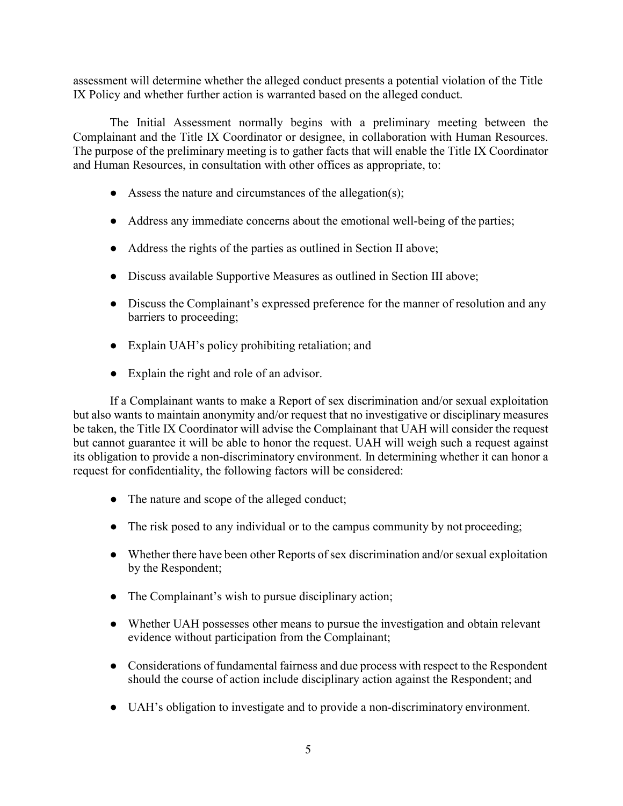assessment will determine whether the alleged conduct presents a potential violation of the Title IX Policy and whether further action is warranted based on the alleged conduct.

The Initial Assessment normally begins with a preliminary meeting between the Complainant and the Title IX Coordinator or designee, in collaboration with Human Resources. The purpose of the preliminary meeting is to gather facts that will enable the Title IX Coordinator and Human Resources, in consultation with other offices as appropriate, to:

- $\bullet$  Assess the nature and circumstances of the allegation(s);
- Address any immediate concerns about the emotional well-being of the parties;
- Address the rights of the parties as outlined in Section II above;
- Discuss available Supportive Measures as outlined in Section III above;
- Discuss the Complainant's expressed preference for the manner of resolution and any barriers to proceeding;
- Explain UAH's policy prohibiting retaliation; and
- Explain the right and role of an advisor.

If a Complainant wants to make a Report of sex discrimination and/or sexual exploitation but also wants to maintain anonymity and/or request that no investigative or disciplinary measures be taken, the Title IX Coordinator will advise the Complainant that UAH will consider the request but cannot guarantee it will be able to honor the request. UAH will weigh such a request against its obligation to provide a non-discriminatory environment. In determining whether it can honor a request for confidentiality, the following factors will be considered:

- The nature and scope of the alleged conduct;
- The risk posed to any individual or to the campus community by not proceeding;
- Whether there have been other Reports of sex discrimination and/or sexual exploitation by the Respondent;
- The Complainant's wish to pursue disciplinary action;
- Whether UAH possesses other means to pursue the investigation and obtain relevant evidence without participation from the Complainant;
- Considerations of fundamental fairness and due process with respect to the Respondent should the course of action include disciplinary action against the Respondent; and
- UAH's obligation to investigate and to provide a non-discriminatory environment.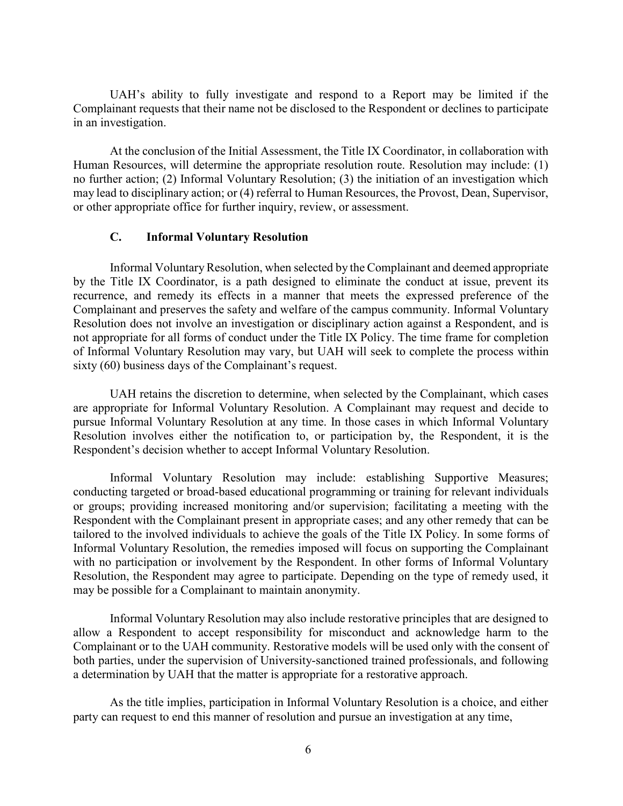UAH's ability to fully investigate and respond to a Report may be limited if the Complainant requests that their name not be disclosed to the Respondent or declines to participate in an investigation.

At the conclusion of the Initial Assessment, the Title IX Coordinator, in collaboration with Human Resources, will determine the appropriate resolution route. Resolution may include: (1) no further action; (2) Informal Voluntary Resolution; (3) the initiation of an investigation which may lead to disciplinary action; or (4) referral to Human Resources, the Provost, Dean, Supervisor, or other appropriate office for further inquiry, review, or assessment.

#### **C. Informal Voluntary Resolution**

Informal Voluntary Resolution, when selected by the Complainant and deemed appropriate by the Title IX Coordinator, is a path designed to eliminate the conduct at issue, prevent its recurrence, and remedy its effects in a manner that meets the expressed preference of the Complainant and preserves the safety and welfare of the campus community. Informal Voluntary Resolution does not involve an investigation or disciplinary action against a Respondent, and is not appropriate for all forms of conduct under the Title IX Policy. The time frame for completion of Informal Voluntary Resolution may vary, but UAH will seek to complete the process within sixty (60) business days of the Complainant's request.

UAH retains the discretion to determine, when selected by the Complainant, which cases are appropriate for Informal Voluntary Resolution. A Complainant may request and decide to pursue Informal Voluntary Resolution at any time. In those cases in which Informal Voluntary Resolution involves either the notification to, or participation by, the Respondent, it is the Respondent's decision whether to accept Informal Voluntary Resolution.

Informal Voluntary Resolution may include: establishing Supportive Measures; conducting targeted or broad-based educational programming or training for relevant individuals or groups; providing increased monitoring and/or supervision; facilitating a meeting with the Respondent with the Complainant present in appropriate cases; and any other remedy that can be tailored to the involved individuals to achieve the goals of the Title IX Policy. In some forms of Informal Voluntary Resolution, the remedies imposed will focus on supporting the Complainant with no participation or involvement by the Respondent. In other forms of Informal Voluntary Resolution, the Respondent may agree to participate. Depending on the type of remedy used, it may be possible for a Complainant to maintain anonymity.

Informal Voluntary Resolution may also include restorative principles that are designed to allow a Respondent to accept responsibility for misconduct and acknowledge harm to the Complainant or to the UAH community. Restorative models will be used only with the consent of both parties, under the supervision of University-sanctioned trained professionals, and following a determination by UAH that the matter is appropriate for a restorative approach.

As the title implies, participation in Informal Voluntary Resolution is a choice, and either party can request to end this manner of resolution and pursue an investigation at any time,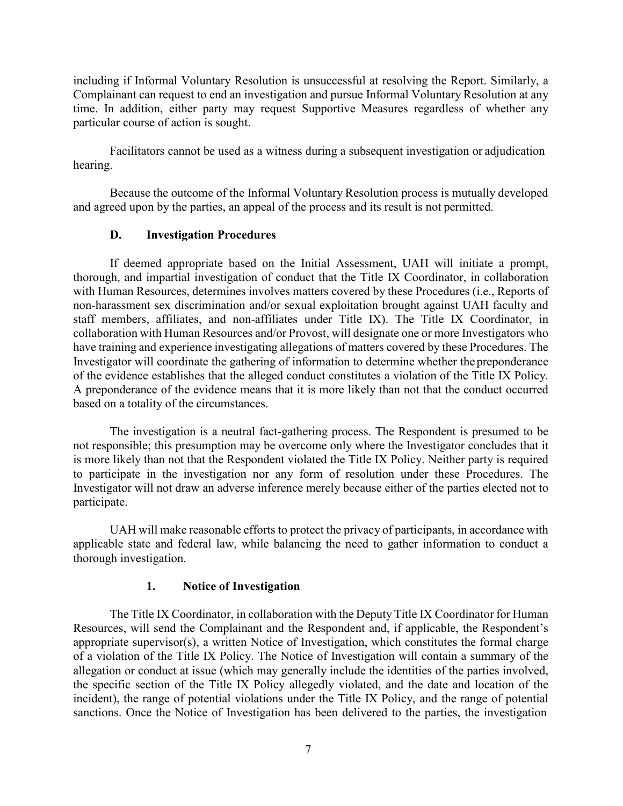including if Informal Voluntary Resolution is unsuccessful at resolving the Report. Similarly, a Complainant can request to end an investigation and pursue Informal Voluntary Resolution at any time. In addition, either party may request Supportive Measures regardless of whether any particular course of action is sought.

Facilitators cannot be used as a witness during a subsequent investigation or adjudication hearing.

Because the outcome of the Informal Voluntary Resolution process is mutually developed and agreed upon by the parties, an appeal of the process and its result is not permitted.

#### **D. Investigation Procedures**

If deemed appropriate based on the Initial Assessment, UAH will initiate a prompt, thorough, and impartial investigation of conduct that the Title IX Coordinator, in collaboration with Human Resources, determines involves matters covered by these Procedures (i.e., Reports of non-harassment sex discrimination and/or sexual exploitation brought against UAH faculty and staff members, affiliates, and non-affiliates under Title IX). The Title IX Coordinator, in collaboration with Human Resources and/or Provost, will designate one or more Investigators who have training and experience investigating allegations of matters covered by these Procedures. The Investigator will coordinate the gathering of information to determine whether the preponderance of the evidence establishes that the alleged conduct constitutes a violation of the Title IX Policy. A preponderance of the evidence means that it is more likely than not that the conduct occurred based on a totality of the circumstances.

The investigation is a neutral fact-gathering process. The Respondent is presumed to be not responsible; this presumption may be overcome only where the Investigator concludes that it is more likely than not that the Respondent violated the Title IX Policy. Neither party is required to participate in the investigation nor any form of resolution under these Procedures. The Investigator will not draw an adverse inference merely because either of the parties elected not to participate.

UAH will make reasonable efforts to protect the privacy of participants, in accordance with applicable state and federal law, while balancing the need to gather information to conduct a thorough investigation.

#### **1. Notice of Investigation**

The Title IX Coordinator, in collaboration with the Deputy Title IX Coordinator for Human Resources, will send the Complainant and the Respondent and, if applicable, the Respondent's appropriate supervisor(s), a written Notice of Investigation, which constitutes the formal charge of a violation of the Title IX Policy. The Notice of Investigation will contain a summary of the allegation or conduct at issue (which may generally include the identities of the parties involved, the specific section of the Title IX Policy allegedly violated, and the date and location of the incident), the range of potential violations under the Title IX Policy, and the range of potential sanctions. Once the Notice of Investigation has been delivered to the parties, the investigation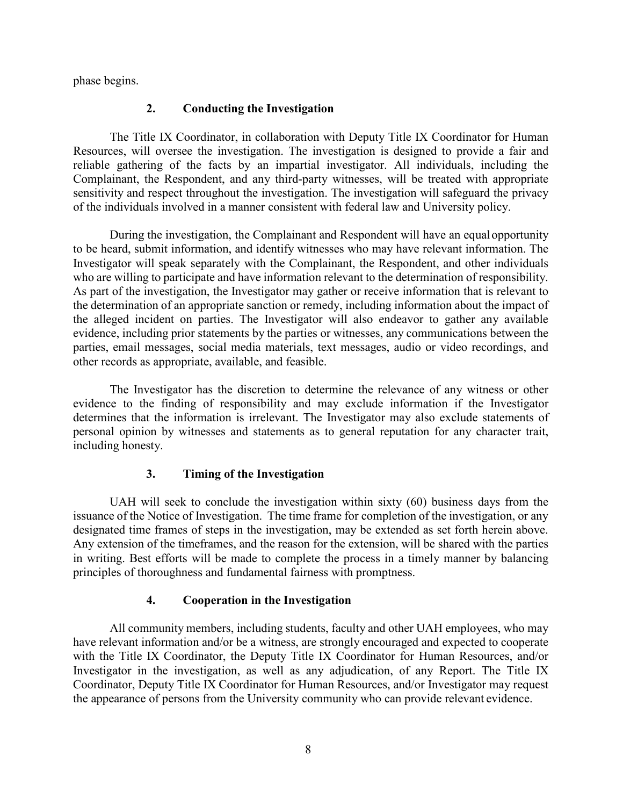phase begins.

#### **2. Conducting the Investigation**

The Title IX Coordinator, in collaboration with Deputy Title IX Coordinator for Human Resources, will oversee the investigation. The investigation is designed to provide a fair and reliable gathering of the facts by an impartial investigator. All individuals, including the Complainant, the Respondent, and any third-party witnesses, will be treated with appropriate sensitivity and respect throughout the investigation. The investigation will safeguard the privacy of the individuals involved in a manner consistent with federal law and University policy.

During the investigation, the Complainant and Respondent will have an equalopportunity to be heard, submit information, and identify witnesses who may have relevant information. The Investigator will speak separately with the Complainant, the Respondent, and other individuals who are willing to participate and have information relevant to the determination of responsibility. As part of the investigation, the Investigator may gather or receive information that is relevant to the determination of an appropriate sanction or remedy, including information about the impact of the alleged incident on parties. The Investigator will also endeavor to gather any available evidence, including prior statements by the parties or witnesses, any communications between the parties, email messages, social media materials, text messages, audio or video recordings, and other records as appropriate, available, and feasible.

The Investigator has the discretion to determine the relevance of any witness or other evidence to the finding of responsibility and may exclude information if the Investigator determines that the information is irrelevant. The Investigator may also exclude statements of personal opinion by witnesses and statements as to general reputation for any character trait, including honesty.

### **3. Timing of the Investigation**

UAH will seek to conclude the investigation within sixty (60) business days from the issuance of the Notice of Investigation. The time frame for completion of the investigation, or any designated time frames of steps in the investigation, may be extended as set forth herein above. Any extension of the timeframes, and the reason for the extension, will be shared with the parties in writing. Best efforts will be made to complete the process in a timely manner by balancing principles of thoroughness and fundamental fairness with promptness.

### **4. Cooperation in the Investigation**

All community members, including students, faculty and other UAH employees, who may have relevant information and/or be a witness, are strongly encouraged and expected to cooperate with the Title IX Coordinator, the Deputy Title IX Coordinator for Human Resources, and/or Investigator in the investigation, as well as any adjudication, of any Report. The Title IX Coordinator, Deputy Title IX Coordinator for Human Resources, and/or Investigator may request the appearance of persons from the University community who can provide relevant evidence.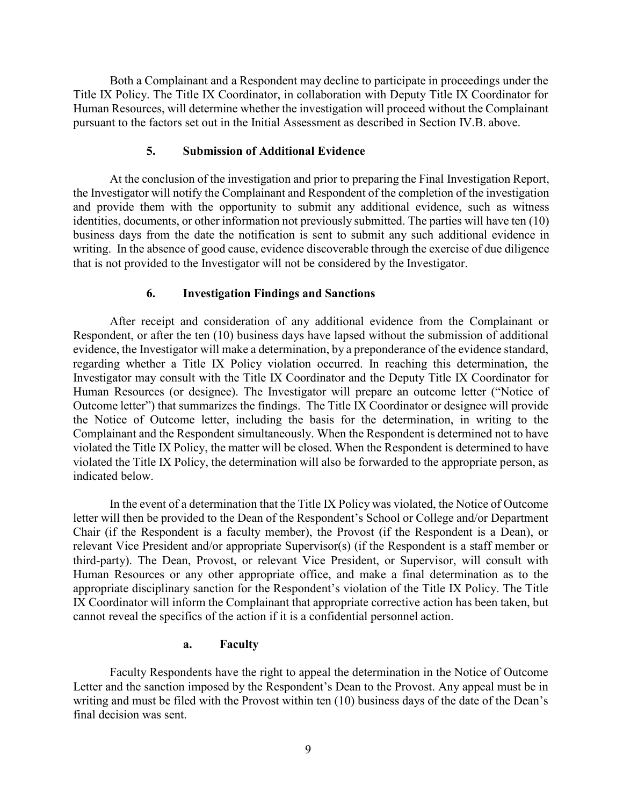Both a Complainant and a Respondent may decline to participate in proceedings under the Title IX Policy. The Title IX Coordinator, in collaboration with Deputy Title IX Coordinator for Human Resources, will determine whether the investigation will proceed without the Complainant pursuant to the factors set out in the Initial Assessment as described in Section IV.B. above.

### **5. Submission of Additional Evidence**

At the conclusion of the investigation and prior to preparing the Final Investigation Report, the Investigator will notify the Complainant and Respondent of the completion of the investigation and provide them with the opportunity to submit any additional evidence, such as witness identities, documents, or other information not previously submitted. The parties will have ten (10) business days from the date the notification is sent to submit any such additional evidence in writing. In the absence of good cause, evidence discoverable through the exercise of due diligence that is not provided to the Investigator will not be considered by the Investigator.

### **6. Investigation Findings and Sanctions**

After receipt and consideration of any additional evidence from the Complainant or Respondent, or after the ten (10) business days have lapsed without the submission of additional evidence, the Investigator will make a determination, by a preponderance of the evidence standard, regarding whether a Title IX Policy violation occurred. In reaching this determination, the Investigator may consult with the Title IX Coordinator and the Deputy Title IX Coordinator for Human Resources (or designee). The Investigator will prepare an outcome letter ("Notice of Outcome letter") that summarizes the findings. The Title IX Coordinator or designee will provide the Notice of Outcome letter, including the basis for the determination, in writing to the Complainant and the Respondent simultaneously. When the Respondent is determined not to have violated the Title IX Policy, the matter will be closed. When the Respondent is determined to have violated the Title IX Policy, the determination will also be forwarded to the appropriate person, as indicated below.

In the event of a determination that the Title IX Policy was violated, the Notice of Outcome letter will then be provided to the Dean of the Respondent's School or College and/or Department Chair (if the Respondent is a faculty member), the Provost (if the Respondent is a Dean), or relevant Vice President and/or appropriate Supervisor(s) (if the Respondent is a staff member or third-party). The Dean, Provost, or relevant Vice President, or Supervisor, will consult with Human Resources or any other appropriate office, and make a final determination as to the appropriate disciplinary sanction for the Respondent's violation of the Title IX Policy. The Title IX Coordinator will inform the Complainant that appropriate corrective action has been taken, but cannot reveal the specifics of the action if it is a confidential personnel action.

### **a. Faculty**

Faculty Respondents have the right to appeal the determination in the Notice of Outcome Letter and the sanction imposed by the Respondent's Dean to the Provost. Any appeal must be in writing and must be filed with the Provost within ten (10) business days of the date of the Dean's final decision was sent.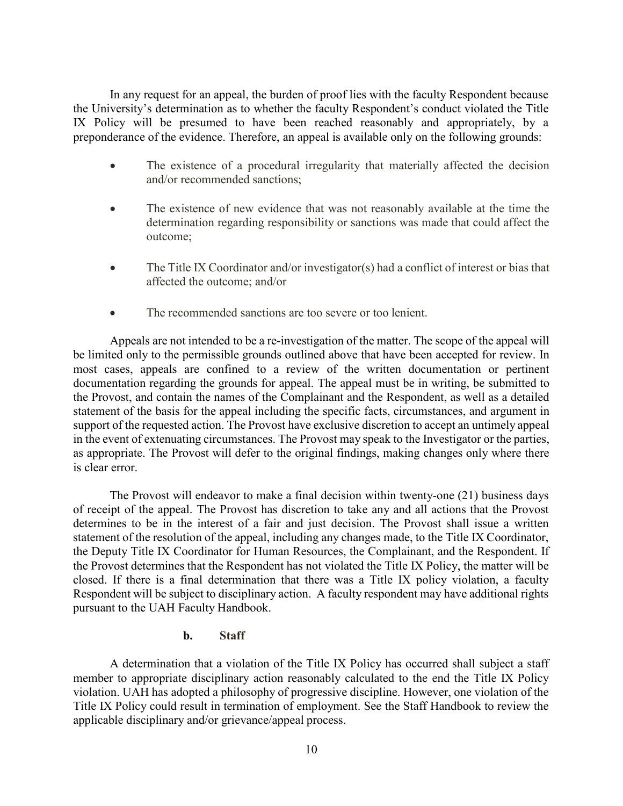In any request for an appeal, the burden of proof lies with the faculty Respondent because the University's determination as to whether the faculty Respondent's conduct violated the [Title](http://www.bu.edu/safety/sexual-misconduct/title-ix-bu-policies/sexual-misconducttitle-ix-policy/) [IX Policy](http://www.bu.edu/safety/sexual-misconduct/title-ix-bu-policies/sexual-misconducttitle-ix-policy/) will be presumed to have been reached reasonably and appropriately, by a preponderance of the evidence. Therefore, an appeal is available only on the following grounds:

- The existence of a procedural irregularity that materially affected the decision and/or recommended sanctions;
- The existence of new evidence that was not reasonably available at the time the determination regarding responsibility or sanctions was made that could affect the outcome;
- The Title IX Coordinator and/or investigator(s) had a conflict of interest or bias that affected the outcome; and/or
- The recommended sanctions are too severe or too lenient.

Appeals are not intended to be a re-investigation of the matter. The scope of the appeal will be limited only to the permissible grounds outlined above that have been accepted for review. In most cases, appeals are confined to a review of the written documentation or pertinent documentation regarding the grounds for appeal. The appeal must be in writing, be submitted to the Provost, and contain the names of the Complainant and the Respondent, as well as a detailed statement of the basis for the appeal including the specific facts, circumstances, and argument in support of the requested action. The Provost have exclusive discretion to accept an untimely appeal in the event of extenuating circumstances. The Provost may speak to the Investigator or the parties, as appropriate. The Provost will defer to the original findings, making changes only where there is clear error.

The Provost will endeavor to make a final decision within twenty-one (21) business days of receipt of the appeal. The Provost has discretion to take any and all actions that the Provost determines to be in the interest of a fair and just decision. The Provost shall issue a written statement of the resolution of the appeal, including any changes made, to the Title IX Coordinator, the Deputy Title IX Coordinator for Human Resources, the Complainant, and the Respondent. If the Provost determines that the Respondent has not violated the Title IX Policy, the matter will be closed. If there is a final determination that there was a Title IX policy violation, a faculty Respondent will be subject to disciplinary action. A faculty respondent may have additional rights pursuant to the UAH Faculty Handbook.

### **b. Staff**

A determination that a violation of the Title IX Policy has occurred shall subject a staff member to appropriate disciplinary action reasonably calculated to the end the Title IX Policy violation. UAH has adopted a philosophy of progressive discipline. However, one violation of the Title IX Policy could result in termination of employment. See the Staff Handbook to review the applicable disciplinary and/or grievance/appeal process.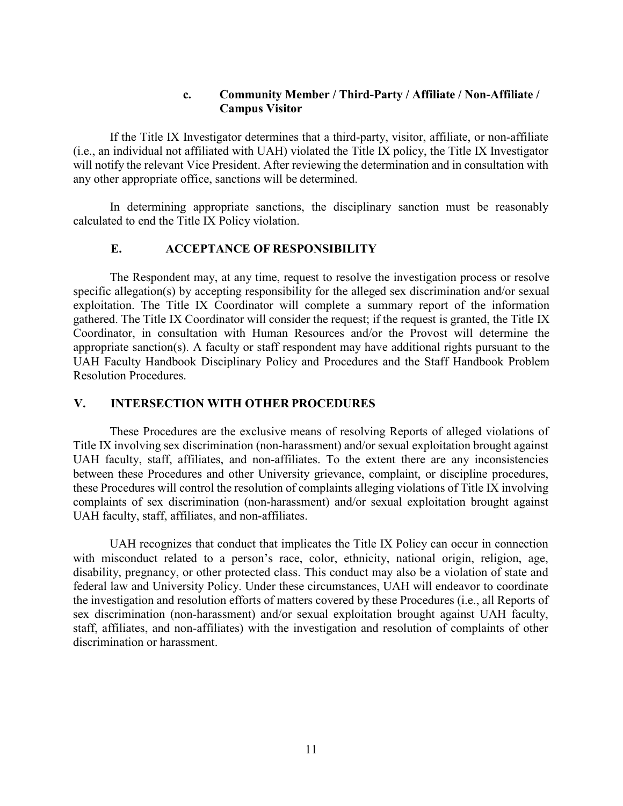### **c. Community Member / Third-Party / Affiliate / Non-Affiliate / Campus Visitor**

If the Title IX Investigator determines that a third-party, visitor, affiliate, or non-affiliate (i.e., an individual not affiliated with UAH) violated the Title IX policy, the Title IX Investigator will notify the relevant Vice President. After reviewing the determination and in consultation with any other appropriate office, sanctions will be determined.

In determining appropriate sanctions, the disciplinary sanction must be reasonably calculated to end the Title IX Policy violation.

### **E. ACCEPTANCE OF RESPONSIBILITY**

The Respondent may, at any time, request to resolve the investigation process or resolve specific allegation(s) by accepting responsibility for the alleged sex discrimination and/or sexual exploitation. The Title IX Coordinator will complete a summary report of the information gathered. The Title IX Coordinator will consider the request; if the request is granted, the Title IX Coordinator, in consultation with Human Resources and/or the Provost will determine the appropriate sanction(s). A faculty or staff respondent may have additional rights pursuant to the UAH Faculty Handbook Disciplinary Policy and Procedures and the Staff Handbook Problem Resolution Procedures.

### **V. INTERSECTION WITH OTHER PROCEDURES**

These Procedures are the exclusive means of resolving Reports of alleged violations of Title IX involving sex discrimination (non-harassment) and/or sexual exploitation brought against UAH faculty, staff, affiliates, and non-affiliates. To the extent there are any inconsistencies between these Procedures and other University grievance, complaint, or discipline procedures, these Procedures will control the resolution of complaints alleging violations of Title IX involving complaints of sex discrimination (non-harassment) and/or sexual exploitation brought against UAH faculty, staff, affiliates, and non-affiliates.

UAH recognizes that conduct that implicates the Title IX Policy can occur in connection with misconduct related to a person's race, color, ethnicity, national origin, religion, age, disability, pregnancy, or other protected class. This conduct may also be a violation of state and federal law and University Policy. Under these circumstances, UAH will endeavor to coordinate the investigation and resolution efforts of matters covered by these Procedures (i.e., all Reports of sex discrimination (non-harassment) and/or sexual exploitation brought against UAH faculty, staff, affiliates, and non-affiliates) with the investigation and resolution of complaints of other discrimination or harassment.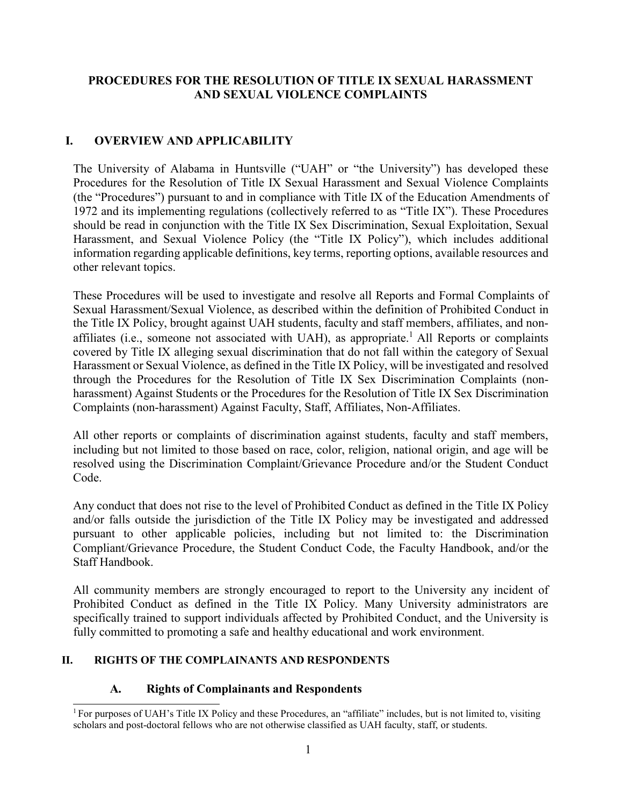# **PROCEDURES FOR THE RESOLUTION OF TITLE IX SEXUAL HARASSMENT AND SEXUAL VIOLENCE COMPLAINTS**

# **I. OVERVIEW AND APPLICABILITY**

The University of Alabama in Huntsville ("UAH" or "the University") has developed these Procedures for the Resolution of Title IX Sexual Harassment and Sexual Violence Complaints (the "Procedures") pursuant to and in compliance with Title IX of the Education Amendments of 1972 and its implementing regulations (collectively referred to as "Title IX"). These Procedures should be read in conjunction with the Title IX Sex Discrimination, Sexual Exploitation, Sexual Harassment, and Sexual Violence Policy (the "Title IX Policy"), which includes additional information regarding applicable definitions, key terms, reporting options, available resources and other relevant topics.

These Procedures will be used to investigate and resolve all Reports and Formal Complaints of Sexual Harassment/Sexual Violence, as described within the definition of Prohibited Conduct in the Title IX Policy, brought against UAH students, faculty and staff members, affiliates, and non-affiliates (i.e., someone not associated with UAH), as appropriate.<sup>[1](#page-59-0)</sup> All Reports or complaints covered by Title IX alleging sexual discrimination that do not fall within the category of Sexual Harassment or Sexual Violence, as defined in the Title IX Policy, will be investigated and resolved through the Procedures for the Resolution of Title IX Sex Discrimination Complaints (nonharassment) Against Students or the Procedures for the Resolution of Title IX Sex Discrimination Complaints (non-harassment) Against Faculty, Staff, Affiliates, Non-Affiliates.

All other reports or complaints of discrimination against students, faculty and staff members, including but not limited to those based on race, color, religion, national origin, and age will be resolved using the Discrimination Complaint/Grievance Procedure and/or the Student Conduct Code.

Any conduct that does not rise to the level of Prohibited Conduct as defined in the Title IX Policy and/or falls outside the jurisdiction of the Title IX Policy may be investigated and addressed pursuant to other applicable policies, including but not limited to: the Discrimination Compliant/Grievance Procedure, the Student Conduct Code, the Faculty Handbook, and/or the Staff Handbook.

All community members are strongly encouraged to report to the University any incident of Prohibited Conduct as defined in the Title IX Policy. Many University administrators are specifically trained to support individuals affected by Prohibited Conduct, and the University is fully committed to promoting a safe and healthy educational and work environment.

### **II. RIGHTS OF THE COMPLAINANTS AND RESPONDENTS**

# **A. Rights of Complainants and Respondents**

<span id="page-59-0"></span><sup>&</sup>lt;sup>1</sup> For purposes of UAH's Title IX Policy and these Procedures, an "affiliate" includes, but is not limited to, visiting scholars and post-doctoral fellows who are not otherwise classified as UAH faculty, staff, or students.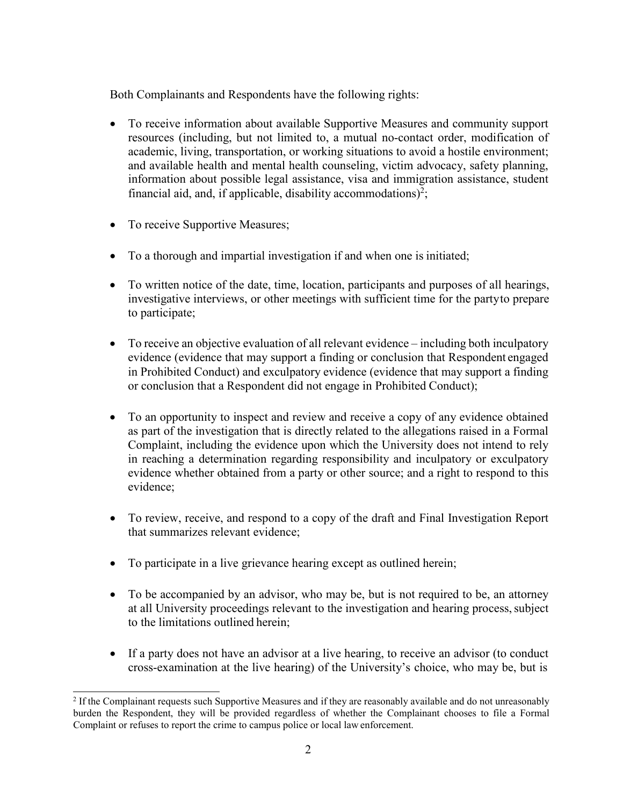Both Complainants and Respondents have the following rights:

- To receive information about available Supportive Measures and community support resources (including, but not limited to, a mutual no-contact order, modification of academic, living, transportation, or working situations to avoid a hostile environment; and available health and mental health counseling, victim advocacy, safety planning, information about possible legal assistance, visa and immigration assistance, student financial aid, and, if applicable, disability accommodations)<sup>2</sup>;
- To receive Supportive Measures;
- To a thorough and impartial investigation if and when one is initiated;
- To written notice of the date, time, location, participants and purposes of all hearings, investigative interviews, or other meetings with sufficient time for the partyto prepare to participate;
- To receive an objective evaluation of all relevant evidence including both inculpatory evidence (evidence that may support a finding or conclusion that Respondent engaged in Prohibited Conduct) and exculpatory evidence (evidence that may support a finding or conclusion that a Respondent did not engage in Prohibited Conduct);
- To an opportunity to inspect and review and receive a copy of any evidence obtained as part of the investigation that is directly related to the allegations raised in a Formal Complaint, including the evidence upon which the University does not intend to rely in reaching a determination regarding responsibility and inculpatory or exculpatory evidence whether obtained from a party or other source; and a right to respond to this evidence;
- To review, receive, and respond to a copy of the draft and Final Investigation Report that summarizes relevant evidence;
- To participate in a live grievance hearing except as outlined herein;
- To be accompanied by an advisor, who may be, but is not required to be, an attorney at all University proceedings relevant to the investigation and hearing process, subject to the limitations outlined herein;
- If a party does not have an advisor at a live hearing, to receive an advisor (to conduct cross-examination at the live hearing) of the University's choice, who may be, but is

<span id="page-60-0"></span><sup>&</sup>lt;sup>2</sup> If the Complainant requests such Supportive Measures and if they are reasonably available and do not unreasonably burden the Respondent, they will be provided regardless of whether the Complainant chooses to file a Formal Complaint or refuses to report the crime to campus police or local law enforcement.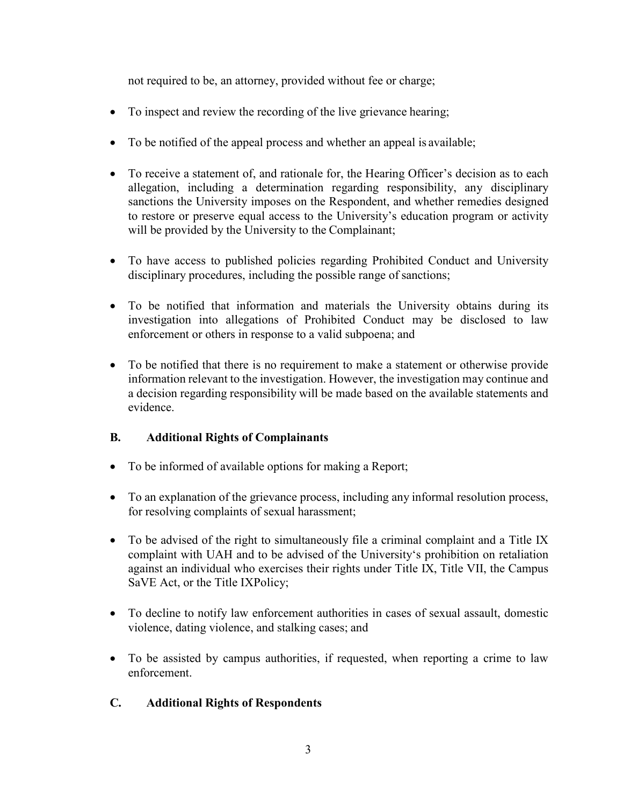not required to be, an attorney, provided without fee or charge;

- To inspect and review the recording of the live grievance hearing;
- To be notified of the appeal process and whether an appeal is available;
- To receive a statement of, and rationale for, the Hearing Officer's decision as to each allegation, including a determination regarding responsibility, any disciplinary sanctions the University imposes on the Respondent, and whether remedies designed to restore or preserve equal access to the University's education program or activity will be provided by the University to the Complainant;
- To have access to published policies regarding Prohibited Conduct and University disciplinary procedures, including the possible range of sanctions;
- To be notified that information and materials the University obtains during its investigation into allegations of Prohibited Conduct may be disclosed to law enforcement or others in response to a valid subpoena; and
- To be notified that there is no requirement to make a statement or otherwise provide information relevant to the investigation. However, the investigation may continue and a decision regarding responsibility will be made based on the available statements and evidence.

# **B. Additional Rights of Complainants**

- To be informed of available options for making a Report;
- To an explanation of the grievance process, including any informal resolution process, for resolving complaints of sexual harassment;
- To be advised of the right to simultaneously file a criminal complaint and a Title IX complaint with UAH and to be advised of the University's prohibition on retaliation against an individual who exercises their rights under Title IX, Title VII, the Campus SaVE Act, or the Title IXPolicy;
- To decline to notify law enforcement authorities in cases of sexual assault, domestic violence, dating violence, and stalking cases; and
- To be assisted by campus authorities, if requested, when reporting a crime to law enforcement.

# **C. Additional Rights of Respondents**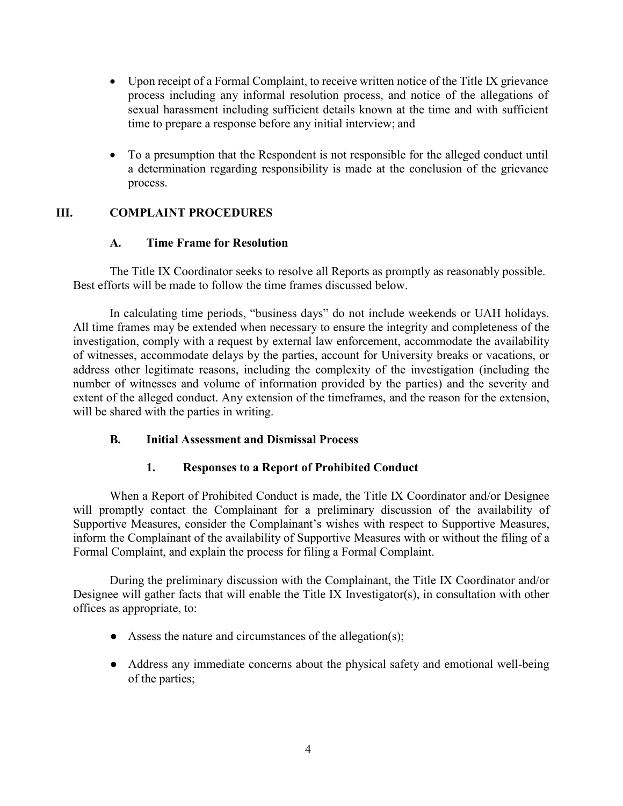- Upon receipt of a Formal Complaint, to receive written notice of the Title IX grievance process including any informal resolution process, and notice of the allegations of sexual harassment including sufficient details known at the time and with sufficient time to prepare a response before any initial interview; and
- To a presumption that the Respondent is not responsible for the alleged conduct until a determination regarding responsibility is made at the conclusion of the grievance process.

# **III. COMPLAINT PROCEDURES**

## **A. Time Frame for Resolution**

The Title IX Coordinator seeks to resolve all Reports as promptly as reasonably possible. Best efforts will be made to follow the time frames discussed below.

In calculating time periods, "business days" do not include weekends or UAH holidays. All time frames may be extended when necessary to ensure the integrity and completeness of the investigation, comply with a request by external law enforcement, accommodate the availability of witnesses, accommodate delays by the parties, account for University breaks or vacations, or address other legitimate reasons, including the complexity of the investigation (including the number of witnesses and volume of information provided by the parties) and the severity and extent of the alleged conduct. Any extension of the timeframes, and the reason for the extension, will be shared with the parties in writing.

# **B. Initial Assessment and Dismissal Process**

### **1. Responses to a Report of Prohibited Conduct**

When a Report of Prohibited Conduct is made, the Title IX Coordinator and/or Designee will promptly contact the Complainant for a preliminary discussion of the availability of Supportive Measures, consider the Complainant's wishes with respect to Supportive Measures, inform the Complainant of the availability of Supportive Measures with or without the filing of a Formal Complaint, and explain the process for filing a Formal Complaint.

During the preliminary discussion with the Complainant, the Title IX Coordinator and/or Designee will gather facts that will enable the Title IX Investigator(s), in consultation with other offices as appropriate, to:

- $\bullet$  Assess the nature and circumstances of the allegation(s);
- Address any immediate concerns about the physical safety and emotional well-being of the parties;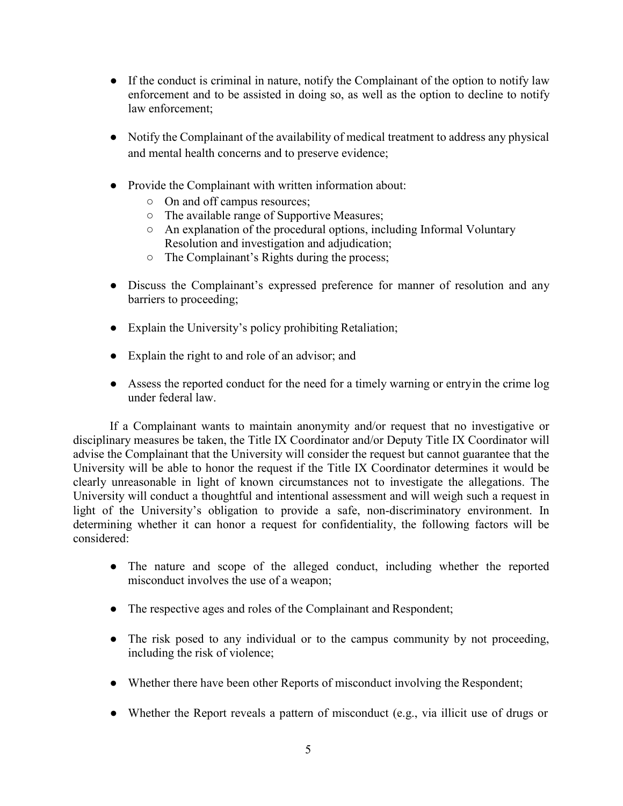- If the conduct is criminal in nature, notify the Complainant of the option to notify law enforcement and to be assisted in doing so, as well as the option to decline to notify law enforcement;
- Notify the Complainant of the availability of medical treatment to address any physical and mental health concerns and to preserve evidence;
- Provide the Complainant with written information about:
	- On and off campus resources;
	- The available range of Supportive Measures;
	- An explanation of the procedural options, including Informal Voluntary Resolution and investigation and adjudication;
	- The Complainant's Rights during the process;
- Discuss the Complainant's expressed preference for manner of resolution and any barriers to proceeding;
- Explain the University's policy prohibiting Retaliation;
- Explain the right to and role of an advisor; and
- Assess the reported conduct for the need for a timely warning or entryin the crime log under federal law.

If a Complainant wants to maintain anonymity and/or request that no investigative or disciplinary measures be taken, the Title IX Coordinator and/or Deputy Title IX Coordinator will advise the Complainant that the University will consider the request but cannot guarantee that the University will be able to honor the request if the Title IX Coordinator determines it would be clearly unreasonable in light of known circumstances not to investigate the allegations. The University will conduct a thoughtful and intentional assessment and will weigh such a request in light of the University's obligation to provide a safe, non-discriminatory environment. In determining whether it can honor a request for confidentiality, the following factors will be considered:

- The nature and scope of the alleged conduct, including whether the reported misconduct involves the use of a weapon;
- The respective ages and roles of the Complainant and Respondent;
- The risk posed to any individual or to the campus community by not proceeding, including the risk of violence;
- Whether there have been other Reports of misconduct involving the Respondent;
- Whether the Report reveals a pattern of misconduct (e.g., via illicit use of drugs or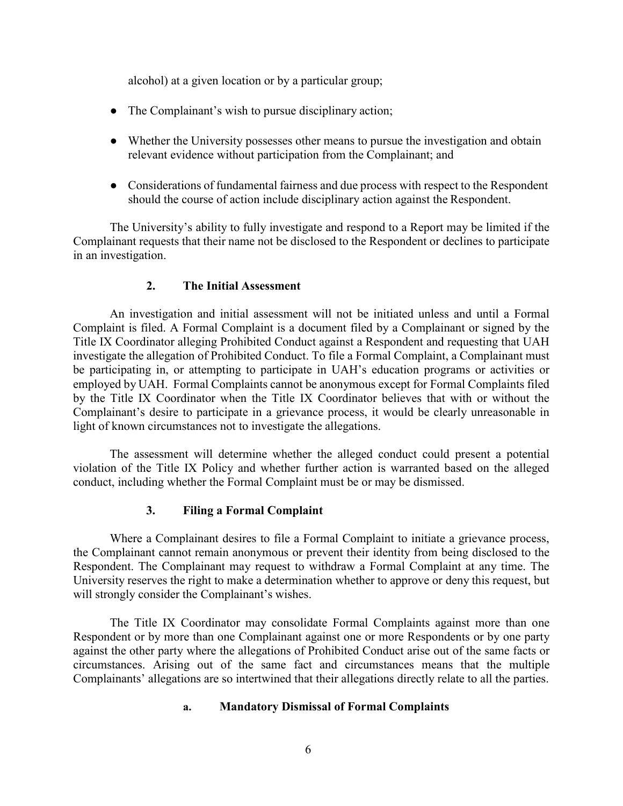alcohol) at a given location or by a particular group;

- The Complainant's wish to pursue disciplinary action;
- Whether the University possesses other means to pursue the investigation and obtain relevant evidence without participation from the Complainant; and
- Considerations of fundamental fairness and due process with respect to the Respondent should the course of action include disciplinary action against the Respondent.

The University's ability to fully investigate and respond to a Report may be limited if the Complainant requests that their name not be disclosed to the Respondent or declines to participate in an investigation.

### **2. The Initial Assessment**

An investigation and initial assessment will not be initiated unless and until a Formal Complaint is filed. A Formal Complaint is a document filed by a Complainant or signed by the Title IX Coordinator alleging Prohibited Conduct against a Respondent and requesting that UAH investigate the allegation of Prohibited Conduct. To file a Formal Complaint, a Complainant must be participating in, or attempting to participate in UAH's education programs or activities or employed by UAH. Formal Complaints cannot be anonymous except for Formal Complaints filed by the Title IX Coordinator when the Title IX Coordinator believes that with or without the Complainant's desire to participate in a grievance process, it would be clearly unreasonable in light of known circumstances not to investigate the allegations.

The assessment will determine whether the alleged conduct could present a potential violation of the Title IX Policy and whether further action is warranted based on the alleged conduct, including whether the Formal Complaint must be or may be dismissed.

# **3. Filing a Formal Complaint**

Where a Complainant desires to file a Formal Complaint to initiate a grievance process, the Complainant cannot remain anonymous or prevent their identity from being disclosed to the Respondent. The Complainant may request to withdraw a Formal Complaint at any time. The University reserves the right to make a determination whether to approve or deny this request, but will strongly consider the Complainant's wishes.

The Title IX Coordinator may consolidate Formal Complaints against more than one Respondent or by more than one Complainant against one or more Respondents or by one party against the other party where the allegations of Prohibited Conduct arise out of the same facts or circumstances. Arising out of the same fact and circumstances means that the multiple Complainants' allegations are so intertwined that their allegations directly relate to all the parties.

### **a. Mandatory Dismissal of Formal Complaints**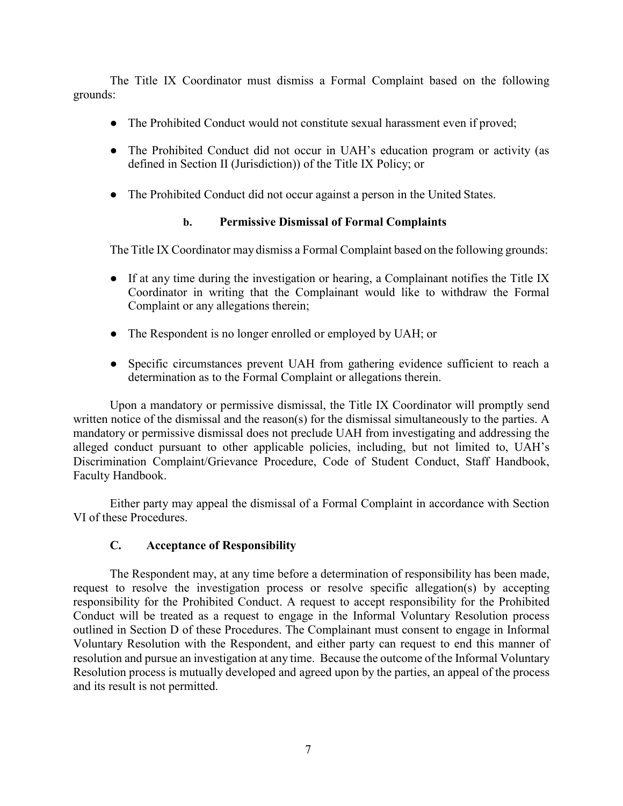The Title IX Coordinator must dismiss a Formal Complaint based on the following grounds:

- The Prohibited Conduct would not constitute sexual harassment even if proved;
- The Prohibited Conduct did not occur in UAH's education program or activity (as defined in Section II (Jurisdiction)) of the Title IX Policy; or
- The Prohibited Conduct did not occur against a person in the United States.

## **b. Permissive Dismissal of Formal Complaints**

The Title IX Coordinator may dismiss a Formal Complaint based on the following grounds:

- If at any time during the investigation or hearing, a Complainant notifies the Title IX Coordinator in writing that the Complainant would like to withdraw the Formal Complaint or any allegations therein;
- The Respondent is no longer enrolled or employed by UAH; or
- Specific circumstances prevent UAH from gathering evidence sufficient to reach a determination as to the Formal Complaint or allegations therein.

Upon a mandatory or permissive dismissal, the Title IX Coordinator will promptly send written notice of the dismissal and the reason(s) for the dismissal simultaneously to the parties. A mandatory or permissive dismissal does not preclude UAH from investigating and addressing the alleged conduct pursuant to other applicable policies, including, but not limited to, UAH's Discrimination Complaint/Grievance Procedure, Code of Student Conduct, Staff Handbook, Faculty Handbook.

Either party may appeal the dismissal of a Formal Complaint in accordance with Section VI of these Procedures.

# **C. Acceptance of Responsibility**

The Respondent may, at any time before a determination of responsibility has been made, request to resolve the investigation process or resolve specific allegation(s) by accepting responsibility for the Prohibited Conduct. A request to accept responsibility for the Prohibited Conduct will be treated as a request to engage in the Informal Voluntary Resolution process outlined in Section D of these Procedures. The Complainant must consent to engage in Informal Voluntary Resolution with the Respondent, and either party can request to end this manner of resolution and pursue an investigation at any time. Because the outcome of the Informal Voluntary Resolution process is mutually developed and agreed upon by the parties, an appeal of the process and its result is not permitted.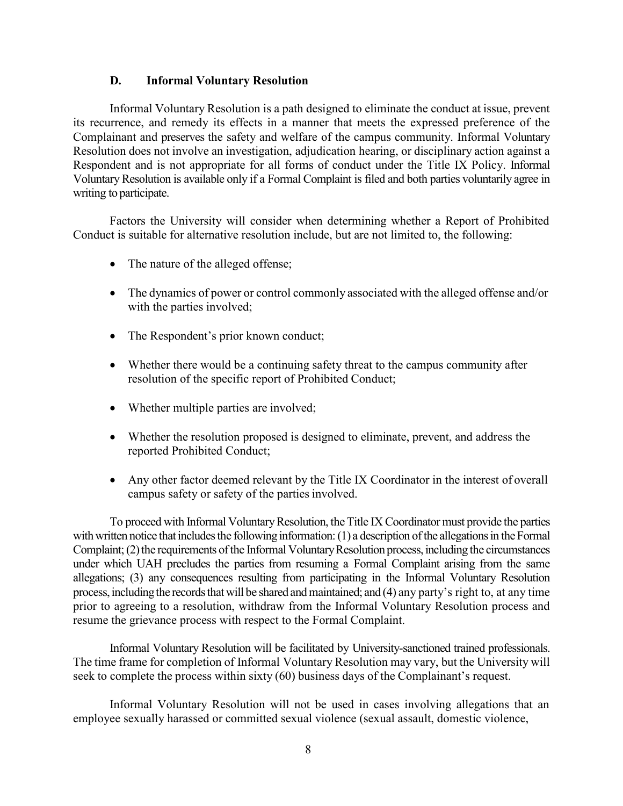#### **D. Informal Voluntary Resolution**

Informal Voluntary Resolution is a path designed to eliminate the conduct at issue, prevent its recurrence, and remedy its effects in a manner that meets the expressed preference of the Complainant and preserves the safety and welfare of the campus community. Informal Voluntary Resolution does not involve an investigation, adjudication hearing, or disciplinary action against a Respondent and is not appropriate for all forms of conduct under the Title IX Policy. Informal VoluntaryResolution is available only if a Formal Complaint is filed and both parties voluntarily agree in writing to participate.

Factors the University will consider when determining whether a Report of Prohibited Conduct is suitable for alternative resolution include, but are not limited to, the following:

- The nature of the alleged offense;
- The dynamics of power or control commonly associated with the alleged offense and/or with the parties involved;
- The Respondent's prior known conduct;
- Whether there would be a continuing safety threat to the campus community after resolution of the specific report of Prohibited Conduct;
- Whether multiple parties are involved;
- Whether the resolution proposed is designed to eliminate, prevent, and address the reported Prohibited Conduct;
- Any other factor deemed relevant by the Title IX Coordinator in the interest of overall campus safety or safety of the partiesinvolved.

To proceed with Informal Voluntary Resolution, the Title IX Coordinator must provide the parties with written notice that includes the following information:  $(1)$  a description of the allegations in the Formal Complaint; (2) the requirements of the Informal Voluntary Resolution process, including the circumstances under which UAH precludes the parties from resuming a Formal Complaint arising from the same allegations; (3) any consequences resulting from participating in the Informal Voluntary Resolution process, including the records that will be shared and maintained; and (4) any party's right to, at any time prior to agreeing to a resolution, withdraw from the Informal Voluntary Resolution process and resume the grievance process with respect to the Formal Complaint.

Informal Voluntary Resolution will be facilitated by University-sanctioned trained professionals. The time frame for completion of Informal Voluntary Resolution may vary, but the University will seek to complete the process within sixty (60) business days of the Complainant's request.

Informal Voluntary Resolution will not be used in cases involving allegations that an employee sexually harassed or committed sexual violence (sexual assault, domestic violence,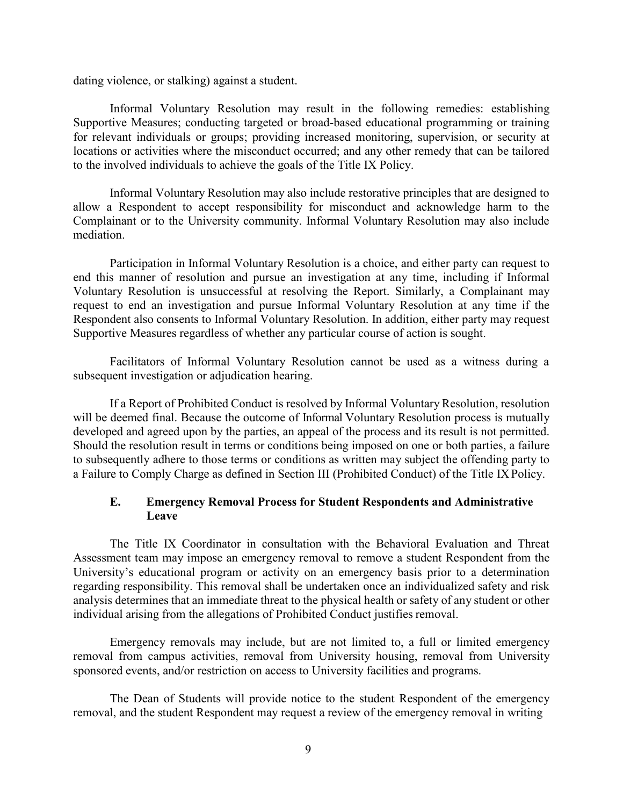dating violence, or stalking) against a student.

Informal Voluntary Resolution may result in the following remedies: establishing Supportive Measures; conducting targeted or broad-based educational programming or training for relevant individuals or groups; providing increased monitoring, supervision, or security at locations or activities where the misconduct occurred; and any other remedy that can be tailored to the involved individuals to achieve the goals of the Title IX Policy.

Informal Voluntary Resolution may also include restorative principles that are designed to allow a Respondent to accept responsibility for misconduct and acknowledge harm to the Complainant or to the University community. Informal Voluntary Resolution may also include mediation.

Participation in Informal Voluntary Resolution is a choice, and either party can request to end this manner of resolution and pursue an investigation at any time, including if Informal Voluntary Resolution is unsuccessful at resolving the Report. Similarly, a Complainant may request to end an investigation and pursue Informal Voluntary Resolution at any time if the Respondent also consents to Informal Voluntary Resolution. In addition, either party may request Supportive Measures regardless of whether any particular course of action is sought.

Facilitators of Informal Voluntary Resolution cannot be used as a witness during a subsequent investigation or adjudication hearing.

If a Report of Prohibited Conduct is resolved by Informal Voluntary Resolution, resolution will be deemed final. Because the outcome of Informal Voluntary Resolution process is mutually developed and agreed upon by the parties, an appeal of the process and its result is not permitted. Should the resolution result in terms or conditions being imposed on one or both parties, a failure to subsequently adhere to those terms or conditions as written may subject the offending party to a Failure to Comply Charge as defined in Section III (Prohibited Conduct) of the Title IXPolicy.

### **E. Emergency Removal Process for Student Respondents and Administrative Leave**

The Title IX Coordinator in consultation with the Behavioral Evaluation and Threat Assessment team may impose an emergency removal to remove a student Respondent from the University's educational program or activity on an emergency basis prior to a determination regarding responsibility. This removal shall be undertaken once an individualized safety and risk analysis determines that an immediate threat to the physical health or safety of any student or other individual arising from the allegations of Prohibited Conduct justifies removal.

Emergency removals may include, but are not limited to, a full or limited emergency removal from campus activities, removal from University housing, removal from University sponsored events, and/or restriction on access to University facilities and programs.

The Dean of Students will provide notice to the student Respondent of the emergency removal, and the student Respondent may request a review of the emergency removal in writing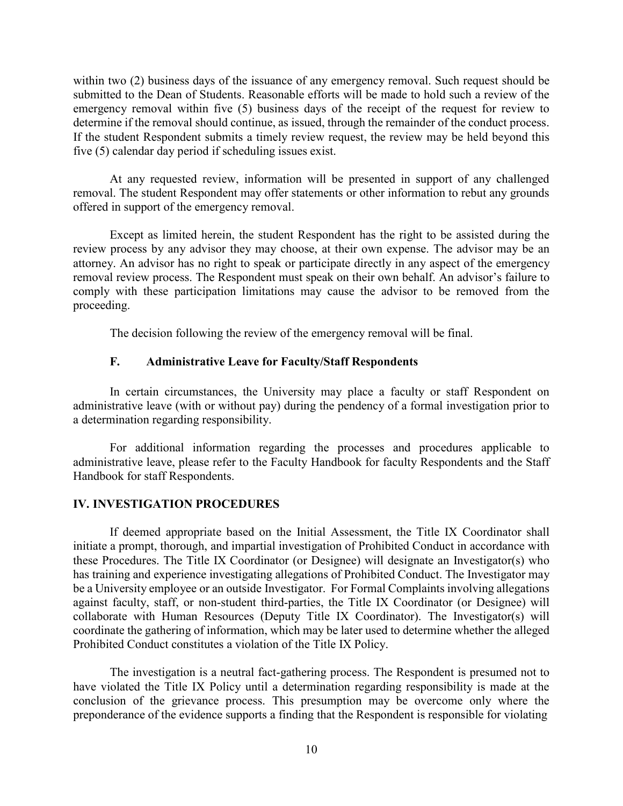within two (2) business days of the issuance of any emergency removal. Such request should be submitted to the Dean of Students. Reasonable efforts will be made to hold such a review of the emergency removal within five (5) business days of the receipt of the request for review to determine if the removal should continue, as issued, through the remainder of the conduct process. If the student Respondent submits a timely review request, the review may be held beyond this five (5) calendar day period if scheduling issues exist.

At any requested review, information will be presented in support of any challenged removal. The student Respondent may offer statements or other information to rebut any grounds offered in support of the emergency removal.

Except as limited herein, the student Respondent has the right to be assisted during the review process by any advisor they may choose, at their own expense. The advisor may be an attorney. An advisor has no right to speak or participate directly in any aspect of the emergency removal review process. The Respondent must speak on their own behalf. An advisor's failure to comply with these participation limitations may cause the advisor to be removed from the proceeding.

The decision following the review of the emergency removal will be final.

#### **F. Administrative Leave for Faculty/Staff Respondents**

In certain circumstances, the University may place a faculty or staff Respondent on administrative leave (with or without pay) during the pendency of a formal investigation prior to a determination regarding responsibility.

For additional information regarding the processes and procedures applicable to administrative leave, please refer to the Faculty Handbook for faculty Respondents and the Staff Handbook for staff Respondents.

#### **IV. INVESTIGATION PROCEDURES**

If deemed appropriate based on the Initial Assessment, the Title IX Coordinator shall initiate a prompt, thorough, and impartial investigation of Prohibited Conduct in accordance with these Procedures. The Title IX Coordinator (or Designee) will designate an Investigator(s) who has training and experience investigating allegations of Prohibited Conduct. The Investigator may be a University employee or an outside Investigator. For Formal Complaints involving allegations against faculty, staff, or non-student third-parties, the Title IX Coordinator (or Designee) will collaborate with Human Resources (Deputy Title IX Coordinator). The Investigator(s) will coordinate the gathering of information, which may be later used to determine whether the alleged Prohibited Conduct constitutes a violation of the Title IX Policy.

The investigation is a neutral fact-gathering process. The Respondent is presumed not to have violated the Title IX Policy until a determination regarding responsibility is made at the conclusion of the grievance process. This presumption may be overcome only where the preponderance of the evidence supports a finding that the Respondent is responsible for violating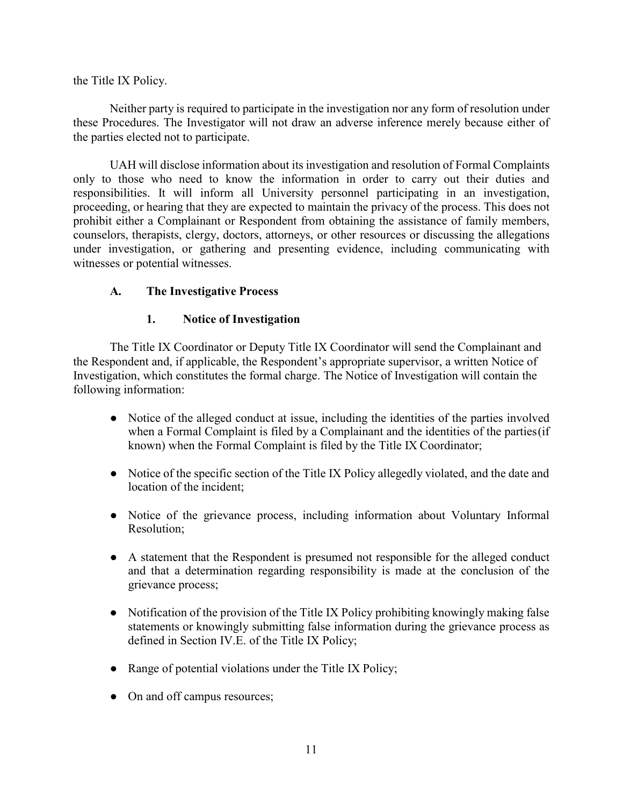the Title IX Policy.

Neither party is required to participate in the investigation nor any form of resolution under these Procedures. The Investigator will not draw an adverse inference merely because either of the parties elected not to participate.

UAH will disclose information about its investigation and resolution of Formal Complaints only to those who need to know the information in order to carry out their duties and responsibilities. It will inform all University personnel participating in an investigation, proceeding, or hearing that they are expected to maintain the privacy of the process. This does not prohibit either a Complainant or Respondent from obtaining the assistance of family members, counselors, therapists, clergy, doctors, attorneys, or other resources or discussing the allegations under investigation, or gathering and presenting evidence, including communicating with witnesses or potential witnesses.

# **A. The Investigative Process**

## **1. Notice of Investigation**

The Title IX Coordinator or Deputy Title IX Coordinator will send the Complainant and the Respondent and, if applicable, the Respondent's appropriate supervisor, a written Notice of Investigation, which constitutes the formal charge. The Notice of Investigation will contain the following information:

- Notice of the alleged conduct at issue, including the identities of the parties involved when a Formal Complaint is filed by a Complainant and the identities of the parties(if known) when the Formal Complaint is filed by the Title IX Coordinator;
- Notice of the specific section of the Title IX Policy allegedly violated, and the date and location of the incident;
- Notice of the grievance process, including information about Voluntary Informal Resolution;
- A statement that the Respondent is presumed not responsible for the alleged conduct and that a determination regarding responsibility is made at the conclusion of the grievance process;
- Notification of the provision of the Title IX Policy prohibiting knowingly making false statements or knowingly submitting false information during the grievance process as defined in Section IV.E. of the Title IX Policy;
- Range of potential violations under the Title IX Policy;
- On and off campus resources;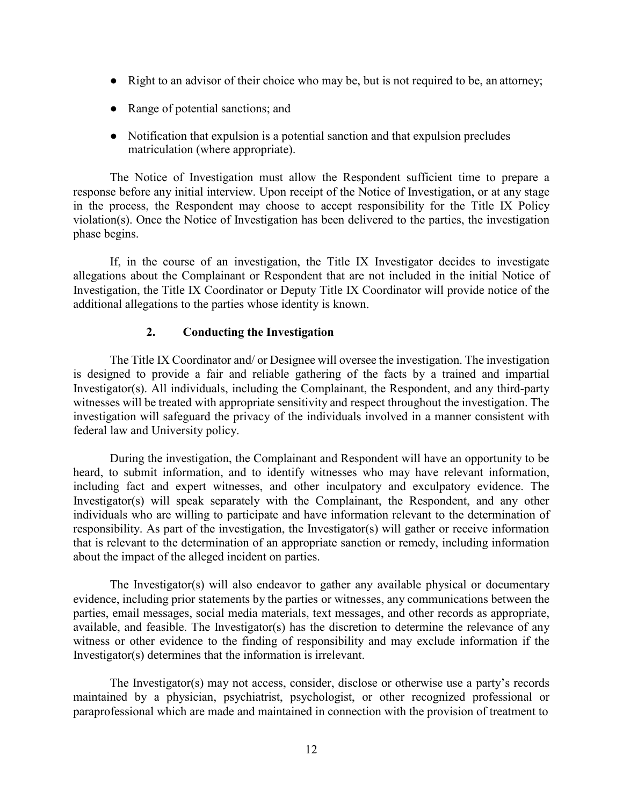- Right to an advisor of their choice who may be, but is not required to be, an attorney;
- Range of potential sanctions; and
- Notification that expulsion is a potential sanction and that expulsion precludes matriculation (where appropriate).

The Notice of Investigation must allow the Respondent sufficient time to prepare a response before any initial interview. Upon receipt of the Notice of Investigation, or at any stage in the process, the Respondent may choose to accept responsibility for the Title IX Policy violation(s). Once the Notice of Investigation has been delivered to the parties, the investigation phase begins.

If, in the course of an investigation, the Title IX Investigator decides to investigate allegations about the Complainant or Respondent that are not included in the initial Notice of Investigation, the Title IX Coordinator or Deputy Title IX Coordinator will provide notice of the additional allegations to the parties whose identity is known.

## **2. Conducting the Investigation**

The Title IX Coordinator and/ or Designee will oversee the investigation. The investigation is designed to provide a fair and reliable gathering of the facts by a trained and impartial Investigator(s). All individuals, including the Complainant, the Respondent, and any third-party witnesses will be treated with appropriate sensitivity and respect throughout the investigation. The investigation will safeguard the privacy of the individuals involved in a manner consistent with federal law and University policy.

During the investigation, the Complainant and Respondent will have an opportunity to be heard, to submit information, and to identify witnesses who may have relevant information, including fact and expert witnesses, and other inculpatory and exculpatory evidence. The Investigator(s) will speak separately with the Complainant, the Respondent, and any other individuals who are willing to participate and have information relevant to the determination of responsibility. As part of the investigation, the Investigator(s) will gather or receive information that is relevant to the determination of an appropriate sanction or remedy, including information about the impact of the alleged incident on parties.

The Investigator(s) will also endeavor to gather any available physical or documentary evidence, including prior statements by the parties or witnesses, any communications between the parties, email messages, social media materials, text messages, and other records as appropriate, available, and feasible. The Investigator(s) has the discretion to determine the relevance of any witness or other evidence to the finding of responsibility and may exclude information if the Investigator(s) determines that the information is irrelevant.

The Investigator(s) may not access, consider, disclose or otherwise use a party's records maintained by a physician, psychiatrist, psychologist, or other recognized professional or paraprofessional which are made and maintained in connection with the provision of treatment to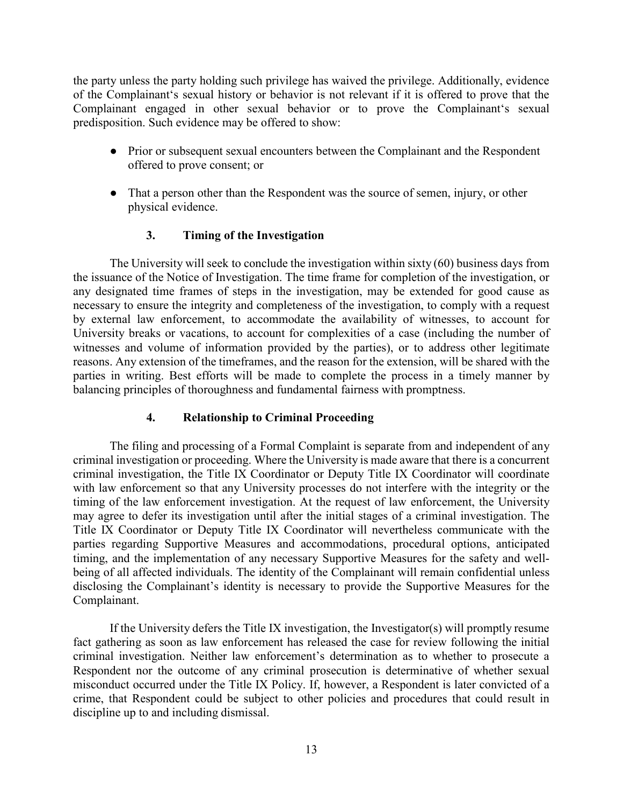the party unless the party holding such privilege has waived the privilege. Additionally, evidence of the Complainant's sexual history or behavior is not relevant if it is offered to prove that the Complainant engaged in other sexual behavior or to prove the Complainant's sexual predisposition. Such evidence may be offered to show:

- **●** Prior or subsequent sexual encounters between the Complainant and the Respondent offered to prove consent; or
- **●** That a person other than the Respondent was the source of semen, injury, or other physical evidence.

# **3. Timing of the Investigation**

The University will seek to conclude the investigation within sixty (60) business days from the issuance of the Notice of Investigation. The time frame for completion of the investigation, or any designated time frames of steps in the investigation, may be extended for good cause as necessary to ensure the integrity and completeness of the investigation, to comply with a request by external law enforcement, to accommodate the availability of witnesses, to account for University breaks or vacations, to account for complexities of a case (including the number of witnesses and volume of information provided by the parties), or to address other legitimate reasons. Any extension of the timeframes, and the reason for the extension, will be shared with the parties in writing. Best efforts will be made to complete the process in a timely manner by balancing principles of thoroughness and fundamental fairness with promptness.

### **4. Relationship to Criminal Proceeding**

The filing and processing of a Formal Complaint is separate from and independent of any criminal investigation or proceeding. Where the University is made aware that there is a concurrent criminal investigation, the Title IX Coordinator or Deputy Title IX Coordinator will coordinate with law enforcement so that any University processes do not interfere with the integrity or the timing of the law enforcement investigation. At the request of law enforcement, the University may agree to defer its investigation until after the initial stages of a criminal investigation. The Title IX Coordinator or Deputy Title IX Coordinator will nevertheless communicate with the parties regarding Supportive Measures and accommodations, procedural options, anticipated timing, and the implementation of any necessary Supportive Measures for the safety and wellbeing of all affected individuals. The identity of the Complainant will remain confidential unless disclosing the Complainant's identity is necessary to provide the Supportive Measures for the Complainant.

If the University defers the Title IX investigation, the Investigator(s) will promptly resume fact gathering as soon as law enforcement has released the case for review following the initial criminal investigation. Neither law enforcement's determination as to whether to prosecute a Respondent nor the outcome of any criminal prosecution is determinative of whether sexual misconduct occurred under the Title IX Policy. If, however, a Respondent is later convicted of a crime, that Respondent could be subject to other policies and procedures that could result in discipline up to and including dismissal.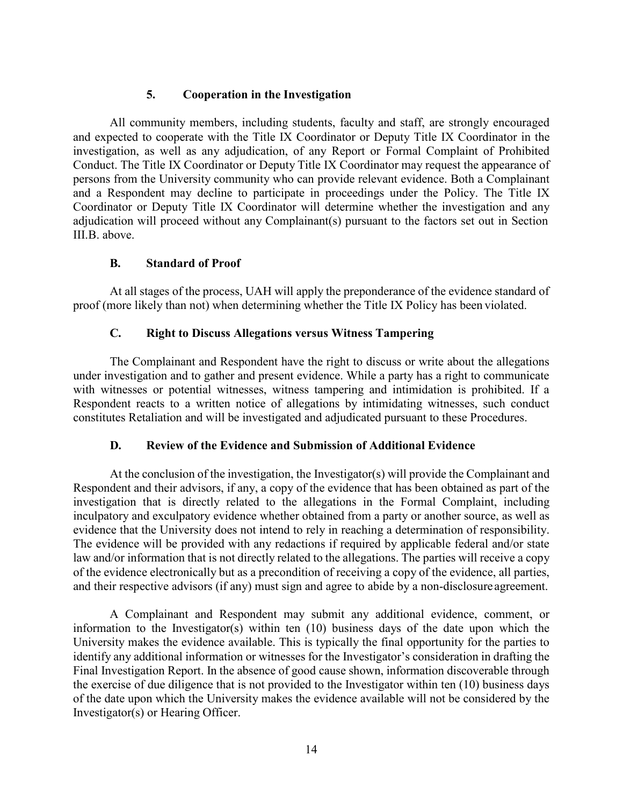### **5. Cooperation in the Investigation**

All community members, including students, faculty and staff, are strongly encouraged and expected to cooperate with the Title IX Coordinator or Deputy Title IX Coordinator in the investigation, as well as any adjudication, of any Report or Formal Complaint of Prohibited Conduct. The Title IX Coordinator or Deputy Title IX Coordinator may request the appearance of persons from the University community who can provide relevant evidence. Both a Complainant and a Respondent may decline to participate in proceedings under the Policy. The Title IX Coordinator or Deputy Title IX Coordinator will determine whether the investigation and any adjudication will proceed without any Complainant(s) pursuant to the factors set out in Section III.B. above.

#### **B. Standard of Proof**

At all stages of the process, UAH will apply the preponderance of the evidence standard of proof (more likely than not) when determining whether the Title IX Policy has been violated.

#### **C. Right to Discuss Allegations versus Witness Tampering**

The Complainant and Respondent have the right to discuss or write about the allegations under investigation and to gather and present evidence. While a party has a right to communicate with witnesses or potential witnesses, witness tampering and intimidation is prohibited. If a Respondent reacts to a written notice of allegations by intimidating witnesses, such conduct constitutes Retaliation and will be investigated and adjudicated pursuant to these Procedures.

## **D. Review of the Evidence and Submission of Additional Evidence**

At the conclusion of the investigation, the Investigator(s) will provide the Complainant and Respondent and their advisors, if any, a copy of the evidence that has been obtained as part of the investigation that is directly related to the allegations in the Formal Complaint, including inculpatory and exculpatory evidence whether obtained from a party or another source, as well as evidence that the University does not intend to rely in reaching a determination of responsibility. The evidence will be provided with any redactions if required by applicable federal and/or state law and/or information that is not directly related to the allegations. The parties will receive a copy of the evidence electronically but as a precondition of receiving a copy of the evidence, all parties, and their respective advisors (if any) must sign and agree to abide by a non-disclosure agreement.

A Complainant and Respondent may submit any additional evidence, comment, or information to the Investigator(s) within ten (10) business days of the date upon which the University makes the evidence available. This is typically the final opportunity for the parties to identify any additional information or witnesses for the Investigator's consideration in drafting the Final Investigation Report. In the absence of good cause shown, information discoverable through the exercise of due diligence that is not provided to the Investigator within ten (10) business days of the date upon which the University makes the evidence available will not be considered by the Investigator(s) or Hearing Officer.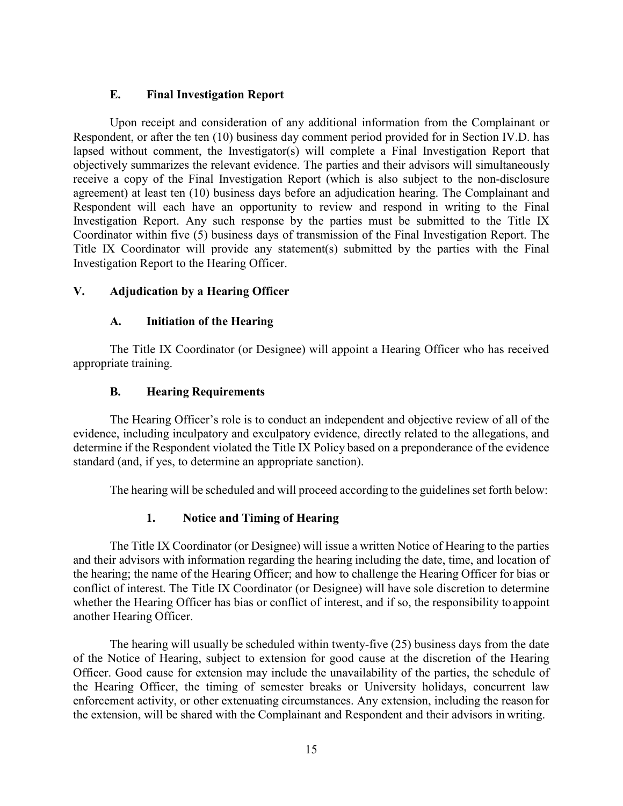### **E. Final Investigation Report**

Upon receipt and consideration of any additional information from the Complainant or Respondent, or after the ten (10) business day comment period provided for in Section IV.D. has lapsed without comment, the Investigator(s) will complete a Final Investigation Report that objectively summarizes the relevant evidence. The parties and their advisors will simultaneously receive a copy of the Final Investigation Report (which is also subject to the non-disclosure agreement) at least ten (10) business days before an adjudication hearing. The Complainant and Respondent will each have an opportunity to review and respond in writing to the Final Investigation Report. Any such response by the parties must be submitted to the Title IX Coordinator within five (5) business days of transmission of the Final Investigation Report. The Title IX Coordinator will provide any statement(s) submitted by the parties with the Final Investigation Report to the Hearing Officer.

#### **V. Adjudication by a Hearing Officer**

#### **A. Initiation of the Hearing**

The Title IX Coordinator (or Designee) will appoint a Hearing Officer who has received appropriate training.

#### **B. Hearing Requirements**

The Hearing Officer's role is to conduct an independent and objective review of all of the evidence, including inculpatory and exculpatory evidence, directly related to the allegations, and determine if the Respondent violated the Title IX Policy based on a preponderance of the evidence standard (and, if yes, to determine an appropriate sanction).

The hearing will be scheduled and will proceed according to the guidelines set forth below:

## **1. Notice and Timing of Hearing**

The Title IX Coordinator (or Designee) will issue a written Notice of Hearing to the parties and their advisors with information regarding the hearing including the date, time, and location of the hearing; the name of the Hearing Officer; and how to challenge the Hearing Officer for bias or conflict of interest. The Title IX Coordinator (or Designee) will have sole discretion to determine whether the Hearing Officer has bias or conflict of interest, and if so, the responsibility to appoint another Hearing Officer.

The hearing will usually be scheduled within twenty-five (25) business days from the date of the Notice of Hearing, subject to extension for good cause at the discretion of the Hearing Officer. Good cause for extension may include the unavailability of the parties, the schedule of the Hearing Officer, the timing of semester breaks or University holidays, concurrent law enforcement activity, or other extenuating circumstances. Any extension, including the reason for the extension, will be shared with the Complainant and Respondent and their advisors in writing.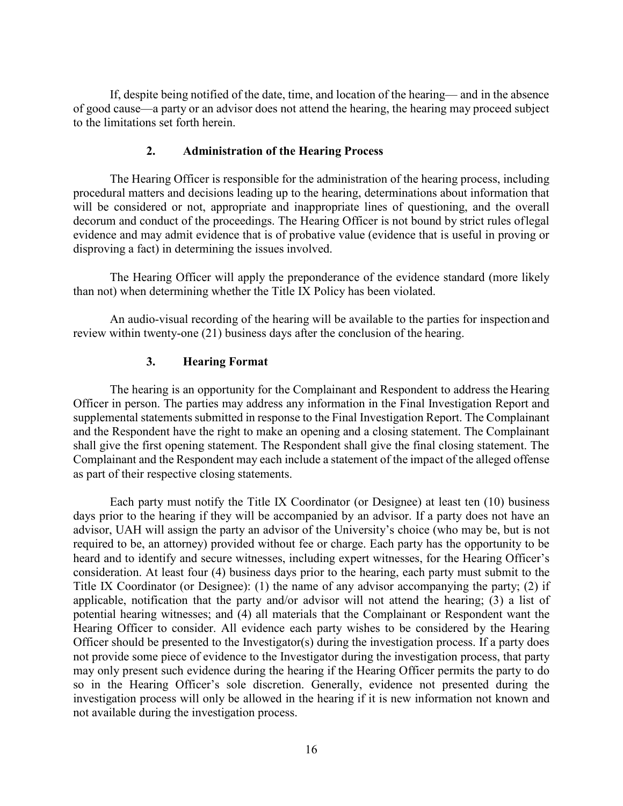If, despite being notified of the date, time, and location of the hearing— and in the absence of good cause—a party or an advisor does not attend the hearing, the hearing may proceed subject to the limitations set forth herein.

#### **2. Administration of the Hearing Process**

The Hearing Officer is responsible for the administration of the hearing process, including procedural matters and decisions leading up to the hearing, determinations about information that will be considered or not, appropriate and inappropriate lines of questioning, and the overall decorum and conduct of the proceedings. The Hearing Officer is not bound by strict rules oflegal evidence and may admit evidence that is of probative value (evidence that is useful in proving or disproving a fact) in determining the issues involved.

The Hearing Officer will apply the preponderance of the evidence standard (more likely than not) when determining whether the Title IX Policy has been violated.

An audio-visual recording of the hearing will be available to the parties for inspection and review within twenty-one (21) business days after the conclusion of the hearing.

#### **3. Hearing Format**

The hearing is an opportunity for the Complainant and Respondent to address the Hearing Officer in person. The parties may address any information in the Final Investigation Report and supplemental statements submitted in response to the Final Investigation Report. The Complainant and the Respondent have the right to make an opening and a closing statement. The Complainant shall give the first opening statement. The Respondent shall give the final closing statement. The Complainant and the Respondent may each include a statement of the impact of the alleged offense as part of their respective closing statements.

Each party must notify the Title IX Coordinator (or Designee) at least ten (10) business days prior to the hearing if they will be accompanied by an advisor. If a party does not have an advisor, UAH will assign the party an advisor of the University's choice (who may be, but is not required to be, an attorney) provided without fee or charge. Each party has the opportunity to be heard and to identify and secure witnesses, including expert witnesses, for the Hearing Officer's consideration. At least four (4) business days prior to the hearing, each party must submit to the Title IX Coordinator (or Designee): (1) the name of any advisor accompanying the party; (2) if applicable, notification that the party and/or advisor will not attend the hearing; (3) a list of potential hearing witnesses; and (4) all materials that the Complainant or Respondent want the Hearing Officer to consider. All evidence each party wishes to be considered by the Hearing Officer should be presented to the Investigator(s) during the investigation process. If a party does not provide some piece of evidence to the Investigator during the investigation process, that party may only present such evidence during the hearing if the Hearing Officer permits the party to do so in the Hearing Officer's sole discretion. Generally, evidence not presented during the investigation process will only be allowed in the hearing if it is new information not known and not available during the investigation process.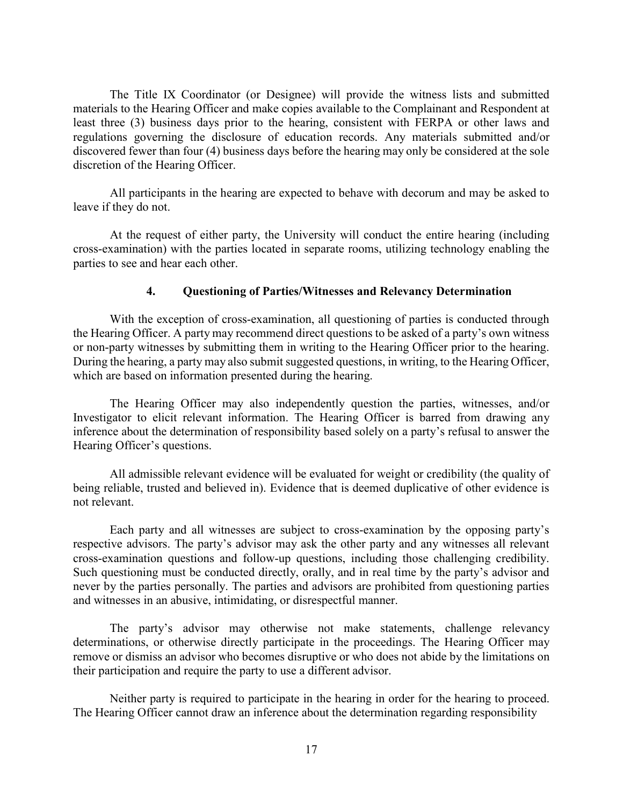The Title IX Coordinator (or Designee) will provide the witness lists and submitted materials to the Hearing Officer and make copies available to the Complainant and Respondent at least three (3) business days prior to the hearing, consistent with FERPA or other laws and regulations governing the disclosure of education records. Any materials submitted and/or discovered fewer than four (4) business days before the hearing may only be considered at the sole discretion of the Hearing Officer.

All participants in the hearing are expected to behave with decorum and may be asked to leave if they do not.

At the request of either party, the University will conduct the entire hearing (including cross-examination) with the parties located in separate rooms, utilizing technology enabling the parties to see and hear each other.

#### **4. Questioning of Parties/Witnesses and Relevancy Determination**

With the exception of cross-examination, all questioning of parties is conducted through the Hearing Officer. A party may recommend direct questions to be asked of a party's own witness or non-party witnesses by submitting them in writing to the Hearing Officer prior to the hearing. During the hearing, a party may also submit suggested questions, in writing, to the Hearing Officer, which are based on information presented during the hearing.

The Hearing Officer may also independently question the parties, witnesses, and/or Investigator to elicit relevant information. The Hearing Officer is barred from drawing any inference about the determination of responsibility based solely on a party's refusal to answer the Hearing Officer's questions.

All admissible relevant evidence will be evaluated for weight or credibility (the quality of being reliable, trusted and believed in). Evidence that is deemed duplicative of other evidence is not relevant.

Each party and all witnesses are subject to cross-examination by the opposing party's respective advisors. The party's advisor may ask the other party and any witnesses all relevant cross-examination questions and follow-up questions, including those challenging credibility. Such questioning must be conducted directly, orally, and in real time by the party's advisor and never by the parties personally. The parties and advisors are prohibited from questioning parties and witnesses in an abusive, intimidating, or disrespectful manner.

The party's advisor may otherwise not make statements, challenge relevancy determinations, or otherwise directly participate in the proceedings. The Hearing Officer may remove or dismiss an advisor who becomes disruptive or who does not abide by the limitations on their participation and require the party to use a different advisor.

Neither party is required to participate in the hearing in order for the hearing to proceed. The Hearing Officer cannot draw an inference about the determination regarding responsibility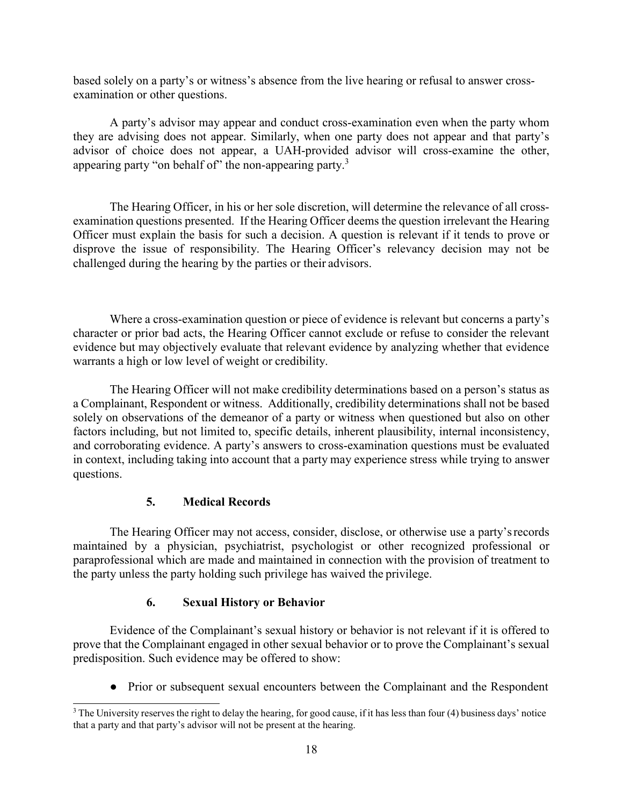based solely on a party's or witness's absence from the live hearing or refusal to answer crossexamination or other questions.

A party's advisor may appear and conduct cross-examination even when the party whom they are advising does not appear. Similarly, when one party does not appear and that party's advisor of choice does not appear, a UAH-provided advisor will cross-examine the other, appearing party "on behalf of" the non-appearing party.<sup>3</sup>

The Hearing Officer, in his or her sole discretion, will determine the relevance of all crossexamination questions presented. If the Hearing Officer deems the question irrelevant the Hearing Officer must explain the basis for such a decision. A question is relevant if it tends to prove or disprove the issue of responsibility. The Hearing Officer's relevancy decision may not be challenged during the hearing by the parties or their advisors.

Where a cross-examination question or piece of evidence is relevant but concerns a party's character or prior bad acts, the Hearing Officer cannot exclude or refuse to consider the relevant evidence but may objectively evaluate that relevant evidence by analyzing whether that evidence warrants a high or low level of weight or credibility.

The Hearing Officer will not make credibility determinations based on a person's status as a Complainant, Respondent or witness. Additionally, credibility determinations shall not be based solely on observations of the demeanor of a party or witness when questioned but also on other factors including, but not limited to, specific details, inherent plausibility, internal inconsistency, and corroborating evidence. A party's answers to cross-examination questions must be evaluated in context, including taking into account that a party may experience stress while trying to answer questions.

## **5. Medical Records**

The Hearing Officer may not access, consider, disclose, or otherwise use a party'srecords maintained by a physician, psychiatrist, psychologist or other recognized professional or paraprofessional which are made and maintained in connection with the provision of treatment to the party unless the party holding such privilege has waived the privilege.

## **6. Sexual History or Behavior**

Evidence of the Complainant's sexual history or behavior is not relevant if it is offered to prove that the Complainant engaged in other sexual behavior or to prove the Complainant's sexual predisposition. Such evidence may be offered to show:

● Prior or subsequent sexual encounters between the Complainant and the Respondent

<span id="page-76-0"></span><sup>&</sup>lt;sup>3</sup> The University reserves the right to delay the hearing, for good cause, if it has less than four (4) business days' notice that a party and that party's advisor will not be present at the hearing.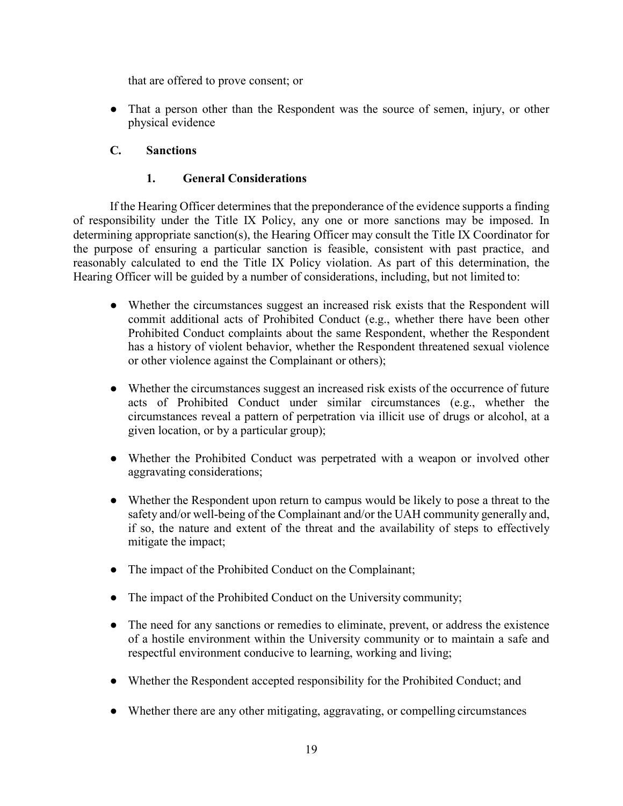that are offered to prove consent; or

• That a person other than the Respondent was the source of semen, injury, or other physical evidence

# **C. Sanctions**

## **1. General Considerations**

If the Hearing Officer determines that the preponderance of the evidence supports a finding of responsibility under the Title IX Policy, any one or more sanctions may be imposed. In determining appropriate sanction(s), the Hearing Officer may consult the Title IX Coordinator for the purpose of ensuring a particular sanction is feasible, consistent with past practice, and reasonably calculated to end the Title IX Policy violation. As part of this determination, the Hearing Officer will be guided by a number of considerations, including, but not limited to:

- Whether the circumstances suggest an increased risk exists that the Respondent will commit additional acts of Prohibited Conduct (e.g., whether there have been other Prohibited Conduct complaints about the same Respondent, whether the Respondent has a history of violent behavior, whether the Respondent threatened sexual violence or other violence against the Complainant or others);
- Whether the circumstances suggest an increased risk exists of the occurrence of future acts of Prohibited Conduct under similar circumstances (e.g., whether the circumstances reveal a pattern of perpetration via illicit use of drugs or alcohol, at a given location, or by a particular group);
- Whether the Prohibited Conduct was perpetrated with a weapon or involved other aggravating considerations;
- Whether the Respondent upon return to campus would be likely to pose a threat to the safety and/or well-being of the Complainant and/or the UAH community generally and, if so, the nature and extent of the threat and the availability of steps to effectively mitigate the impact;
- The impact of the Prohibited Conduct on the Complainant;
- The impact of the Prohibited Conduct on the University community;
- The need for any sanctions or remedies to eliminate, prevent, or address the existence of a hostile environment within the University community or to maintain a safe and respectful environment conducive to learning, working and living;
- Whether the Respondent accepted responsibility for the Prohibited Conduct; and
- Whether there are any other mitigating, aggravating, or compelling circumstances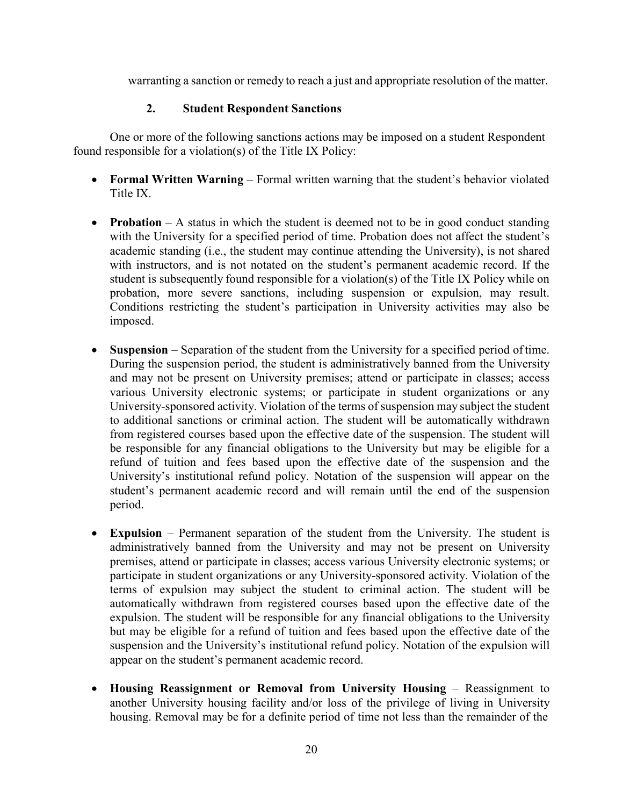warranting a sanction or remedy to reach a just and appropriate resolution of the matter.

## **2. Student Respondent Sanctions**

One or more of the following sanctions actions may be imposed on a student Respondent found responsible for a violation(s) of the Title IX Policy:

- **Formal Written Warning** Formal written warning that the student's behavior violated Title IX.
- **Probation** A status in which the student is deemed not to be in good conduct standing with the University for a specified period of time. Probation does not affect the student's academic standing (i.e., the student may continue attending the University), is not shared with instructors, and is not notated on the student's permanent academic record. If the student is subsequently found responsible for a violation(s) of the Title IX Policy while on probation, more severe sanctions, including suspension or expulsion, may result. Conditions restricting the student's participation in University activities may also be imposed.
- **Suspension**  Separation of the student from the University for a specified period oftime. During the suspension period, the student is administratively banned from the University and may not be present on University premises; attend or participate in classes; access various University electronic systems; or participate in student organizations or any University-sponsored activity. Violation of the terms of suspension may subject the student to additional sanctions or criminal action. The student will be automatically withdrawn from registered courses based upon the effective date of the suspension. The student will be responsible for any financial obligations to the University but may be eligible for a refund of tuition and fees based upon the effective date of the suspension and the University's institutional refund policy. Notation of the suspension will appear on the student's permanent academic record and will remain until the end of the suspension period.
- **Expulsion**  Permanent separation of the student from the University. The student is administratively banned from the University and may not be present on University premises, attend or participate in classes; access various University electronic systems; or participate in student organizations or any University-sponsored activity. Violation of the terms of expulsion may subject the student to criminal action. The student will be automatically withdrawn from registered courses based upon the effective date of the expulsion. The student will be responsible for any financial obligations to the University but may be eligible for a refund of tuition and fees based upon the effective date of the suspension and the University's institutional refund policy. Notation of the expulsion will appear on the student's permanent academic record.
- **Housing Reassignment or Removal from University Housing**  Reassignment to another University housing facility and/or loss of the privilege of living in University housing. Removal may be for a definite period of time not less than the remainder of the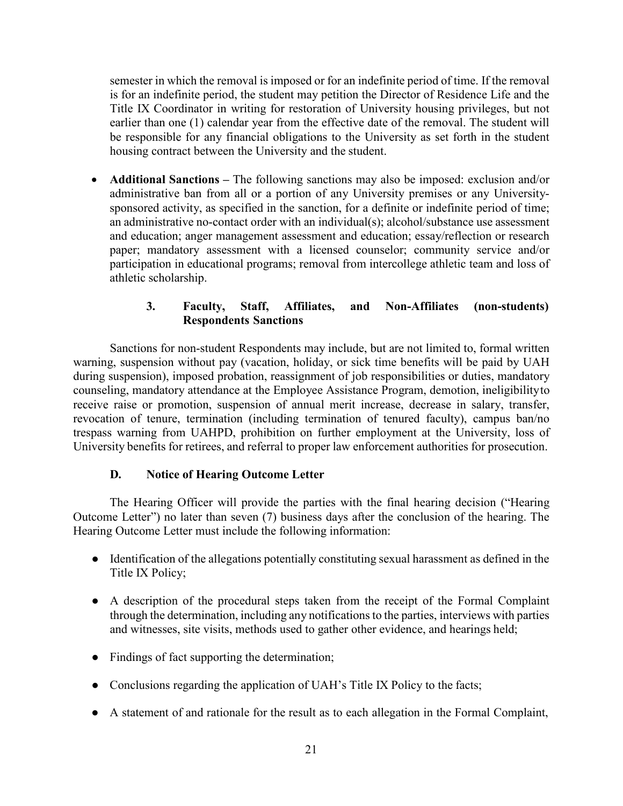semester in which the removal is imposed or for an indefinite period of time. If the removal is for an indefinite period, the student may petition the Director of Residence Life and the Title IX Coordinator in writing for restoration of University housing privileges, but not earlier than one (1) calendar year from the effective date of the removal. The student will be responsible for any financial obligations to the University as set forth in the student housing contract between the University and the student.

• **Additional Sanctions –** The following sanctions may also be imposed: exclusion and/or administrative ban from all or a portion of any University premises or any Universitysponsored activity, as specified in the sanction, for a definite or indefinite period of time; an administrative no-contact order with an individual(s); alcohol/substance use assessment and education; anger management assessment and education; essay/reflection or research paper; mandatory assessment with a licensed counselor; community service and/or participation in educational programs; removal from intercollege athletic team and loss of athletic scholarship.

## **3. Faculty, Staff, Affiliates, and Non-Affiliates (non-students) Respondents Sanctions**

Sanctions for non-student Respondents may include, but are not limited to, formal written warning, suspension without pay (vacation, holiday, or sick time benefits will be paid by UAH during suspension), imposed probation, reassignment of job responsibilities or duties, mandatory counseling, mandatory attendance at the Employee Assistance Program, demotion, ineligibilityto receive raise or promotion, suspension of annual merit increase, decrease in salary, transfer, revocation of tenure, termination (including termination of tenured faculty), campus ban/no trespass warning from UAHPD, prohibition on further employment at the University, loss of University benefits for retirees, and referral to proper law enforcement authorities for prosecution.

## **D. Notice of Hearing Outcome Letter**

The Hearing Officer will provide the parties with the final hearing decision ("Hearing Outcome Letter") no later than seven (7) business days after the conclusion of the hearing. The Hearing Outcome Letter must include the following information:

- Identification of the allegations potentially constituting sexual harassment as defined in the Title IX Policy;
- A description of the procedural steps taken from the receipt of the Formal Complaint through the determination, including any notifications to the parties, interviews with parties and witnesses, site visits, methods used to gather other evidence, and hearings held;
- Findings of fact supporting the determination;
- Conclusions regarding the application of UAH's Title IX Policy to the facts;
- A statement of and rationale for the result as to each allegation in the Formal Complaint,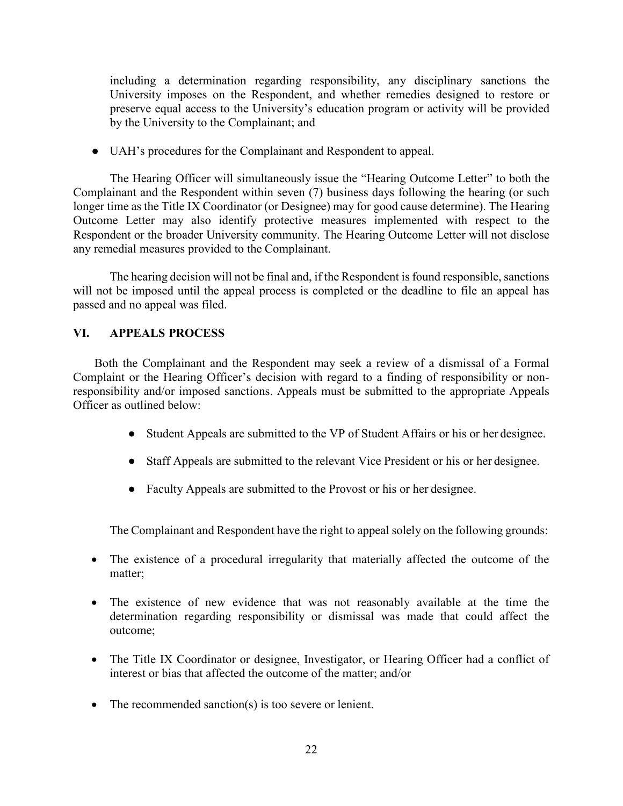including a determination regarding responsibility, any disciplinary sanctions the University imposes on the Respondent, and whether remedies designed to restore or preserve equal access to the University's education program or activity will be provided by the University to the Complainant; and

● UAH's procedures for the Complainant and Respondent to appeal.

The Hearing Officer will simultaneously issue the "Hearing Outcome Letter" to both the Complainant and the Respondent within seven (7) business days following the hearing (or such longer time as the Title IX Coordinator (or Designee) may for good cause determine). The Hearing Outcome Letter may also identify protective measures implemented with respect to the Respondent or the broader University community. The Hearing Outcome Letter will not disclose any remedial measures provided to the Complainant.

The hearing decision will not be final and, if the Respondent is found responsible, sanctions will not be imposed until the appeal process is completed or the deadline to file an appeal has passed and no appeal was filed.

#### **VI. APPEALS PROCESS**

Both the Complainant and the Respondent may seek a review of a dismissal of a Formal Complaint or the Hearing Officer's decision with regard to a finding of responsibility or nonresponsibility and/or imposed sanctions. Appeals must be submitted to the appropriate Appeals Officer as outlined below:

- Student Appeals are submitted to the VP of Student Affairs or his or her designee.
- Staff Appeals are submitted to the relevant Vice President or his or her designee.
- Faculty Appeals are submitted to the Provost or his or her designee.

The Complainant and Respondent have the right to appeal solely on the following grounds:

- The existence of a procedural irregularity that materially affected the outcome of the matter;
- The existence of new evidence that was not reasonably available at the time the determination regarding responsibility or dismissal was made that could affect the outcome;
- The Title IX Coordinator or designee, Investigator, or Hearing Officer had a conflict of interest or bias that affected the outcome of the matter; and/or
- The recommended sanction(s) is too severe or lenient.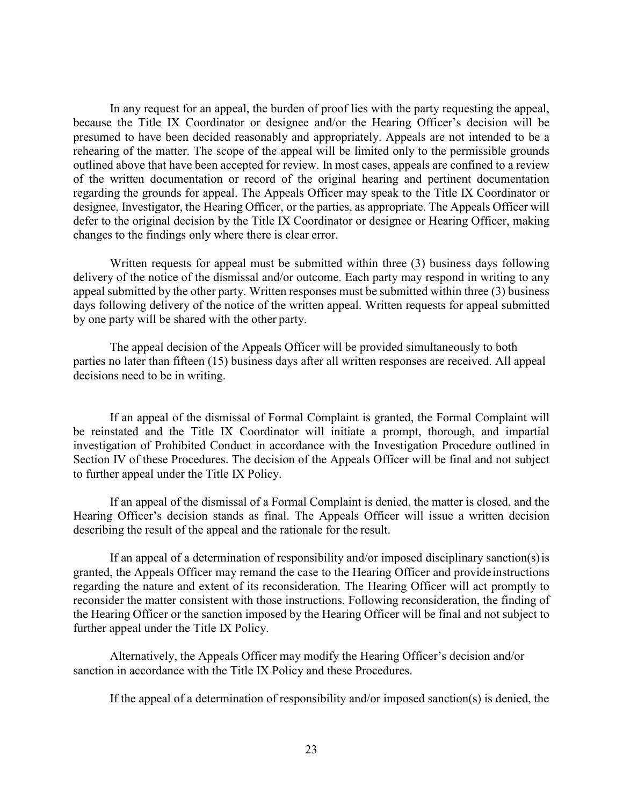In any request for an appeal, the burden of proof lies with the party requesting the appeal, because the Title IX Coordinator or designee and/or the Hearing Officer's decision will be presumed to have been decided reasonably and appropriately. Appeals are not intended to be a rehearing of the matter. The scope of the appeal will be limited only to the permissible grounds outlined above that have been accepted for review. In most cases, appeals are confined to a review of the written documentation or record of the original hearing and pertinent documentation regarding the grounds for appeal. The Appeals Officer may speak to the Title IX Coordinator or designee, Investigator, the Hearing Officer, or the parties, as appropriate. The Appeals Officer will defer to the original decision by the Title IX Coordinator or designee or Hearing Officer, making changes to the findings only where there is clear error.

Written requests for appeal must be submitted within three (3) business days following delivery of the notice of the dismissal and/or outcome. Each party may respond in writing to any appeal submitted by the other party. Written responses must be submitted within three (3) business days following delivery of the notice of the written appeal. Written requests for appeal submitted by one party will be shared with the other party.

The appeal decision of the Appeals Officer will be provided simultaneously to both parties no later than fifteen (15) business days after all written responses are received. All appeal decisions need to be in writing.

If an appeal of the dismissal of Formal Complaint is granted, the Formal Complaint will be reinstated and the Title IX Coordinator will initiate a prompt, thorough, and impartial investigation of Prohibited Conduct in accordance with the Investigation Procedure outlined in Section IV of these Procedures. The decision of the Appeals Officer will be final and not subject to further appeal under the Title IX Policy.

If an appeal of the dismissal of a Formal Complaint is denied, the matter is closed, and the Hearing Officer's decision stands as final. The Appeals Officer will issue a written decision describing the result of the appeal and the rationale for the result.

If an appeal of a determination of responsibility and/or imposed disciplinary sanction(s)is granted, the Appeals Officer may remand the case to the Hearing Officer and provideinstructions regarding the nature and extent of its reconsideration. The Hearing Officer will act promptly to reconsider the matter consistent with those instructions. Following reconsideration, the finding of the Hearing Officer or the sanction imposed by the Hearing Officer will be final and not subject to further appeal under the Title IX Policy.

Alternatively, the Appeals Officer may modify the Hearing Officer's decision and/or sanction in accordance with the Title IX Policy and these Procedures.

If the appeal of a determination of responsibility and/or imposed sanction(s) is denied, the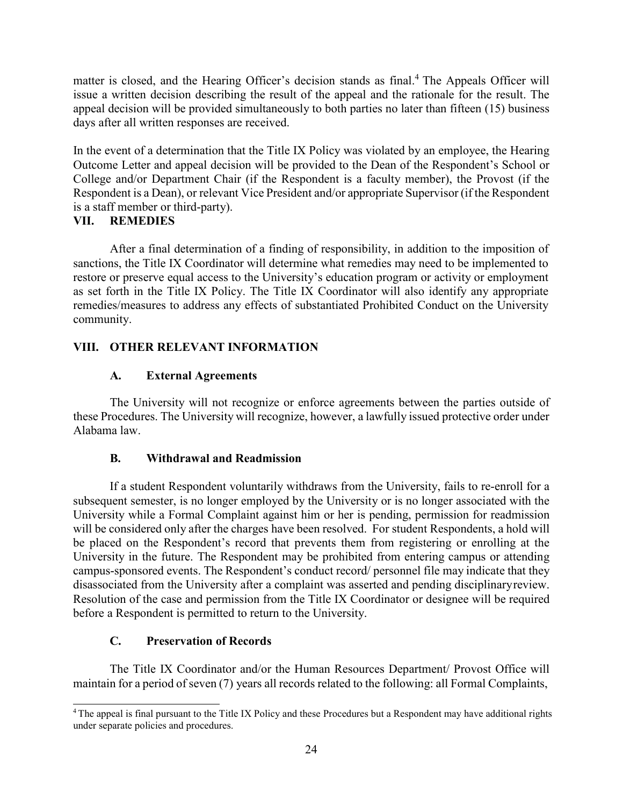matter is closed, and the Hearing Officer's decision stands as final.<sup>4</sup> The Appeals Officer will issue a written decision describing the result of the appeal and the rationale for the result. The appeal decision will be provided simultaneously to both parties no later than fifteen (15) business days after all written responses are received.

In the event of a determination that the Title IX Policy was violated by an employee, the Hearing Outcome Letter and appeal decision will be provided to the Dean of the Respondent's School or College and/or Department Chair (if the Respondent is a faculty member), the Provost (if the Respondent is a Dean), or relevant Vice President and/or appropriate Supervisor (if the Respondent is a staff member or third-party).

#### **VII. REMEDIES**

After a final determination of a finding of responsibility, in addition to the imposition of sanctions, the Title IX Coordinator will determine what remedies may need to be implemented to restore or preserve equal access to the University's education program or activity or employment as set forth in the Title IX Policy. The Title IX Coordinator will also identify any appropriate remedies/measures to address any effects of substantiated Prohibited Conduct on the University community.

# **VIII. OTHER RELEVANT INFORMATION**

# **A. External Agreements**

The University will not recognize or enforce agreements between the parties outside of these Procedures. The University will recognize, however, a lawfully issued protective order under Alabama law.

## **B. Withdrawal and Readmission**

If a student Respondent voluntarily withdraws from the University, fails to re-enroll for a subsequent semester, is no longer employed by the University or is no longer associated with the University while a Formal Complaint against him or her is pending, permission for readmission will be considered only after the charges have been resolved. For student Respondents, a hold will be placed on the Respondent's record that prevents them from registering or enrolling at the University in the future. The Respondent may be prohibited from entering campus or attending campus-sponsored events. The Respondent's conduct record/ personnel file may indicate that they disassociated from the University after a complaint was asserted and pending disciplinaryreview. Resolution of the case and permission from the Title IX Coordinator or designee will be required before a Respondent is permitted to return to the University.

## **C. Preservation of Records**

The Title IX Coordinator and/or the Human Resources Department/ Provost Office will maintain for a period of seven (7) years all records related to the following: all Formal Complaints,

<span id="page-82-0"></span><sup>4</sup> The appeal is final pursuant to the Title IX Policy and these Procedures but a Respondent may have additional rights under separate policies and procedures.